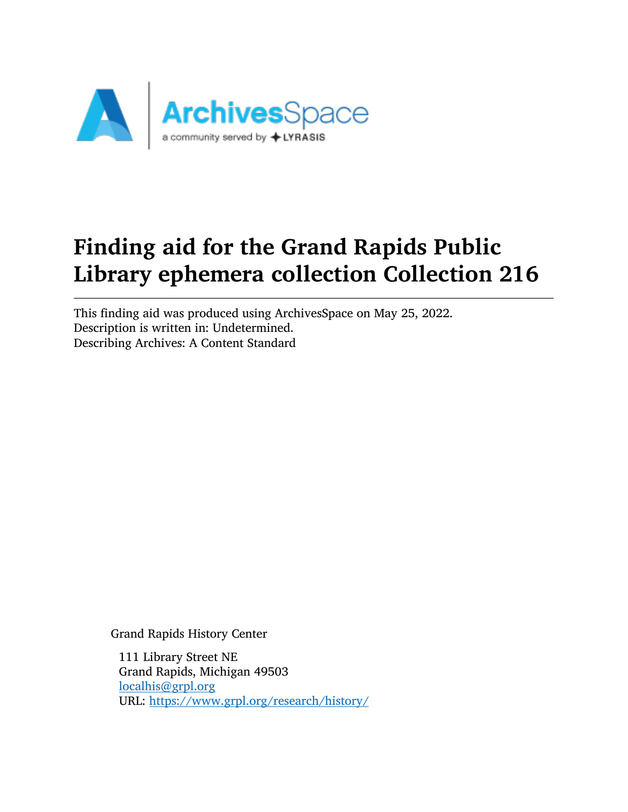

# Finding aid for the Grand Rapids Public Library ephemera collection Collection 216

This finding aid was produced using ArchivesSpace on May 25, 2022. Description is written in: Undetermined. Describing Archives: A Content Standard

Grand Rapids History Center

111 Library Street NE Grand Rapids, Michigan 49503 [localhis@grpl.org](mailto:localhis@grpl.org) URL: <https://www.grpl.org/research/history/>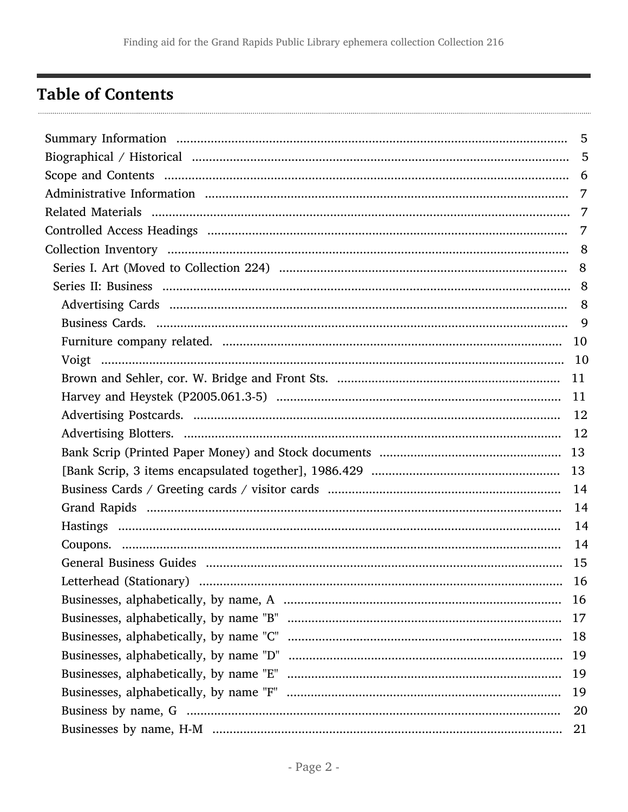## <span id="page-1-0"></span>**Table of Contents**

| 20 |
|----|
| 21 |
|    |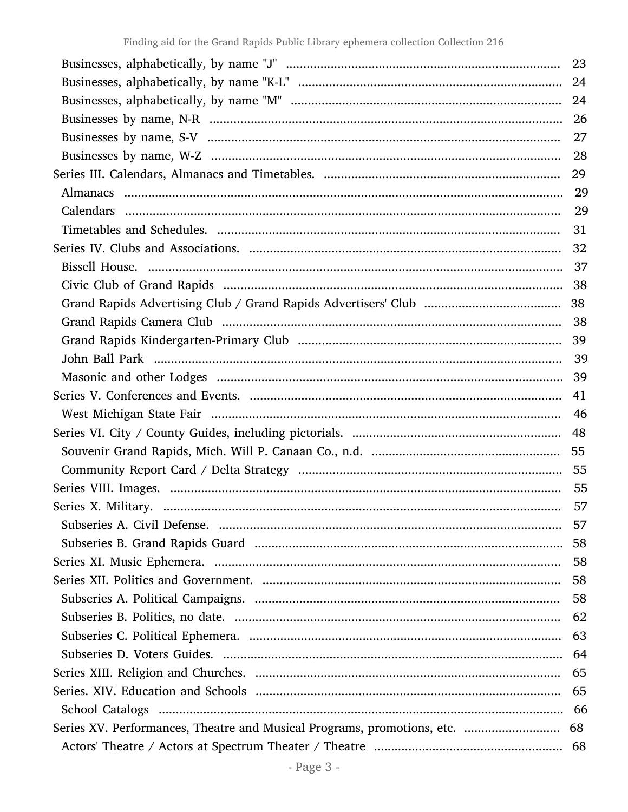|                                                                             | 24 |
|-----------------------------------------------------------------------------|----|
|                                                                             |    |
|                                                                             |    |
|                                                                             | 27 |
|                                                                             | 28 |
|                                                                             |    |
|                                                                             |    |
|                                                                             |    |
|                                                                             | 31 |
|                                                                             |    |
|                                                                             |    |
|                                                                             |    |
|                                                                             |    |
|                                                                             |    |
|                                                                             |    |
|                                                                             |    |
|                                                                             | 39 |
|                                                                             |    |
|                                                                             | 46 |
|                                                                             | 48 |
|                                                                             |    |
|                                                                             |    |
|                                                                             |    |
|                                                                             |    |
|                                                                             | 57 |
|                                                                             | 58 |
|                                                                             | 58 |
|                                                                             | 58 |
|                                                                             | 58 |
|                                                                             | 62 |
|                                                                             | 63 |
|                                                                             | 64 |
|                                                                             | 65 |
|                                                                             | 65 |
|                                                                             |    |
| Series XV. Performances, Theatre and Musical Programs, promotions, etc.  68 |    |
|                                                                             |    |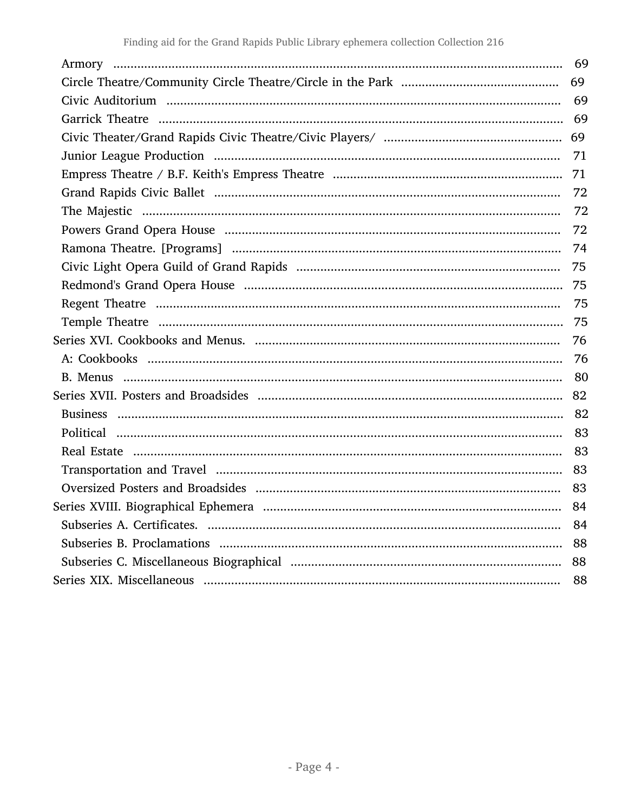|          | 72 |
|----------|----|
|          | 72 |
|          |    |
|          | 74 |
|          | 75 |
|          |    |
|          | 75 |
|          |    |
|          |    |
|          |    |
| B. Menus |    |
|          |    |
|          |    |
|          |    |
|          |    |
|          |    |
|          | 83 |
|          |    |
|          |    |
|          |    |
|          |    |
|          | 88 |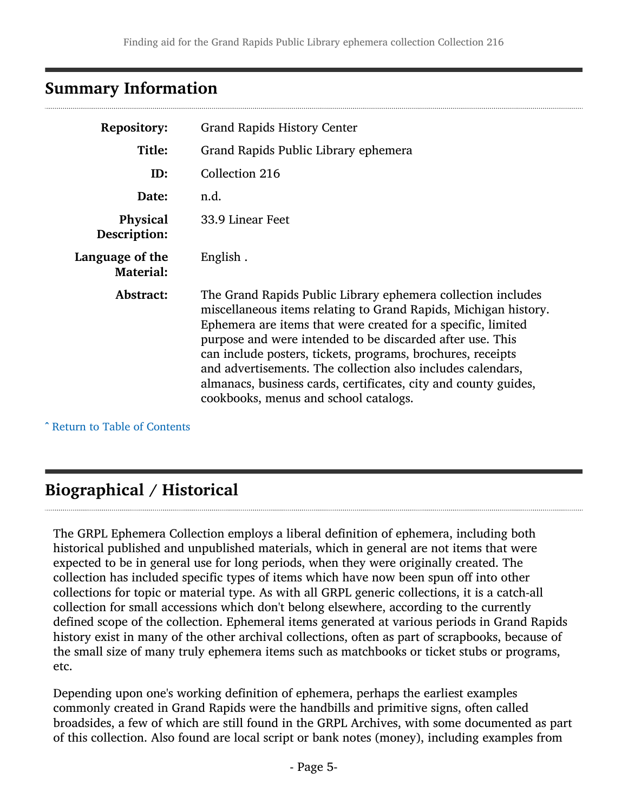### <span id="page-4-0"></span>Summary Information

| <b>Repository:</b>                  | <b>Grand Rapids History Center</b>                                                                                                                                                                                                                                                                                                                                                                                                                                                                     |  |  |
|-------------------------------------|--------------------------------------------------------------------------------------------------------------------------------------------------------------------------------------------------------------------------------------------------------------------------------------------------------------------------------------------------------------------------------------------------------------------------------------------------------------------------------------------------------|--|--|
| Title:                              | Grand Rapids Public Library ephemera                                                                                                                                                                                                                                                                                                                                                                                                                                                                   |  |  |
| ID:                                 | Collection 216                                                                                                                                                                                                                                                                                                                                                                                                                                                                                         |  |  |
| Date:                               | n.d.                                                                                                                                                                                                                                                                                                                                                                                                                                                                                                   |  |  |
| <b>Physical</b><br>Description:     | 33.9 Linear Feet                                                                                                                                                                                                                                                                                                                                                                                                                                                                                       |  |  |
| Language of the<br><b>Material:</b> | English.                                                                                                                                                                                                                                                                                                                                                                                                                                                                                               |  |  |
| <b>Abstract:</b>                    | The Grand Rapids Public Library ephemera collection includes<br>miscellaneous items relating to Grand Rapids, Michigan history.<br>Ephemera are items that were created for a specific, limited<br>purpose and were intended to be discarded after use. This<br>can include posters, tickets, programs, brochures, receipts<br>and advertisements. The collection also includes calendars,<br>almanacs, business cards, certificates, city and county guides,<br>cookbooks, menus and school catalogs. |  |  |

^ [Return to Table of Contents](#page-1-0)

## <span id="page-4-1"></span>Biographical / Historical

The GRPL Ephemera Collection employs a liberal definition of ephemera, including both historical published and unpublished materials, which in general are not items that were expected to be in general use for long periods, when they were originally created. The collection has included specific types of items which have now been spun off into other collections for topic or material type. As with all GRPL generic collections, it is a catch-all collection for small accessions which don't belong elsewhere, according to the currently defined scope of the collection. Ephemeral items generated at various periods in Grand Rapids history exist in many of the other archival collections, often as part of scrapbooks, because of the small size of many truly ephemera items such as matchbooks or ticket stubs or programs, etc.

Depending upon one's working definition of ephemera, perhaps the earliest examples commonly created in Grand Rapids were the handbills and primitive signs, often called broadsides, a few of which are still found in the GRPL Archives, with some documented as part of this collection. Also found are local script or bank notes (money), including examples from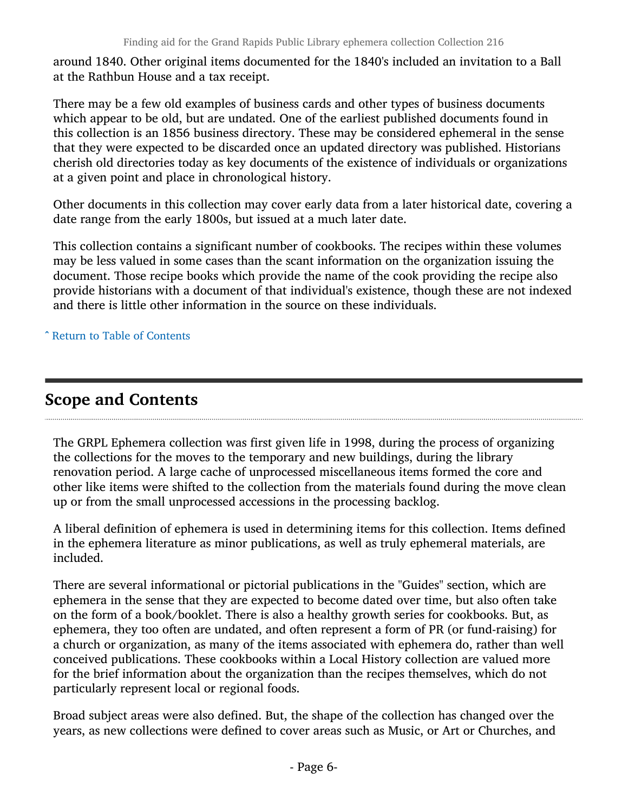around 1840. Other original items documented for the 1840's included an invitation to a Ball at the Rathbun House and a tax receipt.

There may be a few old examples of business cards and other types of business documents which appear to be old, but are undated. One of the earliest published documents found in this collection is an 1856 business directory. These may be considered ephemeral in the sense that they were expected to be discarded once an updated directory was published. Historians cherish old directories today as key documents of the existence of individuals or organizations at a given point and place in chronological history.

Other documents in this collection may cover early data from a later historical date, covering a date range from the early 1800s, but issued at a much later date.

This collection contains a significant number of cookbooks. The recipes within these volumes may be less valued in some cases than the scant information on the organization issuing the document. Those recipe books which provide the name of the cook providing the recipe also provide historians with a document of that individual's existence, though these are not indexed and there is little other information in the source on these individuals.

^ [Return to Table of Contents](#page-1-0)

### <span id="page-5-0"></span>Scope and Contents

The GRPL Ephemera collection was first given life in 1998, during the process of organizing the collections for the moves to the temporary and new buildings, during the library renovation period. A large cache of unprocessed miscellaneous items formed the core and other like items were shifted to the collection from the materials found during the move clean up or from the small unprocessed accessions in the processing backlog.

A liberal definition of ephemera is used in determining items for this collection. Items defined in the ephemera literature as minor publications, as well as truly ephemeral materials, are included.

There are several informational or pictorial publications in the "Guides" section, which are ephemera in the sense that they are expected to become dated over time, but also often take on the form of a book/booklet. There is also a healthy growth series for cookbooks. But, as ephemera, they too often are undated, and often represent a form of PR (or fund-raising) for a church or organization, as many of the items associated with ephemera do, rather than well conceived publications. These cookbooks within a Local History collection are valued more for the brief information about the organization than the recipes themselves, which do not particularly represent local or regional foods.

Broad subject areas were also defined. But, the shape of the collection has changed over the years, as new collections were defined to cover areas such as Music, or Art or Churches, and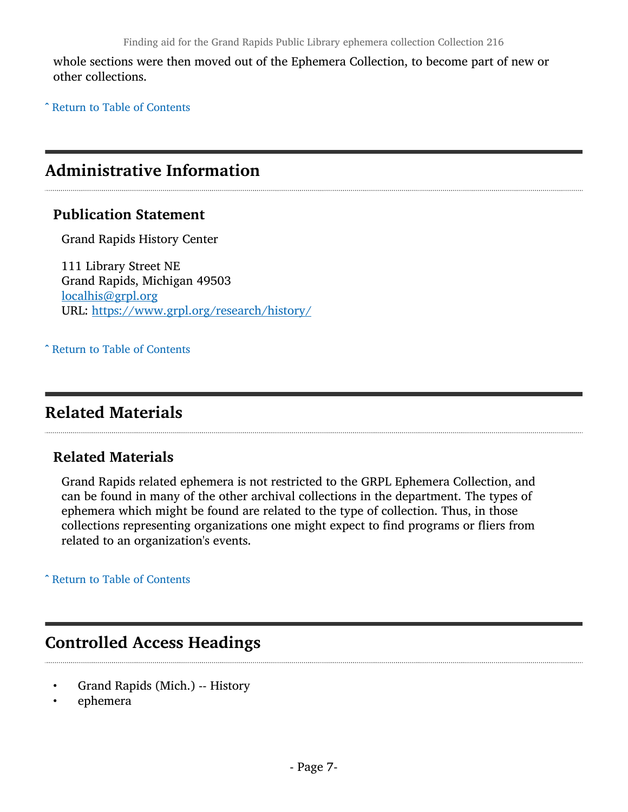whole sections were then moved out of the Ephemera Collection, to become part of new or other collections.

^ [Return to Table of Contents](#page-1-0)

### <span id="page-6-0"></span>Administrative Information

#### Publication Statement

Grand Rapids History Center

111 Library Street NE Grand Rapids, Michigan 49503 [localhis@grpl.org](mailto:localhis@grpl.org) URL: <https://www.grpl.org/research/history/>

^ [Return to Table of Contents](#page-1-0)

### <span id="page-6-1"></span>Related Materials

#### Related Materials

Grand Rapids related ephemera is not restricted to the GRPL Ephemera Collection, and can be found in many of the other archival collections in the department. The types of ephemera which might be found are related to the type of collection. Thus, in those collections representing organizations one might expect to find programs or fliers from related to an organization's events.

^ [Return to Table of Contents](#page-1-0)

### <span id="page-6-2"></span>Controlled Access Headings

- Grand Rapids (Mich.) -- History
- ephemera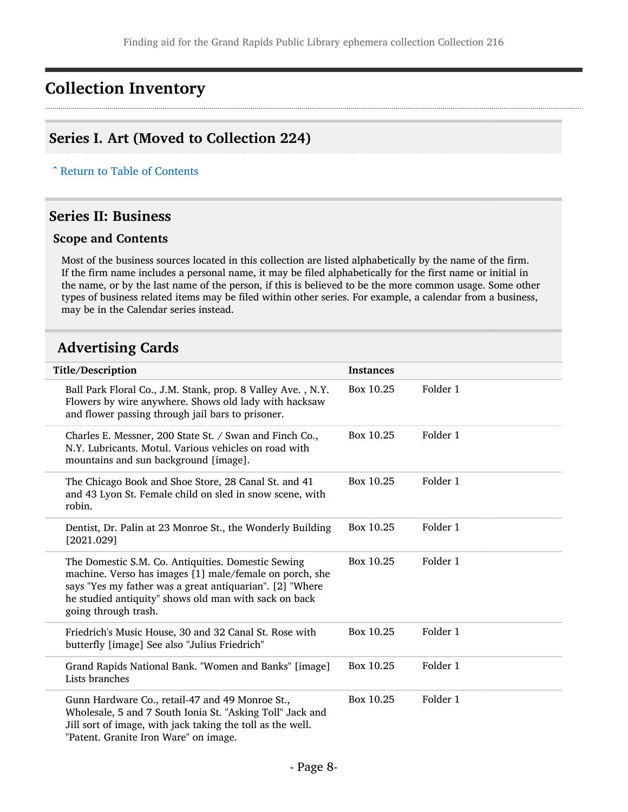### <span id="page-7-0"></span>Collection Inventory

#### <span id="page-7-1"></span>Series I. Art (Moved to Collection 224)

^ [Return to Table of Contents](#page-1-0)

#### <span id="page-7-2"></span>Series II: Business

#### Scope and Contents

Most of the business sources located in this collection are listed alphabetically by the name of the firm. If the firm name includes a personal name, it may be filed alphabetically for the first name or initial in the name, or by the last name of the person, if this is believed to be the more common usage. Some other types of business related items may be filed within other series. For example, a calendar from a business, may be in the Calendar series instead.

#### <span id="page-7-3"></span>Advertising Cards

| Title/Description                                                                                                                                                                                                                                          | <b>Instances</b> |          |
|------------------------------------------------------------------------------------------------------------------------------------------------------------------------------------------------------------------------------------------------------------|------------------|----------|
| Ball Park Floral Co., J.M. Stank, prop. 8 Valley Ave., N.Y.<br>Flowers by wire anywhere. Shows old lady with hacksaw<br>and flower passing through jail bars to prisoner.                                                                                  | Box 10.25        | Folder 1 |
| Charles E. Messner, 200 State St. / Swan and Finch Co.,<br>N.Y. Lubricants. Motul. Various vehicles on road with<br>mountains and sun background [image].                                                                                                  | Box 10.25        | Folder 1 |
| The Chicago Book and Shoe Store, 28 Canal St. and 41<br>and 43 Lyon St. Female child on sled in snow scene, with<br>robin.                                                                                                                                 | Box 10.25        | Folder 1 |
| Dentist, Dr. Palin at 23 Monroe St., the Wonderly Building<br>[2021.029]                                                                                                                                                                                   | Box 10.25        | Folder 1 |
| The Domestic S.M. Co. Antiquities. Domestic Sewing<br>machine. Verso has images [1] male/female on porch, she<br>says "Yes my father was a great antiquarian". [2] "Where<br>he studied antiquity" shows old man with sack on back<br>going through trash. | Box 10.25        | Folder 1 |
| Friedrich's Music House, 30 and 32 Canal St. Rose with<br>butterfly [image] See also "Julius Friedrich"                                                                                                                                                    | Box 10.25        | Folder 1 |
| Grand Rapids National Bank. "Women and Banks" [image]<br>Lists branches                                                                                                                                                                                    | Box 10.25        | Folder 1 |
| Gunn Hardware Co., retail-47 and 49 Monroe St.,<br>Wholesale, 5 and 7 South Ionia St. "Asking Toll" Jack and<br>Jill sort of image, with jack taking the toll as the well.<br>"Patent. Granite Iron Ware" on image.                                        | Box 10.25        | Folder 1 |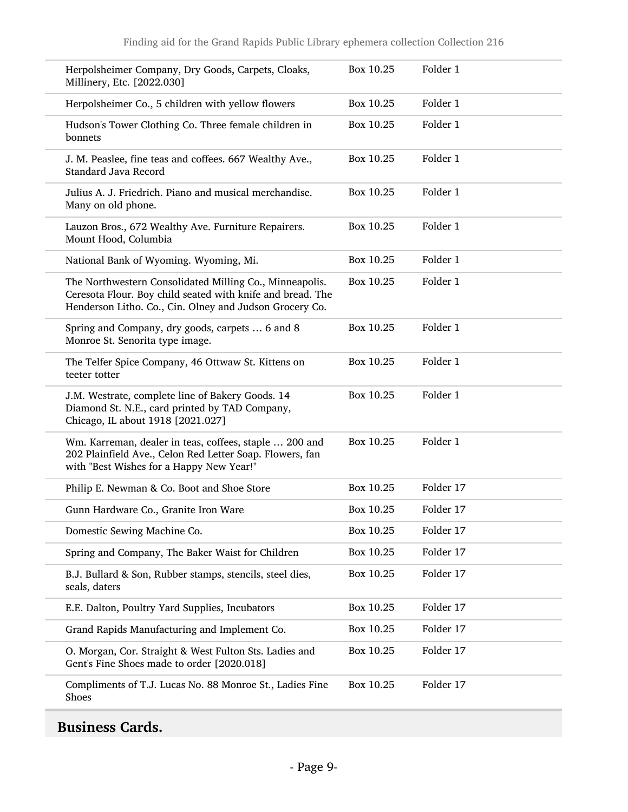| Herpolsheimer Company, Dry Goods, Carpets, Cloaks,<br>Millinery, Etc. [2022.030]                                                                                                 | Box 10.25 | Folder 1  |
|----------------------------------------------------------------------------------------------------------------------------------------------------------------------------------|-----------|-----------|
| Herpolsheimer Co., 5 children with yellow flowers                                                                                                                                | Box 10.25 | Folder 1  |
| Hudson's Tower Clothing Co. Three female children in<br>bonnets                                                                                                                  | Box 10.25 | Folder 1  |
| J. M. Peaslee, fine teas and coffees. 667 Wealthy Ave.,<br><b>Standard Java Record</b>                                                                                           | Box 10.25 | Folder 1  |
| Julius A. J. Friedrich. Piano and musical merchandise.<br>Many on old phone.                                                                                                     | Box 10.25 | Folder 1  |
| Lauzon Bros., 672 Wealthy Ave. Furniture Repairers.<br>Mount Hood, Columbia                                                                                                      | Box 10.25 | Folder 1  |
| National Bank of Wyoming. Wyoming, Mi.                                                                                                                                           | Box 10.25 | Folder 1  |
| The Northwestern Consolidated Milling Co., Minneapolis.<br>Ceresota Flour. Boy child seated with knife and bread. The<br>Henderson Litho. Co., Cin. Olney and Judson Grocery Co. | Box 10.25 | Folder 1  |
| Spring and Company, dry goods, carpets  6 and 8<br>Monroe St. Senorita type image.                                                                                               | Box 10.25 | Folder 1  |
| The Telfer Spice Company, 46 Ottwaw St. Kittens on<br>teeter totter                                                                                                              | Box 10.25 | Folder 1  |
| J.M. Westrate, complete line of Bakery Goods. 14<br>Diamond St. N.E., card printed by TAD Company,<br>Chicago, IL about 1918 [2021.027]                                          | Box 10.25 | Folder 1  |
| Wm. Karreman, dealer in teas, coffees, staple  200 and<br>202 Plainfield Ave., Celon Red Letter Soap. Flowers, fan<br>with "Best Wishes for a Happy New Year!"                   | Box 10.25 | Folder 1  |
| Philip E. Newman & Co. Boot and Shoe Store                                                                                                                                       | Box 10.25 | Folder 17 |
| Gunn Hardware Co., Granite Iron Ware                                                                                                                                             | Box 10.25 | Folder 17 |
| Domestic Sewing Machine Co.                                                                                                                                                      | Box 10.25 | Folder 17 |
| Spring and Company, The Baker Waist for Children                                                                                                                                 | Box 10.25 | Folder 17 |
| B.J. Bullard & Son, Rubber stamps, stencils, steel dies,<br>seals, daters                                                                                                        | Box 10.25 | Folder 17 |
| E.E. Dalton, Poultry Yard Supplies, Incubators                                                                                                                                   | Box 10.25 | Folder 17 |
| Grand Rapids Manufacturing and Implement Co.                                                                                                                                     | Box 10.25 | Folder 17 |
| O. Morgan, Cor. Straight & West Fulton Sts. Ladies and<br>Gent's Fine Shoes made to order [2020.018]                                                                             | Box 10.25 | Folder 17 |
| Compliments of T.J. Lucas No. 88 Monroe St., Ladies Fine<br>Shoes                                                                                                                | Box 10.25 | Folder 17 |
|                                                                                                                                                                                  |           |           |

## <span id="page-8-0"></span>Business Cards.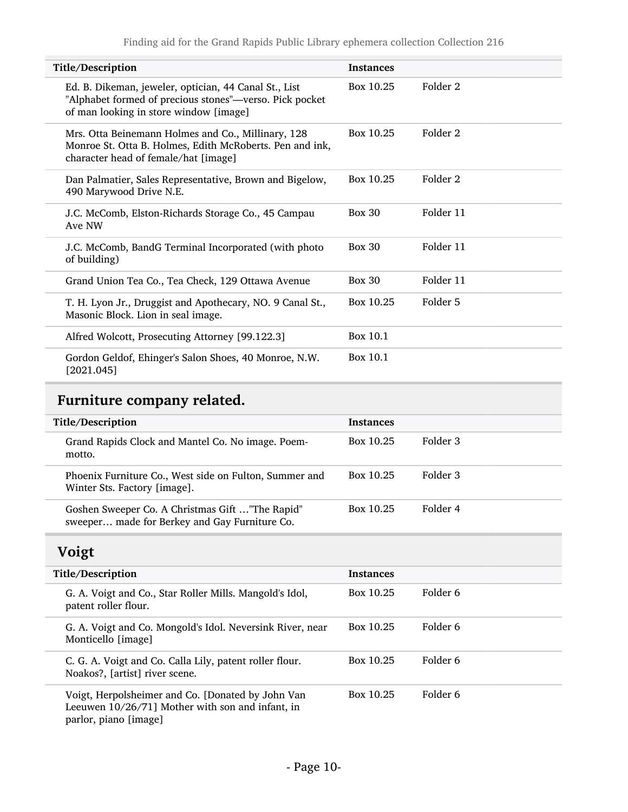| Title/Description                                                                                                                                          | <b>Instances</b> |           |
|------------------------------------------------------------------------------------------------------------------------------------------------------------|------------------|-----------|
| Ed. B. Dikeman, jeweler, optician, 44 Canal St., List<br>"Alphabet formed of precious stones"—verso. Pick pocket<br>of man looking in store window [image] | Box 10.25        | Folder 2  |
| Mrs. Otta Beinemann Holmes and Co., Millinary, 128<br>Monroe St. Otta B. Holmes, Edith McRoberts. Pen and ink,<br>character head of female/hat [image]     | Box 10.25        | Folder 2  |
| Dan Palmatier, Sales Representative, Brown and Bigelow,<br>490 Marywood Drive N.E.                                                                         | Box 10.25        | Folder 2  |
| J.C. McComb, Elston-Richards Storage Co., 45 Campau<br>Ave NW                                                                                              | Box 30           | Folder 11 |
| J.C. McComb, BandG Terminal Incorporated (with photo<br>of building)                                                                                       | Box 30           | Folder 11 |
| Grand Union Tea Co., Tea Check, 129 Ottawa Avenue                                                                                                          | Box 30           | Folder 11 |
| T. H. Lyon Jr., Druggist and Apothecary, NO. 9 Canal St.,<br>Masonic Block. Lion in seal image.                                                            | Box 10.25        | Folder 5  |
| Alfred Wolcott, Prosecuting Attorney [99.122.3]                                                                                                            | Box 10.1         |           |
| Gordon Geldof, Ehinger's Salon Shoes, 40 Monroe, N.W.<br>[2021.045]                                                                                        | Box 10.1         |           |

## <span id="page-9-0"></span>Furniture company related.

| Title/Description                                                                                 | <b>Instances</b> |          |
|---------------------------------------------------------------------------------------------------|------------------|----------|
| Grand Rapids Clock and Mantel Co. No image. Poem-<br>motto.                                       | Box 10.25        | Folder 3 |
| Phoenix Furniture Co., West side on Fulton, Summer and<br>Winter Sts. Factory [image].            | Box 10.25        | Folder 3 |
| Goshen Sweeper Co. A Christmas Gift  "The Rapid"<br>sweeper made for Berkey and Gay Furniture Co. | Box 10.25        | Folder 4 |

## <span id="page-9-1"></span>Voigt

| Title/Description                                                                                                              | <b>Instances</b> |          |
|--------------------------------------------------------------------------------------------------------------------------------|------------------|----------|
| G. A. Voigt and Co., Star Roller Mills. Mangold's Idol,<br>patent roller flour.                                                | Box 10.25        | Folder 6 |
| G. A. Voigt and Co. Mongold's Idol. Neversink River, near<br>Monticello [image]                                                | Box 10.25        | Folder 6 |
| C. G. A. Voigt and Co. Calla Lily, patent roller flour.<br>Noakos?, [artist] river scene.                                      | Box 10.25        | Folder 6 |
| Voigt, Herpolsheimer and Co. [Donated by John Van<br>Leeuwen 10/26/71] Mother with son and infant, in<br>parlor, piano [image] | Box 10.25        | Folder 6 |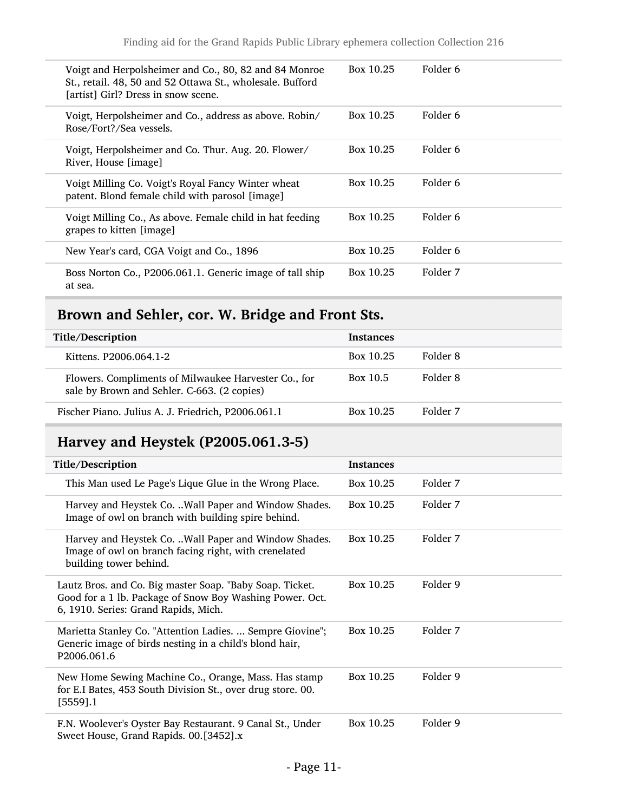| Voigt and Herpolsheimer and Co., 80, 82 and 84 Monroe<br>St., retail. 48, 50 and 52 Ottawa St., wholesale. Bufford<br>[artist] Girl? Dress in snow scene. | Box 10.25 | Folder 6 |
|-----------------------------------------------------------------------------------------------------------------------------------------------------------|-----------|----------|
| Voigt, Herpolsheimer and Co., address as above. Robin/<br>Rose/Fort?/Sea vessels.                                                                         | Box 10.25 | Folder 6 |
| Voigt, Herpolsheimer and Co. Thur. Aug. 20. Flower/<br>River, House [image]                                                                               | Box 10.25 | Folder 6 |
| Voigt Milling Co. Voigt's Royal Fancy Winter wheat<br>patent. Blond female child with parosol [image]                                                     | Box 10.25 | Folder 6 |
| Voigt Milling Co., As above. Female child in hat feeding<br>grapes to kitten [image]                                                                      | Box 10.25 | Folder 6 |
| New Year's card, CGA Voigt and Co., 1896                                                                                                                  | Box 10.25 | Folder 6 |
| Boss Norton Co., P2006.061.1. Generic image of tall ship<br>at sea.                                                                                       | Box 10.25 | Folder 7 |

## <span id="page-10-0"></span>Brown and Sehler, cor. W. Bridge and Front Sts.

| Title/Description                                                                                   | <b>Instances</b> |          |
|-----------------------------------------------------------------------------------------------------|------------------|----------|
| Kittens. P2006.064.1-2                                                                              | Box 10.25        | Folder 8 |
| Flowers. Compliments of Milwaukee Harvester Co., for<br>sale by Brown and Sehler. C-663. (2 copies) | Box 10.5         | Folder 8 |
| Fischer Piano. Julius A. J. Friedrich, P2006.061.1                                                  | Box 10.25        | Folder 7 |

## <span id="page-10-1"></span>Harvey and Heystek (P2005.061.3-5)

| Title/Description                                                                                                                                            | <b>Instances</b> |          |
|--------------------------------------------------------------------------------------------------------------------------------------------------------------|------------------|----------|
| This Man used Le Page's Lique Glue in the Wrong Place.                                                                                                       | Box 10.25        | Folder 7 |
| Harvey and Heystek Co.  Wall Paper and Window Shades.<br>Image of owl on branch with building spire behind.                                                  | Box 10.25        | Folder 7 |
| Harvey and Heystek Co.  Wall Paper and Window Shades.<br>Image of owl on branch facing right, with crenelated<br>building tower behind.                      | Box 10.25        | Folder 7 |
| Lautz Bros. and Co. Big master Soap. "Baby Soap. Ticket.<br>Good for a 1 lb. Package of Snow Boy Washing Power. Oct.<br>6, 1910. Series: Grand Rapids, Mich. | Box 10.25        | Folder 9 |
| Marietta Stanley Co. "Attention Ladies.  Sempre Giovine";<br>Generic image of birds nesting in a child's blond hair,<br>P2006.061.6                          | Box 10.25        | Folder 7 |
| New Home Sewing Machine Co., Orange, Mass. Has stamp<br>for E.I Bates, 453 South Division St., over drug store. 00.<br>[5559].1                              | Box 10.25        | Folder 9 |
| F.N. Woolever's Oyster Bay Restaurant. 9 Canal St., Under<br>Sweet House, Grand Rapids. 00.[3452].x                                                          | Box 10.25        | Folder 9 |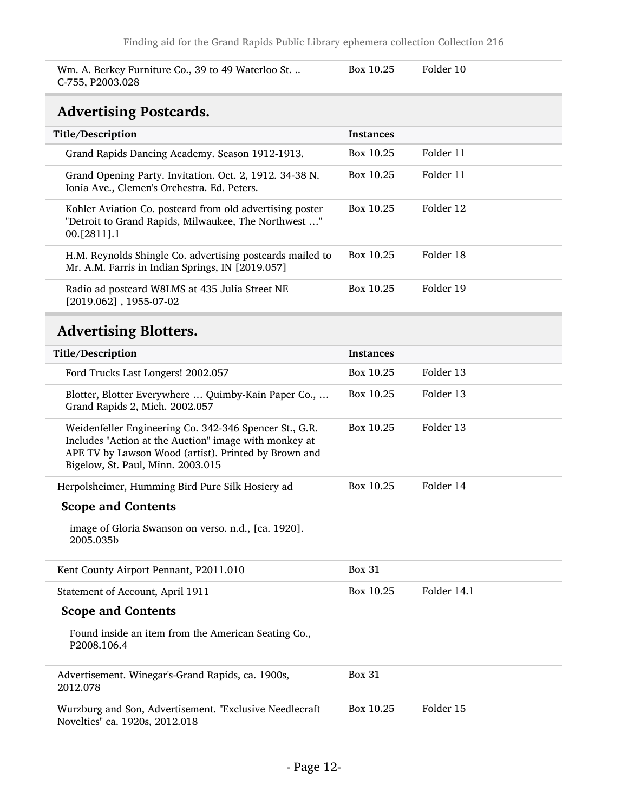Wm. A. Berkey Furniture Co., 39 to 49 Waterloo St. .. C-755, P2003.028

Box 10.25 Folder 10

#### <span id="page-11-0"></span>Advertising Postcards.

| ິ                                                                                                                                   |                  |           |
|-------------------------------------------------------------------------------------------------------------------------------------|------------------|-----------|
| Title/Description                                                                                                                   | <b>Instances</b> |           |
| Grand Rapids Dancing Academy. Season 1912-1913.                                                                                     | Box 10.25        | Folder 11 |
| Grand Opening Party. Invitation. Oct. 2, 1912. 34-38 N.<br>Ionia Ave., Clemen's Orchestra. Ed. Peters.                              | Box 10.25        | Folder 11 |
| Kohler Aviation Co. postcard from old advertising poster<br>"Detroit to Grand Rapids, Milwaukee, The Northwest "<br>$00. [2811]$ .1 | Box 10.25        | Folder 12 |
| H.M. Reynolds Shingle Co. advertising postcards mailed to<br>Mr. A.M. Farris in Indian Springs, IN [2019.057]                       | Box 10.25        | Folder 18 |
| Radio ad postcard W8LMS at 435 Julia Street NE<br>$[2019.062]$ , 1955-07-02                                                         | Box 10.25        | Folder 19 |

## <span id="page-11-1"></span>Advertising Blotters.

| Title/Description                                                                                                                                                                                            | <b>Instances</b> |             |
|--------------------------------------------------------------------------------------------------------------------------------------------------------------------------------------------------------------|------------------|-------------|
| Ford Trucks Last Longers! 2002.057                                                                                                                                                                           | Box 10.25        | Folder 13   |
| Blotter, Blotter Everywhere  Quimby-Kain Paper Co.,<br>Grand Rapids 2, Mich. 2002.057                                                                                                                        | Box 10.25        | Folder 13   |
| Weidenfeller Engineering Co. 342-346 Spencer St., G.R.<br>Includes "Action at the Auction" image with monkey at<br>APE TV by Lawson Wood (artist). Printed by Brown and<br>Bigelow, St. Paul, Minn. 2003.015 | Box 10.25        | Folder 13   |
| Herpolsheimer, Humming Bird Pure Silk Hosiery ad                                                                                                                                                             | Box 10.25        | Folder 14   |
| <b>Scope and Contents</b>                                                                                                                                                                                    |                  |             |
| image of Gloria Swanson on verso. n.d., [ca. 1920].<br>2005.035b                                                                                                                                             |                  |             |
| Kent County Airport Pennant, P2011.010                                                                                                                                                                       | <b>Box 31</b>    |             |
| Statement of Account, April 1911                                                                                                                                                                             | Box 10.25        | Folder 14.1 |
| <b>Scope and Contents</b>                                                                                                                                                                                    |                  |             |
| Found inside an item from the American Seating Co.,<br>P2008.106.4                                                                                                                                           |                  |             |
| Advertisement. Winegar's-Grand Rapids, ca. 1900s,<br>2012.078                                                                                                                                                | <b>Box 31</b>    |             |
| Wurzburg and Son, Advertisement. "Exclusive Needlecraft<br>Novelties" ca. 1920s, 2012.018                                                                                                                    | Box 10.25        | Folder 15   |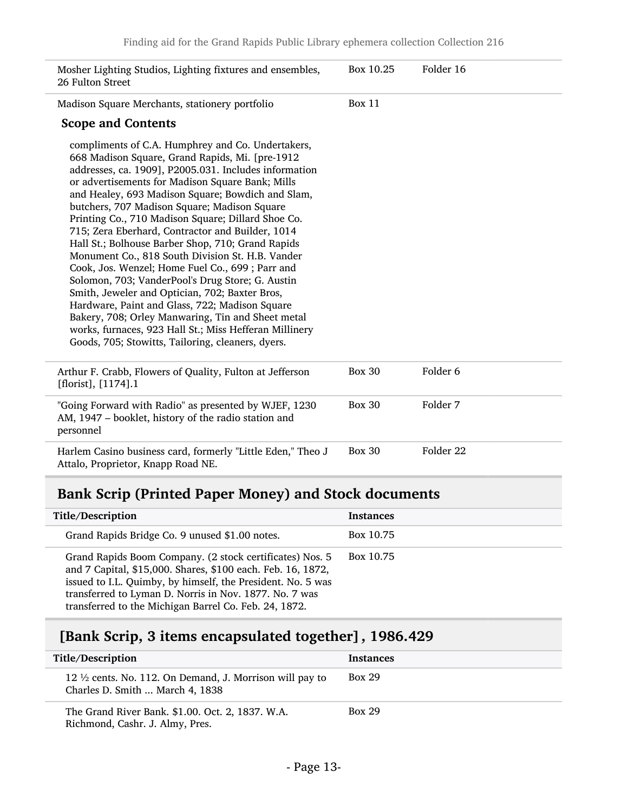| Mosher Lighting Studios, Lighting fixtures and ensembles,<br>26 Fulton Street                                                                                                                                                                                                                                                                                                                                                                                                                                                                                                                                                                                                                                                                                                                                                                                                                                            | Box 10.25     | Folder 16           |
|--------------------------------------------------------------------------------------------------------------------------------------------------------------------------------------------------------------------------------------------------------------------------------------------------------------------------------------------------------------------------------------------------------------------------------------------------------------------------------------------------------------------------------------------------------------------------------------------------------------------------------------------------------------------------------------------------------------------------------------------------------------------------------------------------------------------------------------------------------------------------------------------------------------------------|---------------|---------------------|
| Madison Square Merchants, stationery portfolio                                                                                                                                                                                                                                                                                                                                                                                                                                                                                                                                                                                                                                                                                                                                                                                                                                                                           | <b>Box 11</b> |                     |
| <b>Scope and Contents</b>                                                                                                                                                                                                                                                                                                                                                                                                                                                                                                                                                                                                                                                                                                                                                                                                                                                                                                |               |                     |
| compliments of C.A. Humphrey and Co. Undertakers,<br>668 Madison Square, Grand Rapids, Mi. [pre-1912<br>addresses, ca. 1909], P2005.031. Includes information<br>or advertisements for Madison Square Bank; Mills<br>and Healey, 693 Madison Square; Bowdich and Slam,<br>butchers, 707 Madison Square; Madison Square<br>Printing Co., 710 Madison Square; Dillard Shoe Co.<br>715; Zera Eberhard, Contractor and Builder, 1014<br>Hall St.; Bolhouse Barber Shop, 710; Grand Rapids<br>Monument Co., 818 South Division St. H.B. Vander<br>Cook, Jos. Wenzel; Home Fuel Co., 699; Parr and<br>Solomon, 703; VanderPool's Drug Store; G. Austin<br>Smith, Jeweler and Optician, 702; Baxter Bros,<br>Hardware, Paint and Glass, 722; Madison Square<br>Bakery, 708; Orley Manwaring, Tin and Sheet metal<br>works, furnaces, 923 Hall St.; Miss Hefferan Millinery<br>Goods, 705; Stowitts, Tailoring, cleaners, dyers. |               |                     |
| Arthur F. Crabb, Flowers of Quality, Fulton at Jefferson<br>[florist], [1174].1                                                                                                                                                                                                                                                                                                                                                                                                                                                                                                                                                                                                                                                                                                                                                                                                                                          | <b>Box 30</b> | Folder <sub>6</sub> |
| "Going Forward with Radio" as presented by WJEF, 1230<br>AM, 1947 – booklet, history of the radio station and<br>personnel                                                                                                                                                                                                                                                                                                                                                                                                                                                                                                                                                                                                                                                                                                                                                                                               | <b>Box 30</b> | Folder 7            |
| Harlem Casino business card, formerly "Little Eden," Theo J<br>Attalo, Proprietor, Knapp Road NE.                                                                                                                                                                                                                                                                                                                                                                                                                                                                                                                                                                                                                                                                                                                                                                                                                        | <b>Box 30</b> | Folder 22           |
|                                                                                                                                                                                                                                                                                                                                                                                                                                                                                                                                                                                                                                                                                                                                                                                                                                                                                                                          |               |                     |

### <span id="page-12-0"></span>Bank Scrip (Printed Paper Money) and Stock documents

| Title/Description                                                                                                                                                                                                                                                                                         | <b>Instances</b> |
|-----------------------------------------------------------------------------------------------------------------------------------------------------------------------------------------------------------------------------------------------------------------------------------------------------------|------------------|
| Grand Rapids Bridge Co. 9 unused \$1.00 notes.                                                                                                                                                                                                                                                            | Box 10.75        |
| Grand Rapids Boom Company. (2 stock certificates) Nos. 5<br>and 7 Capital, \$15,000. Shares, \$100 each. Feb. 16, 1872,<br>issued to I.L. Quimby, by himself, the President. No. 5 was<br>transferred to Lyman D. Norris in Nov. 1877. No. 7 was<br>transferred to the Michigan Barrel Co. Feb. 24, 1872. | Box 10.75        |

## <span id="page-12-1"></span>[Bank Scrip, 3 items encapsulated together], 1986.429

| Title/Description                                                                                      | <b>Instances</b> |
|--------------------------------------------------------------------------------------------------------|------------------|
| 12 $\frac{1}{2}$ cents. No. 112. On Demand, J. Morrison will pay to<br>Charles D. Smith  March 4, 1838 | <b>Box 29</b>    |
| The Grand River Bank. \$1.00. Oct. 2, 1837. W.A.<br>Richmond, Cashr. J. Almy, Pres.                    | <b>Box 29</b>    |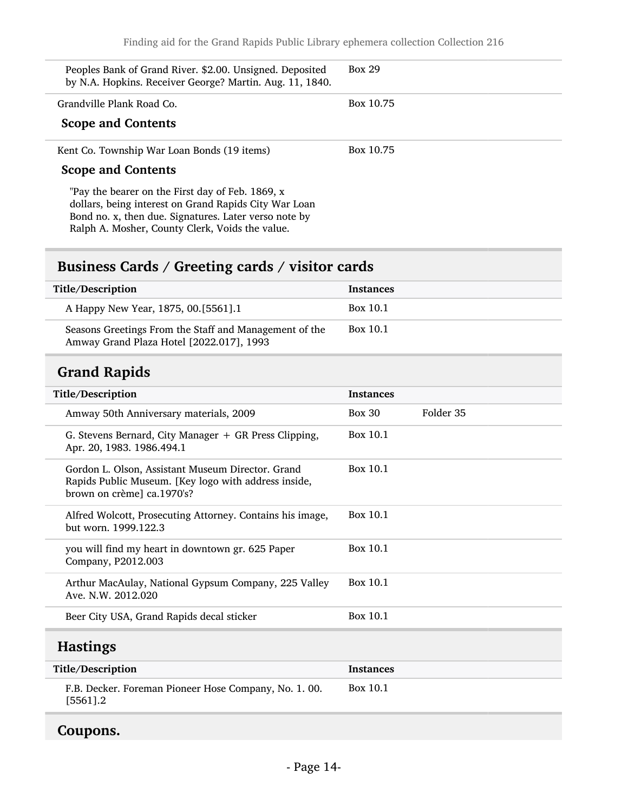| Peoples Bank of Grand River. \$2.00. Unsigned. Deposited<br>by N.A. Hopkins. Receiver George? Martin. Aug. 11, 1840. | <b>Box 29</b> |
|----------------------------------------------------------------------------------------------------------------------|---------------|
| Grandville Plank Road Co.                                                                                            | Box 10.75     |
| <b>Scope and Contents</b>                                                                                            |               |
| Kent Co. Township War Loan Bonds (19 items)                                                                          | Box 10.75     |
| <b>Scope and Contents</b>                                                                                            |               |
| "Pay the bearer on the First day of Feb. 1869, x<br>dollars, boing interest on Crond Donide City War Loop            |               |

dollars, being interest on Grand Rapids City War Loan Bond no. x, then due. Signatures. Later verso note by Ralph A. Mosher, County Clerk, Voids the value.

#### <span id="page-13-0"></span>Business Cards / Greeting cards / visitor cards

| Title/Description                                                                                  | <b>Instances</b> |
|----------------------------------------------------------------------------------------------------|------------------|
| A Happy New Year, 1875, 00.[5561].1                                                                | Box 10.1         |
| Seasons Greetings From the Staff and Management of the<br>Amway Grand Plaza Hotel [2022.017], 1993 | Box 10.1         |

#### <span id="page-13-1"></span>Grand Rapids

| Title/Description                                                                                                                       | <b>Instances</b> |           |
|-----------------------------------------------------------------------------------------------------------------------------------------|------------------|-----------|
| Amway 50th Anniversary materials, 2009                                                                                                  | <b>Box 30</b>    | Folder 35 |
| G. Stevens Bernard, City Manager + GR Press Clipping,<br>Apr. 20, 1983. 1986.494.1                                                      | Box 10.1         |           |
| Gordon L. Olson, Assistant Museum Director. Grand<br>Rapids Public Museum. [Key logo with address inside,<br>brown on crème] ca.1970's? | Box 10.1         |           |
| Alfred Wolcott, Prosecuting Attorney. Contains his image,<br>but worn. 1999.122.3                                                       | Box 10.1         |           |
| you will find my heart in downtown gr. 625 Paper<br>Company, P2012.003                                                                  | Box 10.1         |           |
| Arthur MacAulay, National Gypsum Company, 225 Valley<br>Ave. N.W. 2012.020                                                              | Box 10.1         |           |
| Beer City USA, Grand Rapids decal sticker                                                                                               | Box 10.1         |           |
| <b>Hastings</b>                                                                                                                         |                  |           |
| Title/Description                                                                                                                       | <b>Instances</b> |           |
| F.B. Decker. Foreman Pioneer Hose Company, No. 1. 00.<br>$[5561]$ .2                                                                    | Box 10.1         |           |
|                                                                                                                                         |                  |           |

#### <span id="page-13-3"></span><span id="page-13-2"></span>Coupons.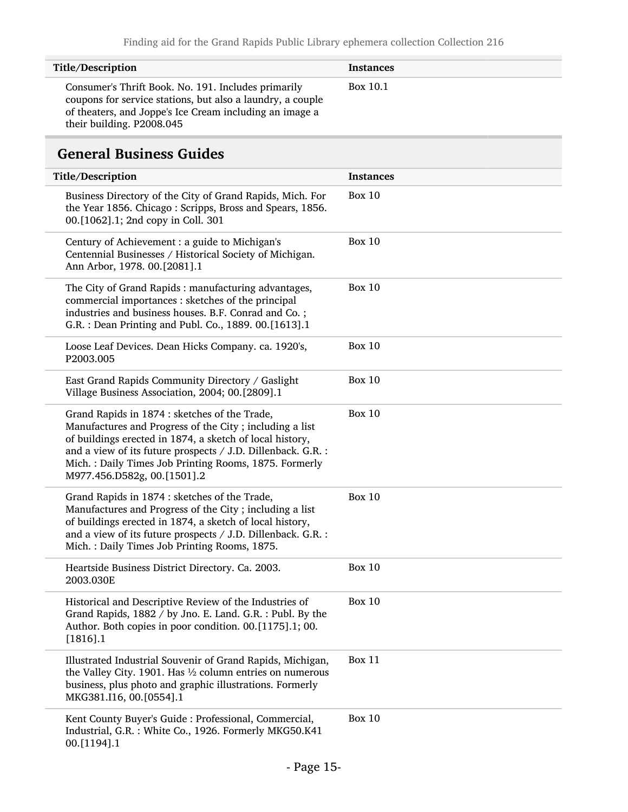| Title/Description                                                                                                                                                                                         | <b>Instances</b> |
|-----------------------------------------------------------------------------------------------------------------------------------------------------------------------------------------------------------|------------------|
| Consumer's Thrift Book. No. 191. Includes primarily<br>coupons for service stations, but also a laundry, a couple<br>of theaters, and Joppe's Ice Cream including an image a<br>their building. P2008.045 | Box 10.1         |

#### <span id="page-14-0"></span>General Business Guides

| Title/Description                                                                                                                                                                                                                                                                                                            | <b>Instances</b> |
|------------------------------------------------------------------------------------------------------------------------------------------------------------------------------------------------------------------------------------------------------------------------------------------------------------------------------|------------------|
| Business Directory of the City of Grand Rapids, Mich. For<br>the Year 1856. Chicago: Scripps, Bross and Spears, 1856.<br>00.[1062].1; 2nd copy in Coll. 301                                                                                                                                                                  | <b>Box 10</b>    |
| Century of Achievement : a guide to Michigan's<br>Centennial Businesses / Historical Society of Michigan.<br>Ann Arbor, 1978. 00.[2081].1                                                                                                                                                                                    | <b>Box 10</b>    |
| The City of Grand Rapids: manufacturing advantages,<br>commercial importances : sketches of the principal<br>industries and business houses. B.F. Conrad and Co.;<br>G.R.: Dean Printing and Publ. Co., 1889. 00.[1613].1                                                                                                    | <b>Box 10</b>    |
| Loose Leaf Devices. Dean Hicks Company. ca. 1920's,<br>P2003.005                                                                                                                                                                                                                                                             | <b>Box 10</b>    |
| East Grand Rapids Community Directory / Gaslight<br>Village Business Association, 2004; 00.[2809].1                                                                                                                                                                                                                          | <b>Box 10</b>    |
| Grand Rapids in 1874 : sketches of the Trade,<br>Manufactures and Progress of the City; including a list<br>of buildings erected in 1874, a sketch of local history,<br>and a view of its future prospects / J.D. Dillenback. G.R. :<br>Mich.: Daily Times Job Printing Rooms, 1875. Formerly<br>M977.456.D582g, 00.[1501].2 | <b>Box 10</b>    |
| Grand Rapids in 1874 : sketches of the Trade,<br>Manufactures and Progress of the City; including a list<br>of buildings erected in 1874, a sketch of local history,<br>and a view of its future prospects / J.D. Dillenback. G.R. :<br>Mich.: Daily Times Job Printing Rooms, 1875.                                         | <b>Box 10</b>    |
| Heartside Business District Directory. Ca. 2003.<br>2003.030E                                                                                                                                                                                                                                                                | <b>Box 10</b>    |
| Historical and Descriptive Review of the Industries of<br>Grand Rapids, 1882 / by Jno. E. Land. G.R. : Publ. By the<br>Author. Both copies in poor condition. 00.[1175].1; 00.<br>$[1816]$ .1                                                                                                                                | <b>Box 10</b>    |
| Illustrated Industrial Souvenir of Grand Rapids, Michigan,<br>the Valley City. 1901. Has $\frac{1}{2}$ column entries on numerous<br>business, plus photo and graphic illustrations. Formerly<br>MKG381.I16, 00.[0554].1                                                                                                     | <b>Box 11</b>    |
| Kent County Buyer's Guide : Professional, Commercial,<br>Industrial, G.R.: White Co., 1926. Formerly MKG50.K41<br>00. [1194]. 1                                                                                                                                                                                              | <b>Box 10</b>    |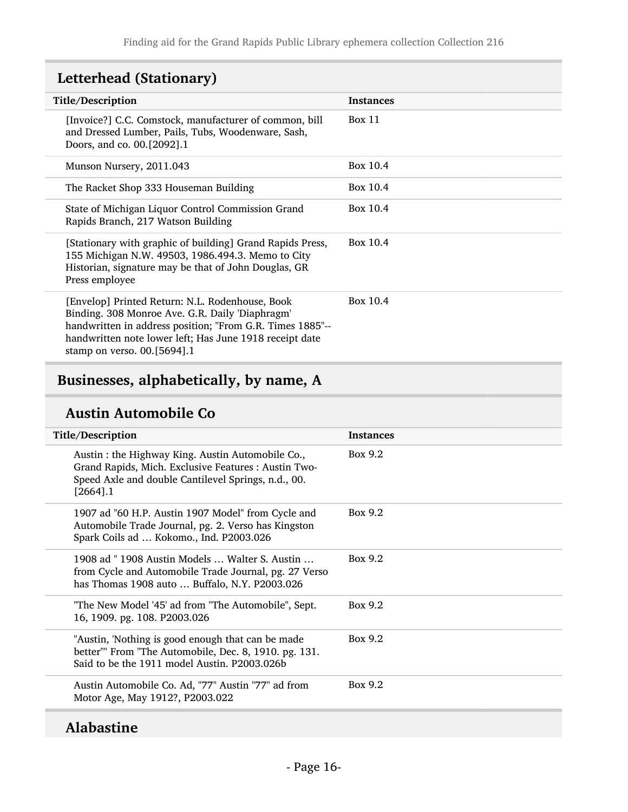## <span id="page-15-0"></span>Letterhead (Stationary)

| Title/Description                                                                                                                                                                                                                                         | <b>Instances</b> |
|-----------------------------------------------------------------------------------------------------------------------------------------------------------------------------------------------------------------------------------------------------------|------------------|
| [Invoice?] C.C. Comstock, manufacturer of common, bill<br>and Dressed Lumber, Pails, Tubs, Woodenware, Sash,<br>Doors, and co. 00.[2092].1                                                                                                                | Box 11           |
| Munson Nursery, 2011.043                                                                                                                                                                                                                                  | Box 10.4         |
| The Racket Shop 333 Houseman Building                                                                                                                                                                                                                     | Box 10.4         |
| State of Michigan Liquor Control Commission Grand<br>Rapids Branch, 217 Watson Building                                                                                                                                                                   | Box 10.4         |
| [Stationary with graphic of building] Grand Rapids Press,<br>155 Michigan N.W. 49503, 1986.494.3. Memo to City<br>Historian, signature may be that of John Douglas, GR<br>Press employee                                                                  | Box 10.4         |
| [Envelop] Printed Return: N.L. Rodenhouse, Book<br>Binding. 308 Monroe Ave. G.R. Daily 'Diaphragm'<br>handwritten in address position; "From G.R. Times 1885"--<br>handwritten note lower left; Has June 1918 receipt date<br>stamp on verso. 00.[5694].1 | Box 10.4         |

## <span id="page-15-1"></span>Businesses, alphabetically, by name, A

### Austin Automobile Co

| Title/Description                                                                                                                                                              | <b>Instances</b> |
|--------------------------------------------------------------------------------------------------------------------------------------------------------------------------------|------------------|
| Austin : the Highway King. Austin Automobile Co.,<br>Grand Rapids, Mich. Exclusive Features: Austin Two-<br>Speed Axle and double Cantilevel Springs, n.d., 00.<br>$[2664]$ .1 | Box 9.2          |
| 1907 ad "60 H.P. Austin 1907 Model" from Cycle and<br>Automobile Trade Journal, pg. 2. Verso has Kingston<br>Spark Coils ad  Kokomo., Ind. P2003.026                           | <b>Box 9.2</b>   |
| 1908 ad "1908 Austin Models  Walter S. Austin<br>from Cycle and Automobile Trade Journal, pg. 27 Verso<br>has Thomas 1908 auto  Buffalo, N.Y. P2003.026                        | <b>Box 9.2</b>   |
| "The New Model '45' ad from "The Automobile", Sept.<br>16, 1909. pg. 108. P2003.026                                                                                            | Box 9.2          |
| "Austin, 'Nothing is good enough that can be made<br>better"" From "The Automobile, Dec. 8, 1910. pg. 131.<br>Said to be the 1911 model Austin, P2003.026b                     | Box 9.2          |
| Austin Automobile Co. Ad, "77" Austin "77" ad from<br>Motor Age, May 1912?, P2003.022                                                                                          | Box 9.2          |
|                                                                                                                                                                                |                  |

## Alabastine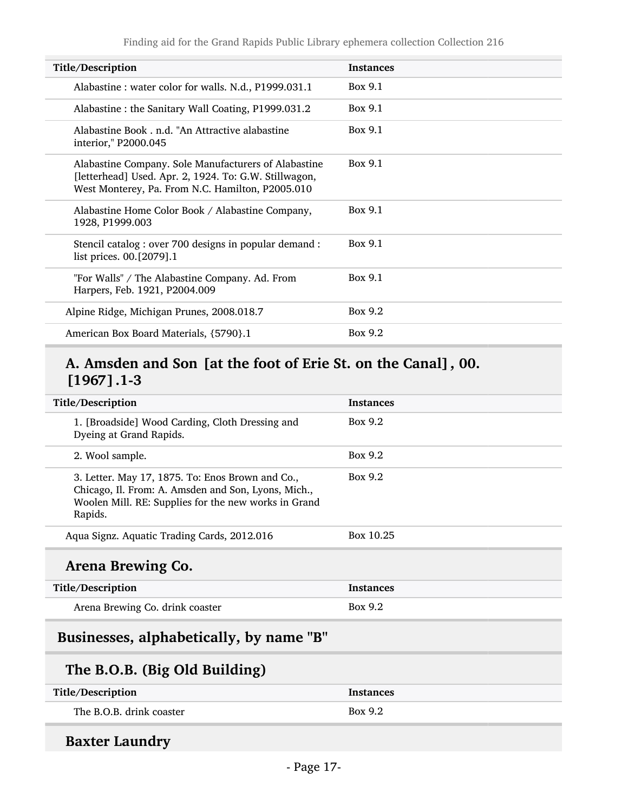| Title/Description                                                                                                                                                 | <b>Instances</b> |
|-------------------------------------------------------------------------------------------------------------------------------------------------------------------|------------------|
| Alabastine : water color for walls. N.d., P1999.031.1                                                                                                             | Box 9.1          |
| Alabastine: the Sanitary Wall Coating, P1999.031.2                                                                                                                | Box 9.1          |
| Alabastine Book, n.d. "An Attractive alabastine<br>interior," P2000.045                                                                                           | Box 9.1          |
| Alabastine Company. Sole Manufacturers of Alabastine<br>[letterhead] Used. Apr. 2, 1924. To: G.W. Stillwagon,<br>West Monterey, Pa. From N.C. Hamilton, P2005.010 | Box 9.1          |
| Alabastine Home Color Book / Alabastine Company,<br>1928, P1999.003                                                                                               | Box 9.1          |
| Stencil catalog : over 700 designs in popular demand :<br>list prices. 00.[2079].1                                                                                | Box 9.1          |
| "For Walls" / The Alabastine Company. Ad. From<br>Harpers, Feb. 1921, P2004.009                                                                                   | Box 9.1          |
| Alpine Ridge, Michigan Prunes, 2008.018.7                                                                                                                         | Box 9.2          |
| American Box Board Materials, {5790}.1                                                                                                                            | Box 9.2          |

### A. Amsden and Son [at the foot of Erie St. on the Canal], 00. [1967].1-3

| Title/Description                                                                                                                                                          | <b>Instances</b> |
|----------------------------------------------------------------------------------------------------------------------------------------------------------------------------|------------------|
| 1. [Broadside] Wood Carding, Cloth Dressing and<br>Dyeing at Grand Rapids.                                                                                                 | <b>Box 9.2</b>   |
| 2. Wool sample.                                                                                                                                                            | Box 9.2          |
| 3. Letter. May 17, 1875. To: Enos Brown and Co.,<br>Chicago, Il. From: A. Amsden and Son, Lyons, Mich.,<br>Woolen Mill. RE: Supplies for the new works in Grand<br>Rapids. | Box 9.2          |
| Aqua Signz. Aquatic Trading Cards, 2012.016                                                                                                                                | Box 10.25        |
|                                                                                                                                                                            |                  |

### Arena Brewing Co.

| Title/Description               | <b>Instances</b> |
|---------------------------------|------------------|
| Arena Brewing Co. drink coaster | Box 9.2          |

### <span id="page-16-0"></span>Businesses, alphabetically, by name "B"

### The B.O.B. (Big Old Building)

| Title/Description        | Instances |
|--------------------------|-----------|
| The B.O.B. drink coaster | Box 9.2   |

### Baxter Laundry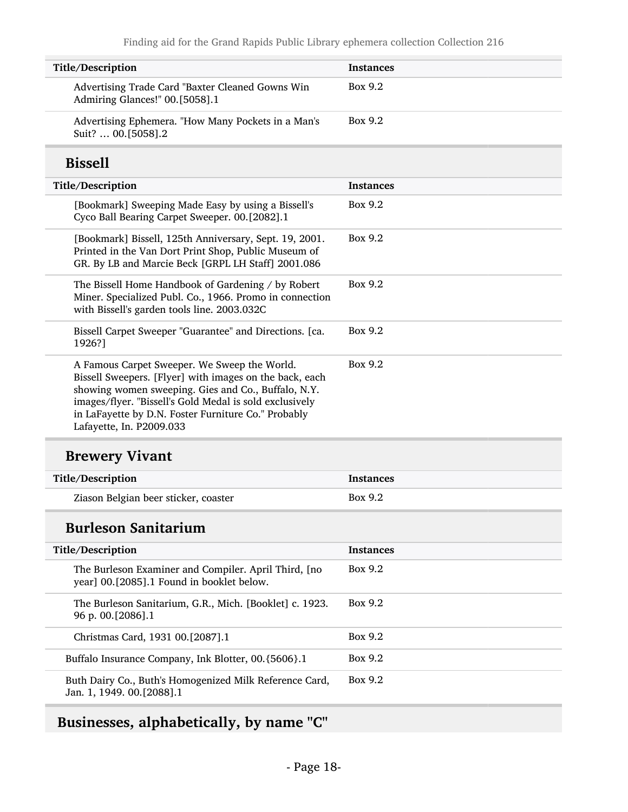| Title/Description                                                                                                                                                                                                                                                                                            | <b>Instances</b> |
|--------------------------------------------------------------------------------------------------------------------------------------------------------------------------------------------------------------------------------------------------------------------------------------------------------------|------------------|
| Advertising Trade Card "Baxter Cleaned Gowns Win<br>Admiring Glances!" 00.[5058].1                                                                                                                                                                                                                           | Box 9.2          |
| Advertising Ephemera. "How Many Pockets in a Man's<br>Suit?  00.[5058].2                                                                                                                                                                                                                                     | Box 9.2          |
| <b>Bissell</b>                                                                                                                                                                                                                                                                                               |                  |
| Title/Description                                                                                                                                                                                                                                                                                            | <b>Instances</b> |
| [Bookmark] Sweeping Made Easy by using a Bissell's<br>Cyco Ball Bearing Carpet Sweeper. 00.[2082].1                                                                                                                                                                                                          | Box 9.2          |
| [Bookmark] Bissell, 125th Anniversary, Sept. 19, 2001.<br>Printed in the Van Dort Print Shop, Public Museum of<br>GR. By LB and Marcie Beck [GRPL LH Staff] 2001.086                                                                                                                                         | Box 9.2          |
| The Bissell Home Handbook of Gardening / by Robert<br>Miner. Specialized Publ. Co., 1966. Promo in connection<br>with Bissell's garden tools line. 2003.032C                                                                                                                                                 | Box 9.2          |
| Bissell Carpet Sweeper "Guarantee" and Directions. [ca.<br>1926?]                                                                                                                                                                                                                                            | Box 9.2          |
| A Famous Carpet Sweeper. We Sweep the World.<br>Bissell Sweepers. [Flyer] with images on the back, each<br>showing women sweeping. Gies and Co., Buffalo, N.Y.<br>images/flyer. "Bissell's Gold Medal is sold exclusively<br>in LaFayette by D.N. Foster Furniture Co." Probably<br>Lafayette, In. P2009.033 | Box 9.2          |
| <b>Brewery Vivant</b>                                                                                                                                                                                                                                                                                        |                  |
| Title/Description                                                                                                                                                                                                                                                                                            | <b>Instances</b> |
| Ziason Belgian beer sticker, coaster                                                                                                                                                                                                                                                                         | Box 9.2          |
| <b>Burleson Sanitarium</b>                                                                                                                                                                                                                                                                                   |                  |
| Title/Description                                                                                                                                                                                                                                                                                            | <b>Instances</b> |
| The Burleson Examiner and Compiler. April Third, [no                                                                                                                                                                                                                                                         | Box 9.2          |

| year   00.12085.1 Found in booklet below.                                              |         |
|----------------------------------------------------------------------------------------|---------|
| The Burleson Sanitarium, G.R., Mich. [Booklet] c. 1923.<br>96 p. 00. $[2086]$ .1       | Box 9.2 |
| Christmas Card, 1931 00.[2087].1                                                       | Box 9.2 |
| Buffalo Insurance Company, Ink Blotter, 00. {5606}.1                                   | Box 9.2 |
| Buth Dairy Co., Buth's Homogenized Milk Reference Card,<br>Jan. 1, 1949. 00. [2088]. 1 | Box 9.2 |

## <span id="page-17-0"></span>Businesses, alphabetically, by name "C"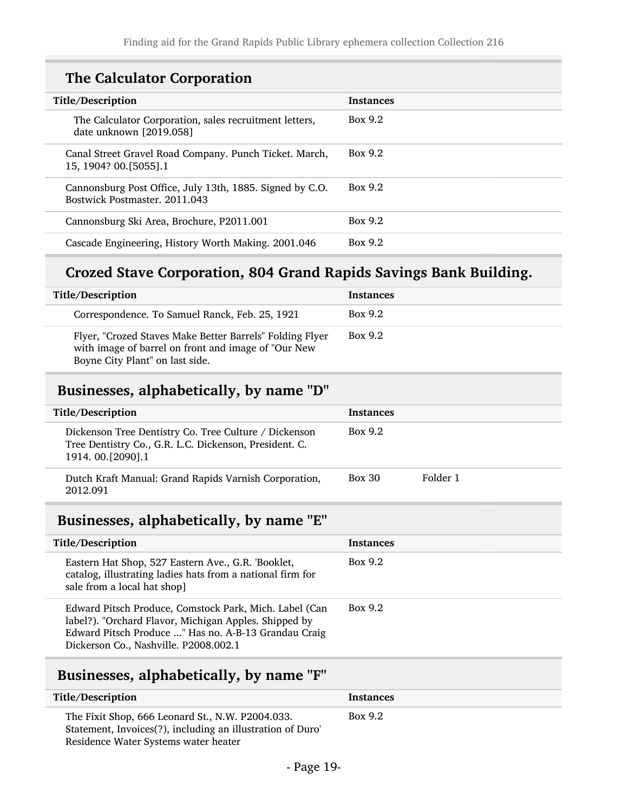## The Calculator Corporation

| Title/Description                                                                         | <b>Instances</b> |
|-------------------------------------------------------------------------------------------|------------------|
| The Calculator Corporation, sales recruitment letters,<br>date unknown [2019.058]         | Box 9.2          |
| Canal Street Gravel Road Company. Punch Ticket. March,<br>15, 1904? 00. [5055]. 1         | Box 9.2          |
| Cannonsburg Post Office, July 13th, 1885. Signed by C.O.<br>Bostwick Postmaster, 2011.043 | Box 9.2          |
| Cannonsburg Ski Area, Brochure, P2011.001                                                 | Box 9.2          |
| Cascade Engineering, History Worth Making. 2001.046                                       | Box 9.2          |

### Crozed Stave Corporation, 804 Grand Rapids Savings Bank Building.

| Title/Description                                                                                                                                  | <b>Instances</b> |
|----------------------------------------------------------------------------------------------------------------------------------------------------|------------------|
| Correspondence. To Samuel Ranck, Feb. 25, 1921                                                                                                     | Box 9.2          |
| Flyer, "Crozed Staves Make Better Barrels" Folding Flyer<br>with image of barrel on front and image of "Our New<br>Boyne City Plant" on last side. | Box 9.2          |

#### <span id="page-18-0"></span>Businesses, alphabetically, by name "D"

| Title/Description                                                                                                                      | <b>Instances</b> |          |
|----------------------------------------------------------------------------------------------------------------------------------------|------------------|----------|
| Dickenson Tree Dentistry Co. Tree Culture / Dickenson<br>Tree Dentistry Co., G.R. L.C. Dickenson, President. C.<br>1914. 00. [2090]. 1 | Box 9.2          |          |
| Dutch Kraft Manual: Grand Rapids Varnish Corporation,<br>2012.091                                                                      | <b>Box 30</b>    | Folder 1 |

### <span id="page-18-1"></span>Businesses, alphabetically, by name "E"

| Title/Description                                                                                                                                                                                                | <b>Instances</b> |
|------------------------------------------------------------------------------------------------------------------------------------------------------------------------------------------------------------------|------------------|
| Eastern Hat Shop, 527 Eastern Ave., G.R. Booklet,<br>catalog, illustrating ladies hats from a national firm for<br>sale from a local hat shop]                                                                   | Box 9.2          |
| Edward Pitsch Produce, Comstock Park, Mich. Label (Can<br>label?). "Orchard Flavor, Michigan Apples. Shipped by<br>Edward Pitsch Produce " Has no. A-B-13 Grandau Craig<br>Dickerson Co., Nashville. P2008.002.1 | Box 9.2          |

#### <span id="page-18-2"></span>Businesses, alphabetically, by name "F"

| Title/Description                                                                                                                                      | <b>Instances</b> |
|--------------------------------------------------------------------------------------------------------------------------------------------------------|------------------|
| The Fixit Shop, 666 Leonard St., N.W. P2004.033.<br>Statement, Invoices(?), including an illustration of Duro'<br>Residence Water Systems water heater | Box 9.2          |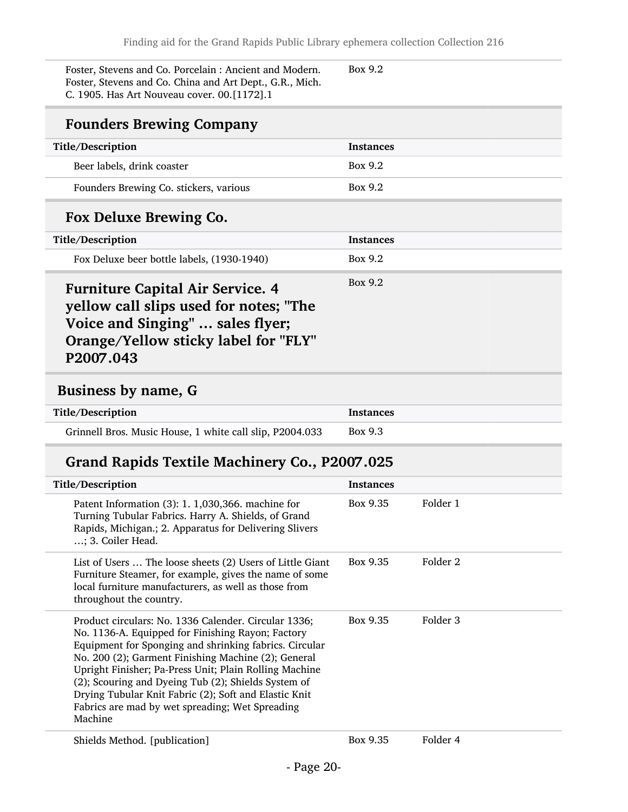Foster, Stevens and Co. Porcelain : Ancient and Modern. Foster, Stevens and Co. China and Art Dept., G.R., Mich. C. 1905. Has Art Nouveau cover. 00.[1172].1

Box 9.2

#### Founders Brewing Company

| Title/Description                      | <b>Instances</b> |
|----------------------------------------|------------------|
| Beer labels, drink coaster             | <b>Box 9.2</b>   |
| Founders Brewing Co. stickers, various | <b>Box 9.2</b>   |

#### Fox Deluxe Brewing Co.

| Title/Description                          | <b>Instances</b> |
|--------------------------------------------|------------------|
| Fox Deluxe beer bottle labels, (1930-1940) | Box 9.2          |
| Eurniture Capital Air Service A            | Box 9.2          |

Furniture Capital Air Service. 4 yellow call slips used for notes; "The Voice and Singing" … sales flyer; Orange/Yellow sticky label for "FLY" P2007.043

#### <span id="page-19-0"></span>Business by name, G

| Title/Description                                        | Instances |
|----------------------------------------------------------|-----------|
| Grinnell Bros. Music House, 1 white call slip, P2004.033 | Box 9.3   |

### Grand Rapids Textile Machinery Co., P2007.025

| Title/Description                                                                                                                                                                                                                                                                                                                                                                                                                                                  | Instances |          |
|--------------------------------------------------------------------------------------------------------------------------------------------------------------------------------------------------------------------------------------------------------------------------------------------------------------------------------------------------------------------------------------------------------------------------------------------------------------------|-----------|----------|
| Patent Information $(3)$ : 1. 1,030,366. machine for<br>Turning Tubular Fabrics. Harry A. Shields, of Grand<br>Rapids, Michigan.; 2. Apparatus for Delivering Slivers<br>; 3. Coiler Head.                                                                                                                                                                                                                                                                         | Box 9.35  | Folder 1 |
| List of Users  The loose sheets (2) Users of Little Giant<br>Furniture Steamer, for example, gives the name of some<br>local furniture manufacturers, as well as those from<br>throughout the country.                                                                                                                                                                                                                                                             | Box 9.35  | Folder 2 |
| Product circulars: No. 1336 Calender. Circular 1336;<br>No. 1136-A. Equipped for Finishing Rayon; Factory<br>Equipment for Sponging and shrinking fabrics. Circular<br>No. 200 (2); Garment Finishing Machine (2); General<br>Upright Finisher; Pa-Press Unit; Plain Rolling Machine<br>(2); Scouring and Dyeing Tub (2); Shields System of<br>Drying Tubular Knit Fabric (2); Soft and Elastic Knit<br>Fabrics are mad by wet spreading; Wet Spreading<br>Machine | Box 9.35  | Folder 3 |
| Shields Method. [publication]                                                                                                                                                                                                                                                                                                                                                                                                                                      | Box 9.35  | Folder 4 |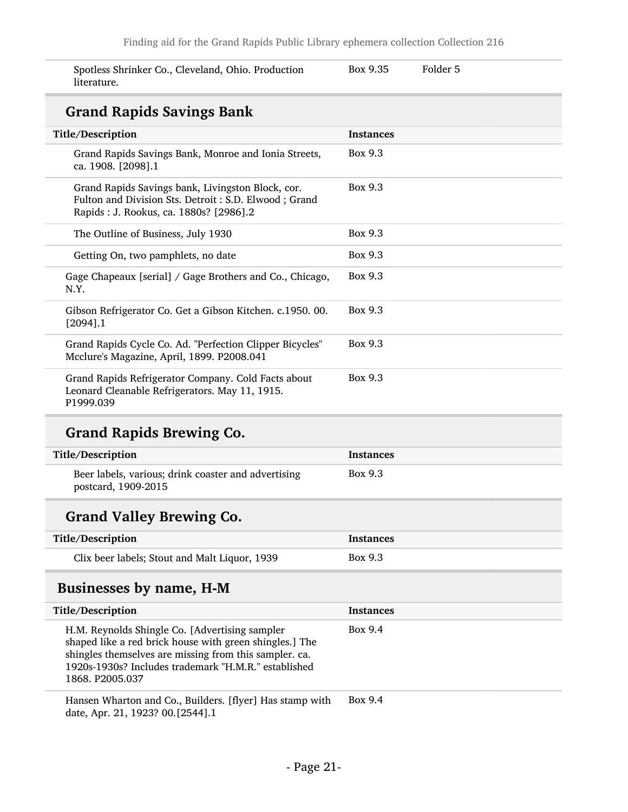| Spotless Shrinker Co., Cleveland, Ohio. Production<br>literature.                                                                                   | Box 9.35         | Folder 5 |
|-----------------------------------------------------------------------------------------------------------------------------------------------------|------------------|----------|
| <b>Grand Rapids Savings Bank</b>                                                                                                                    |                  |          |
| Title/Description                                                                                                                                   | <b>Instances</b> |          |
| Grand Rapids Savings Bank, Monroe and Ionia Streets,<br>ca. 1908. [2098].1                                                                          | Box 9.3          |          |
| Grand Rapids Savings bank, Livingston Block, cor.<br>Fulton and Division Sts. Detroit: S.D. Elwood; Grand<br>Rapids: J. Rookus, ca. 1880s? [2986].2 | Box 9.3          |          |
| The Outline of Business, July 1930                                                                                                                  | Box 9.3          |          |
| Getting On, two pamphlets, no date                                                                                                                  | Box 9.3          |          |
| Gage Chapeaux [serial] / Gage Brothers and Co., Chicago,<br>N.Y.                                                                                    | Box 9.3          |          |
| Gibson Refrigerator Co. Get a Gibson Kitchen. c.1950. 00.<br>$[2094]$ .1                                                                            | Box 9.3          |          |
| Grand Rapids Cycle Co. Ad. "Perfection Clipper Bicycles"<br>Mcclure's Magazine, April, 1899. P2008.041                                              | Box 9.3          |          |
| Grand Rapids Refrigerator Company. Cold Facts about<br>Leonard Cleanable Refrigerators. May 11, 1915.<br>P1999.039                                  | Box 9.3          |          |

### Grand Rapids Brewing Co.

| Title/Description                                                          | Instances |
|----------------------------------------------------------------------------|-----------|
| Beer labels, various; drink coaster and advertising<br>postcard, 1909-2015 | Box 9.3   |

## Grand Valley Brewing Co.

| Title/Description                             | Instances |
|-----------------------------------------------|-----------|
| Clix beer labels; Stout and Malt Liquor, 1939 | Box 9.3   |

#### <span id="page-20-0"></span>Businesses by name, H-M

| Title/Description                                                                                                                                                                                                                              | <b>Instances</b> |
|------------------------------------------------------------------------------------------------------------------------------------------------------------------------------------------------------------------------------------------------|------------------|
| H.M. Reynolds Shingle Co. [Advertising sampler<br>shaped like a red brick house with green shingles.] The<br>shingles themselves are missing from this sampler. ca.<br>1920s-1930s? Includes trademark "H.M.R." established<br>1868, P2005.037 | Box 9.4          |
| Hanson Wharton and $Co$ , Builders, [flyor] Has stamp with                                                                                                                                                                                     | Row 0 4          |

Hansen Wharton and Co., Builders. [flyer] Has stamp with date, Apr. 21, 1923? 00.[2544].1 Box 9.4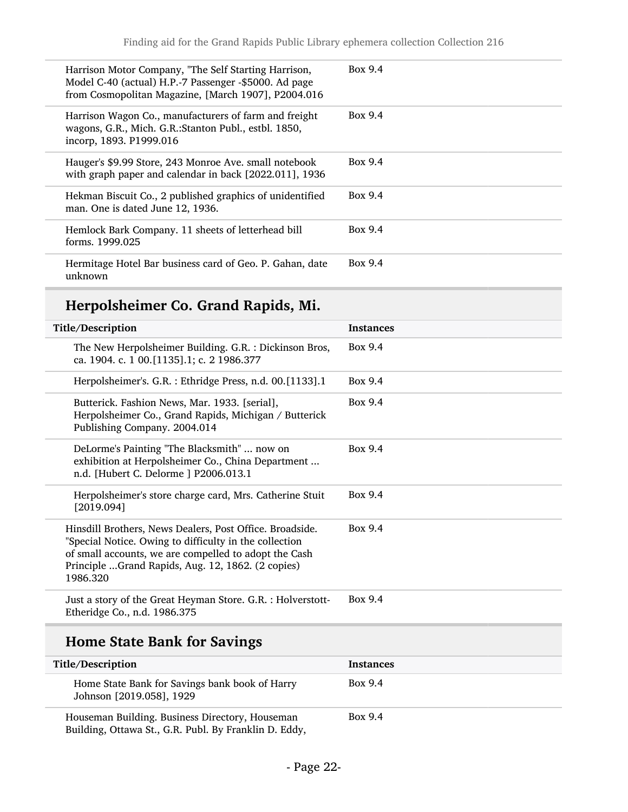| Harrison Motor Company, "The Self Starting Harrison,<br>Model C-40 (actual) H.P.-7 Passenger -\$5000. Ad page<br>from Cosmopolitan Magazine, [March 1907], P2004.016 | Box 9.4        |
|----------------------------------------------------------------------------------------------------------------------------------------------------------------------|----------------|
| Harrison Wagon Co., manufacturers of farm and freight<br>wagons, G.R., Mich. G.R.: Stanton Publ., estbl. 1850,<br>incorp, 1893. P1999.016                            | Box 9.4        |
| Hauger's \$9.99 Store, 243 Monroe Ave. small notebook<br>with graph paper and calendar in back [2022.011], 1936                                                      | Box 9.4        |
| Hekman Biscuit Co., 2 published graphics of unidentified<br>man. One is dated June 12, 1936.                                                                         | Box 9.4        |
| Hemlock Bark Company. 11 sheets of letterhead bill<br>forms, 1999.025                                                                                                | <b>Box 9.4</b> |
| Hermitage Hotel Bar business card of Geo. P. Gahan, date<br>unknown                                                                                                  | <b>Box 9.4</b> |

## Herpolsheimer Co. Grand Rapids, Mi.

| Title/Description                                                                                                                                                                                                                            | <b>Instances</b> |
|----------------------------------------------------------------------------------------------------------------------------------------------------------------------------------------------------------------------------------------------|------------------|
| The New Herpolsheimer Building. G.R. : Dickinson Bros,<br>ca. 1904. c. 1 00.[1135].1; c. 2 1986.377                                                                                                                                          | Box 9.4          |
| Herpolsheimer's. G.R. : Ethridge Press, n.d. 00.[1133].1                                                                                                                                                                                     | Box 9.4          |
| Butterick. Fashion News, Mar. 1933. [serial],<br>Herpolsheimer Co., Grand Rapids, Michigan / Butterick<br>Publishing Company. 2004.014                                                                                                       | Box 9.4          |
| DeLorme's Painting "The Blacksmith"  now on<br>exhibition at Herpolsheimer Co., China Department<br>n.d. [Hubert C. Delorme ] P2006.013.1                                                                                                    | Box 9.4          |
| Herpolsheimer's store charge card, Mrs. Catherine Stuit<br>[2019.094]                                                                                                                                                                        | Box 9.4          |
| Hinsdill Brothers, News Dealers, Post Office. Broadside.<br>"Special Notice. Owing to difficulty in the collection<br>of small accounts, we are compelled to adopt the Cash<br>Principle Grand Rapids, Aug. 12, 1862. (2 copies)<br>1986.320 | Box 9.4          |
| Just a story of the Great Heyman Store. G.R. : Holverstott-<br>Etheridge Co., n.d. 1986.375                                                                                                                                                  | Box 9.4          |

#### Home State Bank for Savings

L

| Title/Description                                                                                        | <b>Instances</b> |
|----------------------------------------------------------------------------------------------------------|------------------|
| Home State Bank for Savings bank book of Harry<br>Johnson [2019.058], 1929                               | Box 9.4          |
| Houseman Building. Business Directory, Houseman<br>Building, Ottawa St., G.R. Publ. By Franklin D. Eddy, | Box 9.4          |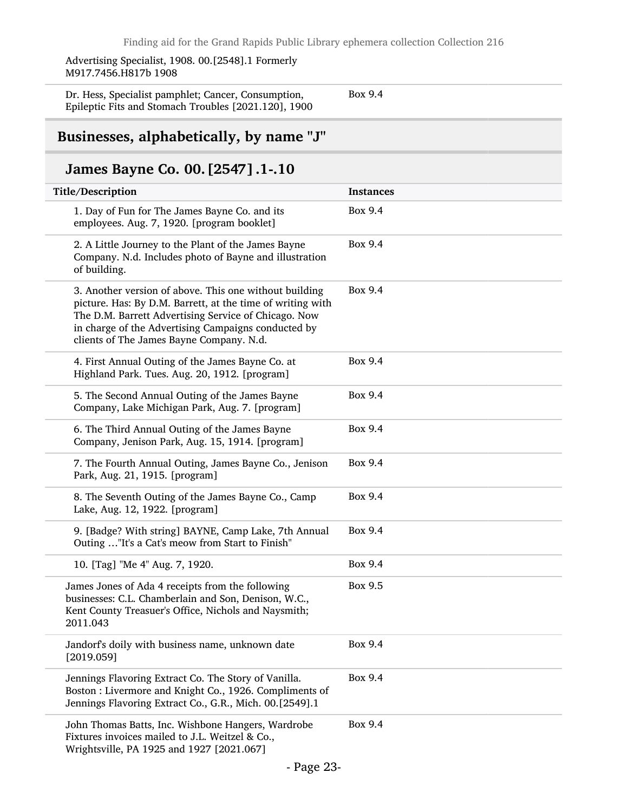Advertising Specialist, 1908. 00.[2548].1 Formerly M917.7456.H817b 1908

Dr. Hess, Specialist pamphlet; Cancer, Consumption, Epileptic Fits and Stomach Troubles [2021.120], 1900

#### Box 9.4

#### <span id="page-22-0"></span>Businesses, alphabetically, by name "J"

#### James Bayne Co. 00.[2547].1-.10

| Title/Description                                                                                                                                                                                                                                                               | <b>Instances</b> |
|---------------------------------------------------------------------------------------------------------------------------------------------------------------------------------------------------------------------------------------------------------------------------------|------------------|
| 1. Day of Fun for The James Bayne Co. and its<br>employees. Aug. 7, 1920. [program booklet]                                                                                                                                                                                     | Box 9.4          |
| 2. A Little Journey to the Plant of the James Bayne<br>Company. N.d. Includes photo of Bayne and illustration<br>of building.                                                                                                                                                   | Box 9.4          |
| 3. Another version of above. This one without building<br>picture. Has: By D.M. Barrett, at the time of writing with<br>The D.M. Barrett Advertising Service of Chicago. Now<br>in charge of the Advertising Campaigns conducted by<br>clients of The James Bayne Company. N.d. | Box 9.4          |
| 4. First Annual Outing of the James Bayne Co. at<br>Highland Park. Tues. Aug. 20, 1912. [program]                                                                                                                                                                               | Box 9.4          |
| 5. The Second Annual Outing of the James Bayne<br>Company, Lake Michigan Park, Aug. 7. [program]                                                                                                                                                                                | Box 9.4          |
| 6. The Third Annual Outing of the James Bayne<br>Company, Jenison Park, Aug. 15, 1914. [program]                                                                                                                                                                                | Box 9.4          |
| 7. The Fourth Annual Outing, James Bayne Co., Jenison<br>Park, Aug. 21, 1915. [program]                                                                                                                                                                                         | Box 9.4          |
| 8. The Seventh Outing of the James Bayne Co., Camp<br>Lake, Aug. 12, 1922. [program]                                                                                                                                                                                            | Box 9.4          |
| 9. [Badge? With string] BAYNE, Camp Lake, 7th Annual<br>Outing "It's a Cat's meow from Start to Finish"                                                                                                                                                                         | Box 9.4          |
| 10. [Tag] "Me 4" Aug. 7, 1920.                                                                                                                                                                                                                                                  | <b>Box 9.4</b>   |
| James Jones of Ada 4 receipts from the following<br>businesses: C.L. Chamberlain and Son, Denison, W.C.,<br>Kent County Treasuer's Office, Nichols and Naysmith;<br>2011.043                                                                                                    | Box 9.5          |
| Jandorf's doily with business name, unknown date<br>[2019.059]                                                                                                                                                                                                                  | Box 9.4          |
| Jennings Flavoring Extract Co. The Story of Vanilla.<br>Boston: Livermore and Knight Co., 1926. Compliments of<br>Jennings Flavoring Extract Co., G.R., Mich. 00.[2549].1                                                                                                       | Box 9.4          |
| John Thomas Batts, Inc. Wishbone Hangers, Wardrobe<br>Fixtures invoices mailed to J.L. Weitzel & Co.,<br>Wrightsville, PA 1925 and 1927 [2021.067]                                                                                                                              | Box 9.4          |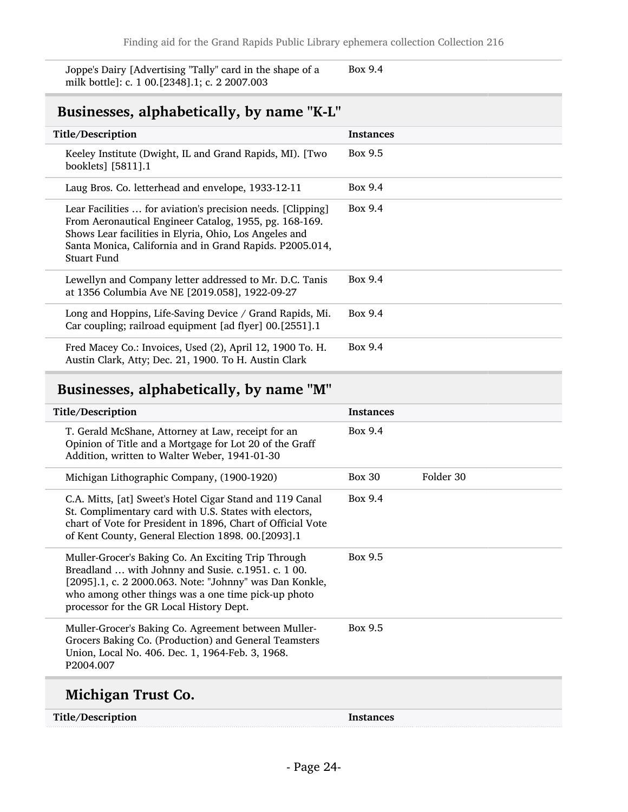Joppe's Dairy [Advertising "Tally" card in the shape of a milk bottle]: c. 1 00.[2348].1; c. 2 2007.003 Box 9.4

#### <span id="page-23-0"></span>Businesses, alphabetically, by name "K-L"

| Title/Description                                                                                                                                                                                                                                                 | Instances |
|-------------------------------------------------------------------------------------------------------------------------------------------------------------------------------------------------------------------------------------------------------------------|-----------|
| Keeley Institute (Dwight, IL and Grand Rapids, MI). [Two<br>booklets [5811].1                                                                                                                                                                                     | Box 9.5   |
| Laug Bros. Co. letterhead and envelope, 1933-12-11                                                                                                                                                                                                                | Box 9.4   |
| Lear Facilities  for aviation's precision needs. [Clipping]<br>From Aeronautical Engineer Catalog, 1955, pg. 168-169.<br>Shows Lear facilities in Elyria, Ohio, Los Angeles and<br>Santa Monica, California and in Grand Rapids. P2005.014,<br><b>Stuart Fund</b> | Box 9.4   |
| Lewellyn and Company letter addressed to Mr. D.C. Tanis<br>at 1356 Columbia Ave NE [2019.058], 1922-09-27                                                                                                                                                         | Box 9.4   |
| Long and Hoppins, Life-Saving Device / Grand Rapids, Mi.<br>Car coupling; railroad equipment [ad flyer] 00.[2551].1                                                                                                                                               | Box 9.4   |
| Fred Macey Co.: Invoices, Used (2), April 12, 1900 To. H.<br>Austin Clark, Atty; Dec. 21, 1900. To H. Austin Clark                                                                                                                                                | Box 9.4   |

### <span id="page-23-1"></span>Businesses, alphabetically, by name "M"

| Title/Description                                                                                                                                                                                                                                                       | <b>Instances</b> |           |
|-------------------------------------------------------------------------------------------------------------------------------------------------------------------------------------------------------------------------------------------------------------------------|------------------|-----------|
| T. Gerald McShane, Attorney at Law, receipt for an<br>Opinion of Title and a Mortgage for Lot 20 of the Graff<br>Addition, written to Walter Weber, 1941-01-30                                                                                                          | Box 9.4          |           |
| Michigan Lithographic Company, (1900-1920)                                                                                                                                                                                                                              | <b>Box 30</b>    | Folder 30 |
| C.A. Mitts, [at] Sweet's Hotel Cigar Stand and 119 Canal<br>St. Complimentary card with U.S. States with electors,<br>chart of Vote for President in 1896, Chart of Official Vote<br>of Kent County, General Election 1898. 00.[2093].1                                 | Box 9.4          |           |
| Muller-Grocer's Baking Co. An Exciting Trip Through<br>Breadland  with Johnny and Susie. c.1951. c. 1 00.<br>[2095].1, c. 2 2000.063. Note: "Johnny" was Dan Konkle,<br>who among other things was a one time pick-up photo<br>processor for the GR Local History Dept. | Box 9.5          |           |
| Muller-Grocer's Baking Co. Agreement between Muller-<br>Grocers Baking Co. (Production) and General Teamsters<br>Union, Local No. 406. Dec. 1, 1964-Feb. 3, 1968.<br>P <sub>2004.007</sub>                                                                              | Box 9.5          |           |
| Michigan Trust Co.                                                                                                                                                                                                                                                      |                  |           |

Title/Description Instances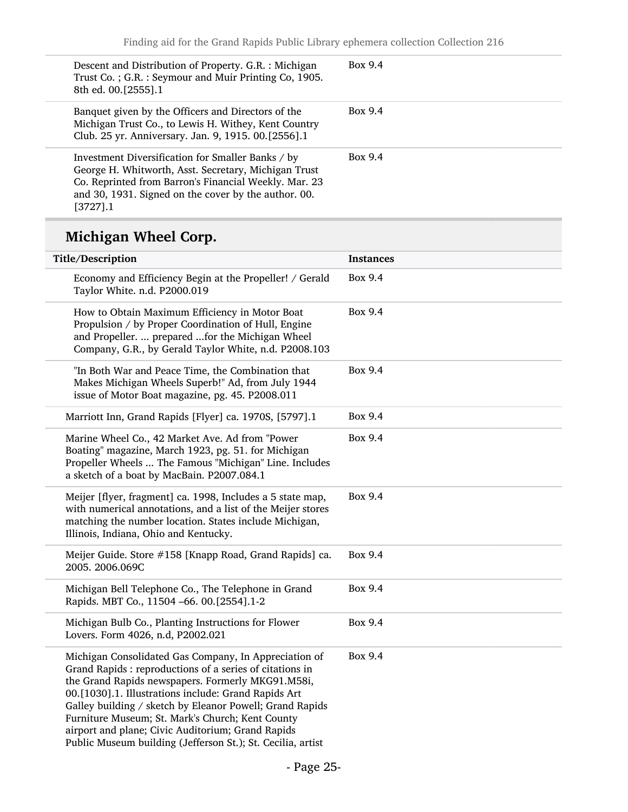| Descent and Distribution of Property. G.R.: Michigan<br>Trust Co.; G.R.: Seymour and Muir Printing Co, 1905.<br>8th ed. 00.[2555].1                                                                                                    | Box 9.4        |
|----------------------------------------------------------------------------------------------------------------------------------------------------------------------------------------------------------------------------------------|----------------|
| Banquet given by the Officers and Directors of the<br>Michigan Trust Co., to Lewis H. Withey, Kent Country<br>Club. 25 yr. Anniversary. Jan. 9, 1915. 00.[2556].1                                                                      | <b>Box 9.4</b> |
| Investment Diversification for Smaller Banks / by<br>George H. Whitworth, Asst. Secretary, Michigan Trust<br>Co. Reprinted from Barron's Financial Weekly. Mar. 23<br>and 30, 1931. Signed on the cover by the author. 00.<br>[3727].1 | Box 9.4        |

## Michigan Wheel Corp.

| Title/Description                                                                                                                                                                                                                                                                                                                                                                                                                                                  | <b>Instances</b> |
|--------------------------------------------------------------------------------------------------------------------------------------------------------------------------------------------------------------------------------------------------------------------------------------------------------------------------------------------------------------------------------------------------------------------------------------------------------------------|------------------|
| Economy and Efficiency Begin at the Propeller! / Gerald<br>Taylor White. n.d. P2000.019                                                                                                                                                                                                                                                                                                                                                                            | Box 9.4          |
| How to Obtain Maximum Efficiency in Motor Boat<br>Propulsion / by Proper Coordination of Hull, Engine<br>and Propeller.  prepared for the Michigan Wheel<br>Company, G.R., by Gerald Taylor White, n.d. P2008.103                                                                                                                                                                                                                                                  | <b>Box 9.4</b>   |
| "In Both War and Peace Time, the Combination that<br>Makes Michigan Wheels Superb!" Ad, from July 1944<br>issue of Motor Boat magazine, pg. 45. P2008.011                                                                                                                                                                                                                                                                                                          | Box 9.4          |
| Marriott Inn, Grand Rapids [Flyer] ca. 1970S, [5797].1                                                                                                                                                                                                                                                                                                                                                                                                             | Box 9.4          |
| Marine Wheel Co., 42 Market Ave. Ad from "Power<br>Boating" magazine, March 1923, pg. 51. for Michigan<br>Propeller Wheels  The Famous "Michigan" Line. Includes<br>a sketch of a boat by MacBain. P2007.084.1                                                                                                                                                                                                                                                     | Box 9.4          |
| Meijer [flyer, fragment] ca. 1998, Includes a 5 state map,<br>with numerical annotations, and a list of the Meijer stores<br>matching the number location. States include Michigan,<br>Illinois, Indiana, Ohio and Kentucky.                                                                                                                                                                                                                                       | Box 9.4          |
| Meijer Guide. Store #158 [Knapp Road, Grand Rapids] ca.<br>2005. 2006.069C                                                                                                                                                                                                                                                                                                                                                                                         | Box 9.4          |
| Michigan Bell Telephone Co., The Telephone in Grand<br>Rapids. MBT Co., 11504 -66. 00.[2554].1-2                                                                                                                                                                                                                                                                                                                                                                   | <b>Box 9.4</b>   |
| Michigan Bulb Co., Planting Instructions for Flower<br>Lovers. Form 4026, n.d, P2002.021                                                                                                                                                                                                                                                                                                                                                                           | <b>Box 9.4</b>   |
| Michigan Consolidated Gas Company, In Appreciation of<br>Grand Rapids : reproductions of a series of citations in<br>the Grand Rapids newspapers. Formerly MKG91.M58i,<br>00.[1030].1. Illustrations include: Grand Rapids Art<br>Galley building / sketch by Eleanor Powell; Grand Rapids<br>Furniture Museum; St. Mark's Church; Kent County<br>airport and plane; Civic Auditorium; Grand Rapids<br>Public Museum building (Jefferson St.); St. Cecilia, artist | Box 9.4          |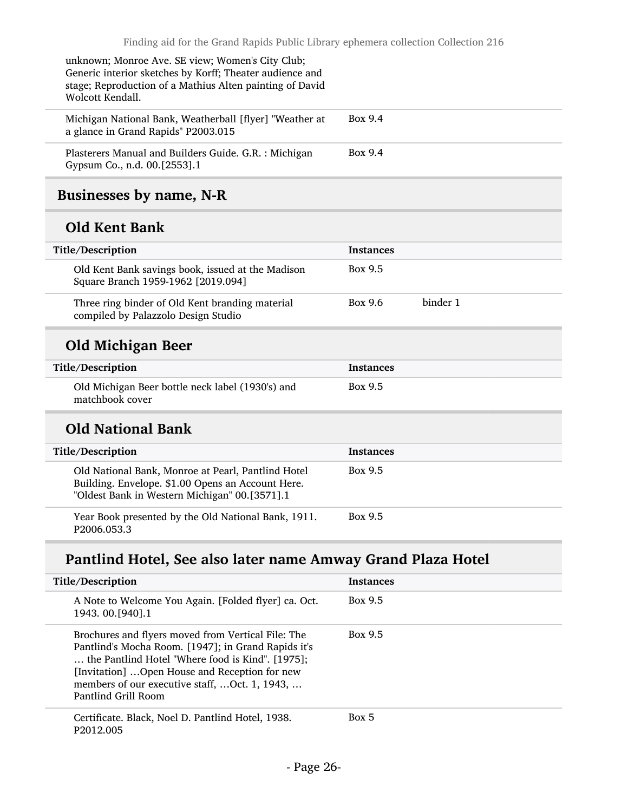| unknown; Monroe Ave. SE view; Women's City Club;<br>Generic interior sketches by Korff; Theater audience and<br>stage; Reproduction of a Mathius Alten painting of David<br>Wolcott Kendall. |                |
|----------------------------------------------------------------------------------------------------------------------------------------------------------------------------------------------|----------------|
| Michigan National Bank, Weatherball [flyer] "Weather at<br>a glance in Grand Rapids" P2003.015                                                                                               | <b>Box 9.4</b> |
| Plasterers Manual and Builders Guide. G.R.: Michigan<br>Gypsum Co., n.d. 00.[2553].1                                                                                                         | <b>Box 9.4</b> |
|                                                                                                                                                                                              |                |

## <span id="page-25-0"></span>Businesses by name, N-R

#### Old Kent Bank

| Title/Description                                                                       | <b>Instances</b> |          |
|-----------------------------------------------------------------------------------------|------------------|----------|
| Old Kent Bank savings book, issued at the Madison<br>Square Branch 1959-1962 [2019.094] | Box 9.5          |          |
| Three ring binder of Old Kent branding material<br>compiled by Palazzolo Design Studio  | Box 9.6          | binder 1 |
|                                                                                         |                  |          |

### Old Michigan Beer

| Title/Description                                                   | Instances |
|---------------------------------------------------------------------|-----------|
| Old Michigan Beer bottle neck label (1930's) and<br>matchbook cover | Box 9.5   |

### Old National Bank

| Title/Description                                                                                                                                        | <b>Instances</b> |
|----------------------------------------------------------------------------------------------------------------------------------------------------------|------------------|
| Old National Bank, Monroe at Pearl, Pantlind Hotel<br>Building. Envelope. \$1.00 Opens an Account Here.<br>"Oldest Bank in Western Michigan" 00.[3571].1 | Box 9.5          |
| Year Book presented by the Old National Bank, 1911.<br>P <sub>2006.053.3</sub>                                                                           | Box 9.5          |

## Pantlind Hotel, See also later name Amway Grand Plaza Hotel

| Title/Description                                                                                                                                                                                                                                                                       | <b>Instances</b> |
|-----------------------------------------------------------------------------------------------------------------------------------------------------------------------------------------------------------------------------------------------------------------------------------------|------------------|
| A Note to Welcome You Again. [Folded flyer] ca. Oct.<br>1943. 00. [940]. 1                                                                                                                                                                                                              | Box 9.5          |
| Brochures and flyers moved from Vertical File: The<br>Pantlind's Mocha Room. [1947]; in Grand Rapids it's<br>the Pantlind Hotel "Where food is Kind". [1975];<br>[Invitation] Open House and Reception for new<br>members of our executive staff,  Oct. 1, 1943,<br>Pantlind Grill Room | Box 9.5          |
| Certificate. Black, Noel D. Pantlind Hotel, 1938.<br>P <sub>2012.005</sub>                                                                                                                                                                                                              | Box 5            |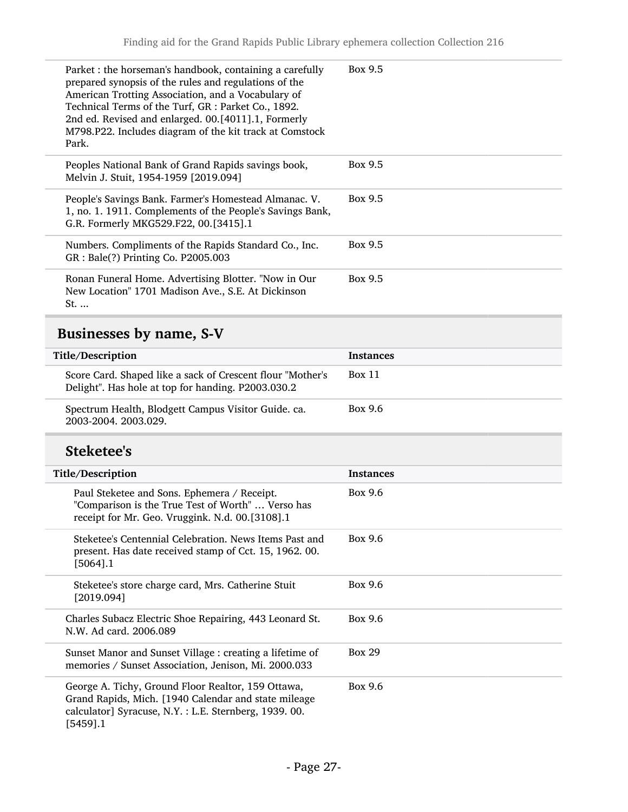<span id="page-26-0"></span>

| Parket : the horseman's handbook, containing a carefully<br>prepared synopsis of the rules and regulations of the<br>American Trotting Association, and a Vocabulary of<br>Technical Terms of the Turf, GR : Parket Co., 1892.<br>2nd ed. Revised and enlarged. 00.[4011].1, Formerly<br>M798.P22. Includes diagram of the kit track at Comstock<br>Park. | Box 9.5          |
|-----------------------------------------------------------------------------------------------------------------------------------------------------------------------------------------------------------------------------------------------------------------------------------------------------------------------------------------------------------|------------------|
| Peoples National Bank of Grand Rapids savings book,<br>Melvin J. Stuit, 1954-1959 [2019.094]                                                                                                                                                                                                                                                              | Box 9.5          |
| People's Savings Bank. Farmer's Homestead Almanac. V.<br>1, no. 1. 1911. Complements of the People's Savings Bank,<br>G.R. Formerly MKG529.F22, 00.[3415].1                                                                                                                                                                                               | Box 9.5          |
| Numbers. Compliments of the Rapids Standard Co., Inc.<br>GR : Bale(?) Printing Co. P2005.003                                                                                                                                                                                                                                                              | Box 9.5          |
| Ronan Funeral Home. Advertising Blotter. "Now in Our<br>New Location" 1701 Madison Ave., S.E. At Dickinson<br>$St.$                                                                                                                                                                                                                                       | Box 9.5          |
| Businesses by name, S-V                                                                                                                                                                                                                                                                                                                                   |                  |
| Title/Description                                                                                                                                                                                                                                                                                                                                         | <b>Instances</b> |
| Score Card. Shaped like a sack of Crescent flour "Mother's<br>Delight". Has hole at top for handing. P2003.030.2                                                                                                                                                                                                                                          | <b>Box 11</b>    |
| Spectrum Health, Blodgett Campus Visitor Guide. ca.<br>2003-2004. 2003.029.                                                                                                                                                                                                                                                                               | Box 9.6          |
| Steketee's                                                                                                                                                                                                                                                                                                                                                |                  |
| Title/Description                                                                                                                                                                                                                                                                                                                                         | <b>Instances</b> |
| Paul Steketee and Sons. Ephemera / Receipt.<br>"Comparison is the True Test of Worth"  Verso has<br>receipt for Mr. Geo. Vruggink. N.d. 00.[3108].1                                                                                                                                                                                                       | Box 9.6          |
| Steketee's Centennial Celebration. News Items Past and<br>present. Has date received stamp of Cct. 15, 1962. 00.<br>$[5064]$ .1                                                                                                                                                                                                                           | Box 9.6          |
| Steketee's store charge card, Mrs. Catherine Stuit<br>[2019.094]                                                                                                                                                                                                                                                                                          | Box 9.6          |
| Charles Subacz Electric Shoe Repairing, 443 Leonard St.<br>N.W. Ad card. 2006.089                                                                                                                                                                                                                                                                         | Box 9.6          |
| Sunset Manor and Sunset Village : creating a lifetime of<br>memories / Sunset Association, Jenison, Mi. 2000.033                                                                                                                                                                                                                                          | <b>Box 29</b>    |
| George A. Tichy, Ground Floor Realtor, 159 Ottawa,<br>Grand Rapids, Mich. [1940 Calendar and state mileage<br>calculator] Syracuse, N.Y. : L.E. Sternberg, 1939. 00.<br>$[5459]$ .1                                                                                                                                                                       | <b>Box 9.6</b>   |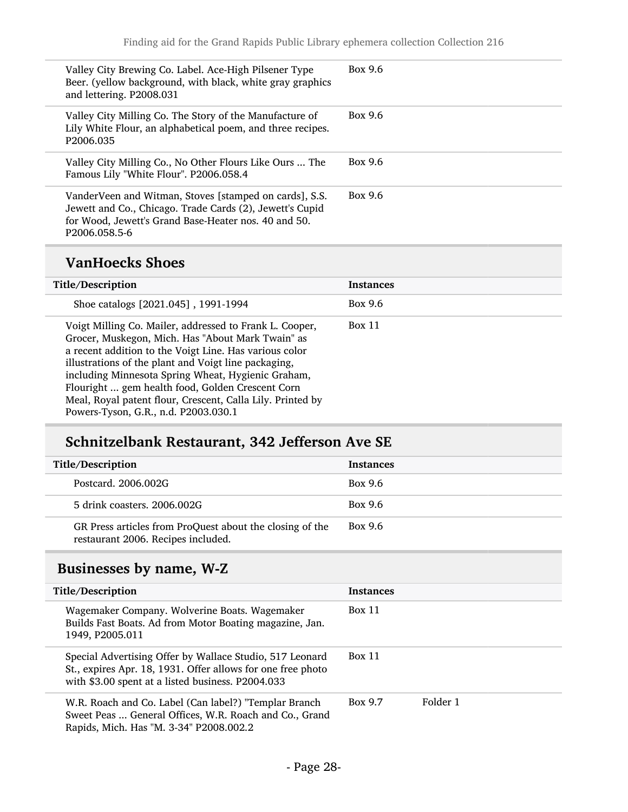| Valley City Brewing Co. Label. Ace-High Pilsener Type<br>Beer. (yellow background, with black, white gray graphics<br>and lettering. P2008.031                                                          | Box 9.6 |
|---------------------------------------------------------------------------------------------------------------------------------------------------------------------------------------------------------|---------|
| Valley City Milling Co. The Story of the Manufacture of<br>Lily White Flour, an alphabetical poem, and three recipes.<br>P2006.035                                                                      | Box 9.6 |
| Valley City Milling Co., No Other Flours Like Ours  The<br>Famous Lily "White Flour". P2006.058.4                                                                                                       | Box 9.6 |
| VanderVeen and Witman, Stoves [stamped on cards], S.S.<br>Jewett and Co., Chicago. Trade Cards (2), Jewett's Cupid<br>for Wood, Jewett's Grand Base-Heater nos. 40 and 50.<br>P <sub>2006.058.5-6</sub> | Box 9.6 |

### VanHoecks Shoes

| Title/Description                                                                                                                                                                                                                                                                                                                                                                                                                              | <b>Instances</b> |
|------------------------------------------------------------------------------------------------------------------------------------------------------------------------------------------------------------------------------------------------------------------------------------------------------------------------------------------------------------------------------------------------------------------------------------------------|------------------|
| Shoe catalogs [2021.045], 1991-1994                                                                                                                                                                                                                                                                                                                                                                                                            | Box 9.6          |
| Voigt Milling Co. Mailer, addressed to Frank L. Cooper,<br>Grocer, Muskegon, Mich. Has "About Mark Twain" as<br>a recent addition to the Voigt Line. Has various color<br>illustrations of the plant and Voigt line packaging,<br>including Minnesota Spring Wheat, Hygienic Graham,<br>Flouright  gem health food, Golden Crescent Corn<br>Meal, Royal patent flour, Crescent, Calla Lily. Printed by<br>Powers-Tyson, G.R., n.d. P2003.030.1 | <b>Box 11</b>    |

## Schnitzelbank Restaurant, 342 Jefferson Ave SE

| Title/Description                                                                              | <b>Instances</b> |
|------------------------------------------------------------------------------------------------|------------------|
| Postcard, 2006.002G                                                                            | Box 9.6          |
| 5 drink coasters, 2006,002G                                                                    | Box 9.6          |
| GR Press articles from ProQuest about the closing of the<br>restaurant 2006. Recipes included. | Box 9.6          |

### <span id="page-27-0"></span>Businesses by name, W-Z

| Title/Description                                                                                                                                                            | <b>Instances</b>    |
|------------------------------------------------------------------------------------------------------------------------------------------------------------------------------|---------------------|
| Wagemaker Company. Wolverine Boats. Wagemaker<br>Builds Fast Boats. Ad from Motor Boating magazine, Jan.<br>1949, P2005.011                                                  | <b>Box 11</b>       |
| Special Advertising Offer by Wallace Studio, 517 Leonard<br>St., expires Apr. 18, 1931. Offer allows for one free photo<br>with \$3.00 spent at a listed business. P2004.033 | <b>Box 11</b>       |
| W.R. Roach and Co. Label (Can label?) "Templar Branch<br>Sweet Peas  General Offices, W.R. Roach and Co., Grand<br>Rapids, Mich. Has "M. 3-34" P2008.002.2                   | Folder 1<br>Box 9.7 |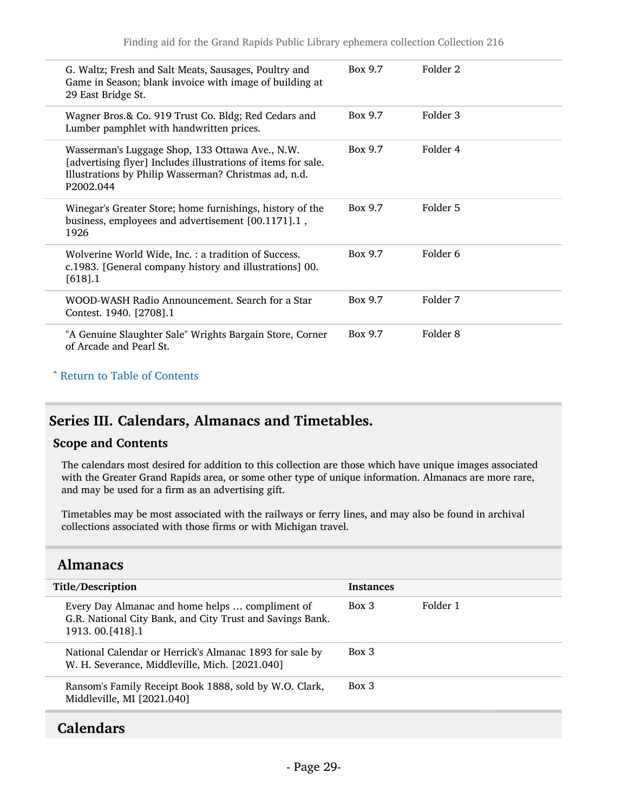| G. Waltz; Fresh and Salt Meats, Sausages, Poultry and<br>Game in Season; blank invoice with image of building at<br>29 East Bridge St.                                                 | Box 9.7        | Folder 2 |
|----------------------------------------------------------------------------------------------------------------------------------------------------------------------------------------|----------------|----------|
| Wagner Bros.& Co. 919 Trust Co. Bldg; Red Cedars and<br>Lumber pamphlet with handwritten prices.                                                                                       | Box 9.7        | Folder 3 |
| Wasserman's Luggage Shop, 133 Ottawa Ave., N.W.<br>[advertising flyer] Includes illustrations of items for sale.<br>Illustrations by Philip Wasserman? Christmas ad, n.d.<br>P2002.044 | Box 9.7        | Folder 4 |
| Winegar's Greater Store; home furnishings, history of the<br>business, employees and advertisement [00.1171].1,<br>1926                                                                | <b>Box 9.7</b> | Folder 5 |
| Wolverine World Wide, Inc.: a tradition of Success.<br>c.1983. [General company history and illustrations] 00.<br>$[618]$ .1                                                           | Box 9.7        | Folder 6 |
| WOOD-WASH Radio Announcement. Search for a Star<br>Contest. 1940. [2708].1                                                                                                             | Box 9.7        | Folder 7 |
| "A Genuine Slaughter Sale" Wrights Bargain Store, Corner<br>of Arcade and Pearl St.                                                                                                    | Box 9.7        | Folder 8 |

#### ^ [Return to Table of Contents](#page-1-0)

#### <span id="page-28-0"></span>Series III. Calendars, Almanacs and Timetables.

#### Scope and Contents

The calendars most desired for addition to this collection are those which have unique images associated with the Greater Grand Rapids area, or some other type of unique information. Almanacs are more rare, and may be used for a firm as an advertising gift.

Timetables may be most associated with the railways or ferry lines, and may also be found in archival collections associated with those firms or with Michigan travel.

#### <span id="page-28-1"></span>Almanacs

| Title/Description                                                                                                               | <b>Instances</b> |          |
|---------------------------------------------------------------------------------------------------------------------------------|------------------|----------|
| Every Day Almanac and home helps  compliment of<br>G.R. National City Bank, and City Trust and Savings Bank.<br>1913.00.[418].1 | Box 3            | Folder 1 |
| National Calendar or Herrick's Almanac 1893 for sale by<br>W. H. Severance, Middleville, Mich. [2021.040]                       | Box 3            |          |
| Ransom's Family Receipt Book 1888, sold by W.O. Clark,<br>Middleville, MI [2021.040]                                            | Box 3            |          |
|                                                                                                                                 |                  |          |

#### <span id="page-28-2"></span>Calendars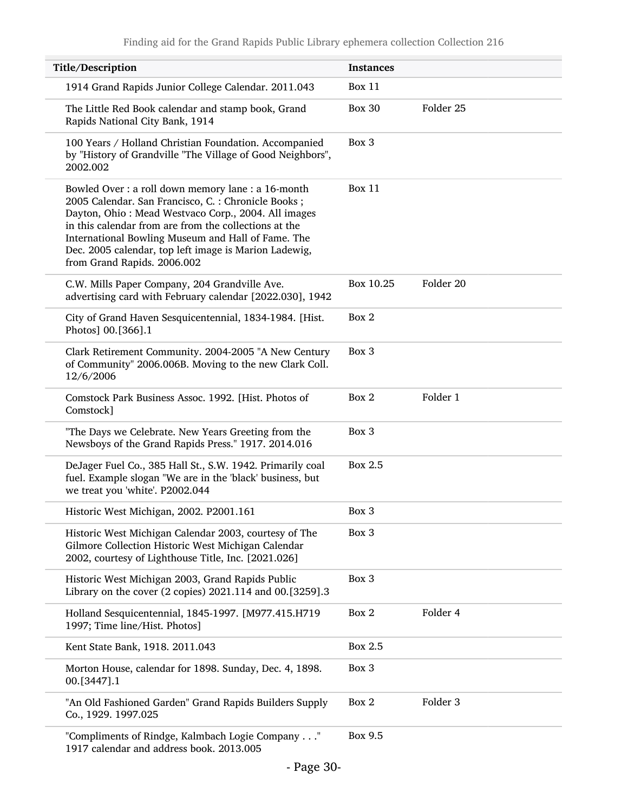| Title/Description                                                                                                                                                                                                                                                                                                                                                     | <b>Instances</b> |           |
|-----------------------------------------------------------------------------------------------------------------------------------------------------------------------------------------------------------------------------------------------------------------------------------------------------------------------------------------------------------------------|------------------|-----------|
| 1914 Grand Rapids Junior College Calendar. 2011.043                                                                                                                                                                                                                                                                                                                   | <b>Box 11</b>    |           |
| The Little Red Book calendar and stamp book, Grand<br>Rapids National City Bank, 1914                                                                                                                                                                                                                                                                                 | <b>Box 30</b>    | Folder 25 |
| 100 Years / Holland Christian Foundation. Accompanied<br>by "History of Grandville "The Village of Good Neighbors",<br>2002.002                                                                                                                                                                                                                                       | Box 3            |           |
| Bowled Over: a roll down memory lane: a 16-month<br>2005 Calendar. San Francisco, C. : Chronicle Books;<br>Dayton, Ohio: Mead Westvaco Corp., 2004. All images<br>in this calendar from are from the collections at the<br>International Bowling Museum and Hall of Fame. The<br>Dec. 2005 calendar, top left image is Marion Ladewig,<br>from Grand Rapids. 2006.002 | <b>Box 11</b>    |           |
| C.W. Mills Paper Company, 204 Grandville Ave.<br>advertising card with February calendar [2022.030], 1942                                                                                                                                                                                                                                                             | Box 10.25        | Folder 20 |
| City of Grand Haven Sesquicentennial, 1834-1984. [Hist.<br>Photos] 00.[366].1                                                                                                                                                                                                                                                                                         | Box 2            |           |
| Clark Retirement Community. 2004-2005 "A New Century<br>of Community" 2006.006B. Moving to the new Clark Coll.<br>12/6/2006                                                                                                                                                                                                                                           | Box 3            |           |
| Comstock Park Business Assoc. 1992. [Hist. Photos of<br>Comstock]                                                                                                                                                                                                                                                                                                     | Box 2            | Folder 1  |
| "The Days we Celebrate. New Years Greeting from the<br>Newsboys of the Grand Rapids Press." 1917. 2014.016                                                                                                                                                                                                                                                            | Box 3            |           |
| DeJager Fuel Co., 385 Hall St., S.W. 1942. Primarily coal<br>fuel. Example slogan "We are in the 'black' business, but<br>we treat you 'white'. P2002.044                                                                                                                                                                                                             | Box 2.5          |           |
| Historic West Michigan, 2002. P2001.161                                                                                                                                                                                                                                                                                                                               | Box 3            |           |
| Historic West Michigan Calendar 2003, courtesy of The<br>Gilmore Collection Historic West Michigan Calendar<br>2002, courtesy of Lighthouse Title, Inc. [2021.026]                                                                                                                                                                                                    | Box 3            |           |
| Historic West Michigan 2003, Grand Rapids Public<br>Library on the cover (2 copies) 2021.114 and 00.[3259].3                                                                                                                                                                                                                                                          | Box 3            |           |
| Holland Sesquicentennial, 1845-1997. [M977.415.H719<br>1997; Time line/Hist. Photos]                                                                                                                                                                                                                                                                                  | Box 2            | Folder 4  |
| Kent State Bank, 1918. 2011.043                                                                                                                                                                                                                                                                                                                                       | Box 2.5          |           |
| Morton House, calendar for 1898. Sunday, Dec. 4, 1898.<br>00.[3447].1                                                                                                                                                                                                                                                                                                 | Box 3            |           |
| "An Old Fashioned Garden" Grand Rapids Builders Supply<br>Co., 1929. 1997.025                                                                                                                                                                                                                                                                                         | Box 2            | Folder 3  |
| "Compliments of Rindge, Kalmbach Logie Company"<br>1917 calendar and address book. 2013.005                                                                                                                                                                                                                                                                           | Box 9.5          |           |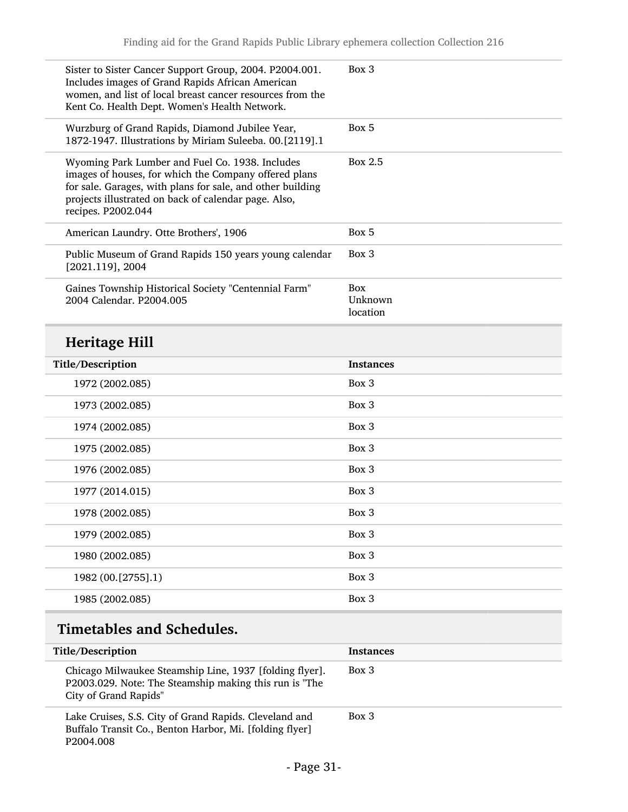| Sister to Sister Cancer Support Group, 2004. P2004.001.<br>Includes images of Grand Rapids African American<br>women, and list of local breast cancer resources from the<br>Kent Co. Health Dept. Women's Health Network.                            | Box 3                      |
|------------------------------------------------------------------------------------------------------------------------------------------------------------------------------------------------------------------------------------------------------|----------------------------|
| Wurzburg of Grand Rapids, Diamond Jubilee Year,<br>1872-1947. Illustrations by Miriam Suleeba. 00.[2119].1                                                                                                                                           | Box 5                      |
| Wyoming Park Lumber and Fuel Co. 1938. Includes<br>images of houses, for which the Company offered plans<br>for sale. Garages, with plans for sale, and other building<br>projects illustrated on back of calendar page. Also,<br>recipes. P2002.044 | Box 2.5                    |
| American Laundry. Otte Brothers', 1906                                                                                                                                                                                                               | Box 5                      |
| Public Museum of Grand Rapids 150 years young calendar<br>$[2021.119]$ , 2004                                                                                                                                                                        | Box 3                      |
| Gaines Township Historical Society "Centennial Farm"<br>2004 Calendar, P2004.005                                                                                                                                                                     | Box<br>Unknown<br>location |
|                                                                                                                                                                                                                                                      |                            |
| <b>Heritage Hill</b>                                                                                                                                                                                                                                 |                            |
| Title/Description                                                                                                                                                                                                                                    | <b>Instances</b>           |
| 1972 (2002.085)                                                                                                                                                                                                                                      | Box 3                      |
| 1973 (2002.085)                                                                                                                                                                                                                                      | Box 3                      |
| 1974 (2002.085)                                                                                                                                                                                                                                      | Box 3                      |
| 1975 (2002.085)                                                                                                                                                                                                                                      | Box 3                      |
| 1976 (2002.085)                                                                                                                                                                                                                                      | Box 3                      |
| 1977 (2014.015)                                                                                                                                                                                                                                      | Box 3                      |
| 1978 (2002.085)                                                                                                                                                                                                                                      | Box 3                      |
| 1979 (2002.085)                                                                                                                                                                                                                                      | Box 3                      |
| 1980 (2002.085)                                                                                                                                                                                                                                      | Box 3                      |
| 1982 (00.[2755].1)                                                                                                                                                                                                                                   | Box 3                      |
| 1985 (2002.085)                                                                                                                                                                                                                                      | Box 3                      |

## <span id="page-30-0"></span>Timetables and Schedules.

| Title/Description                                                                                                                          | <b>Instances</b> |
|--------------------------------------------------------------------------------------------------------------------------------------------|------------------|
| Chicago Milwaukee Steamship Line, 1937 [folding flyer].<br>P2003.029. Note: The Steamship making this run is "The<br>City of Grand Rapids" | $Box\ 3$         |
| Lake Cruises, S.S. City of Grand Rapids. Cleveland and<br>Buffalo Transit Co., Benton Harbor, Mi. [folding flyer]<br>P <sub>2004.008</sub> | $Box\ 3$         |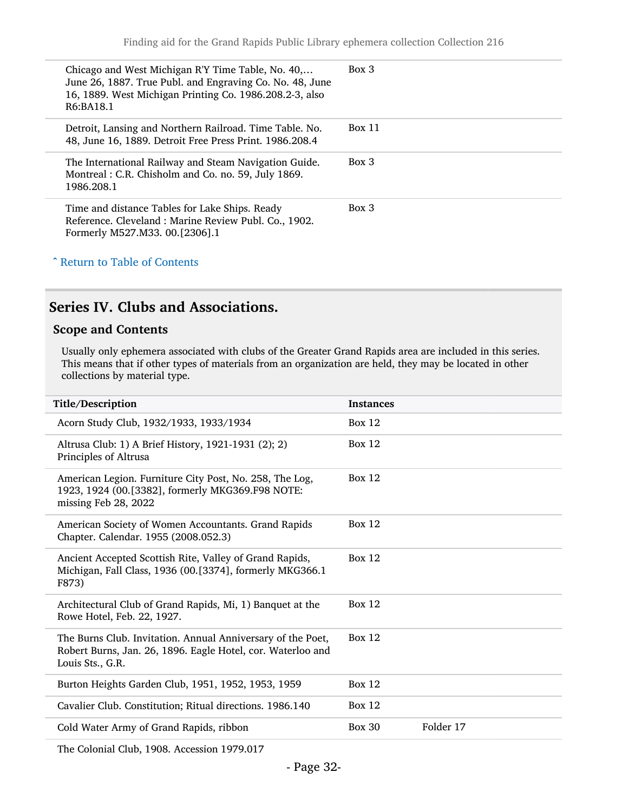| Chicago and West Michigan R'Y Time Table, No. 40,<br>June 26, 1887. True Publ. and Engraving Co. No. 48, June<br>16, 1889. West Michigan Printing Co. 1986.208.2-3, also<br>R6:BA18.1 | $Box\ 3$ |
|---------------------------------------------------------------------------------------------------------------------------------------------------------------------------------------|----------|
| Detroit, Lansing and Northern Railroad. Time Table. No.<br>48, June 16, 1889. Detroit Free Press Print. 1986.208.4                                                                    | Box 11   |
| The International Railway and Steam Navigation Guide.<br>Montreal: C.R. Chisholm and Co. no. 59, July 1869.<br>1986.208.1                                                             | $Box\ 3$ |
| Time and distance Tables for Lake Ships. Ready<br>Reference. Cleveland : Marine Review Publ. Co., 1902.<br>Formerly M527.M33. 00.[2306].1                                             | $Box\ 3$ |

#### ^ [Return to Table of Contents](#page-1-0)

#### <span id="page-31-0"></span>Series IV. Clubs and Associations.

#### Scope and Contents

Usually only ephemera associated with clubs of the Greater Grand Rapids area are included in this series. This means that if other types of materials from an organization are held, they may be located in other collections by material type.

| <b>Title/Description</b>                                                                                                                       | <b>Instances</b> |           |
|------------------------------------------------------------------------------------------------------------------------------------------------|------------------|-----------|
| Acorn Study Club, 1932/1933, 1933/1934                                                                                                         | Box $12$         |           |
| Altrusa Club: 1) A Brief History, 1921-1931 (2); 2)<br>Principles of Altrusa                                                                   | Box $12$         |           |
| American Legion. Furniture City Post, No. 258, The Log,<br>1923, 1924 (00.[3382], formerly MKG369.F98 NOTE:<br>missing Feb 28, 2022            | Box $12$         |           |
| American Society of Women Accountants. Grand Rapids<br>Chapter. Calendar. 1955 (2008.052.3)                                                    | Box $12$         |           |
| Ancient Accepted Scottish Rite, Valley of Grand Rapids,<br>Michigan, Fall Class, 1936 (00.[3374], formerly MKG366.1<br>F873)                   | <b>Box 12</b>    |           |
| Architectural Club of Grand Rapids, Mi, 1) Banquet at the<br>Rowe Hotel, Feb. 22, 1927.                                                        | Box $12$         |           |
| The Burns Club. Invitation. Annual Anniversary of the Poet,<br>Robert Burns, Jan. 26, 1896. Eagle Hotel, cor. Waterloo and<br>Louis Sts., G.R. | Box $12$         |           |
| Burton Heights Garden Club, 1951, 1952, 1953, 1959                                                                                             | Box 12           |           |
| Cavalier Club. Constitution; Ritual directions. 1986.140                                                                                       | Box $12$         |           |
| Cold Water Army of Grand Rapids, ribbon                                                                                                        | <b>Box 30</b>    | Folder 17 |
|                                                                                                                                                |                  |           |

The Colonial Club, 1908. Accession 1979.017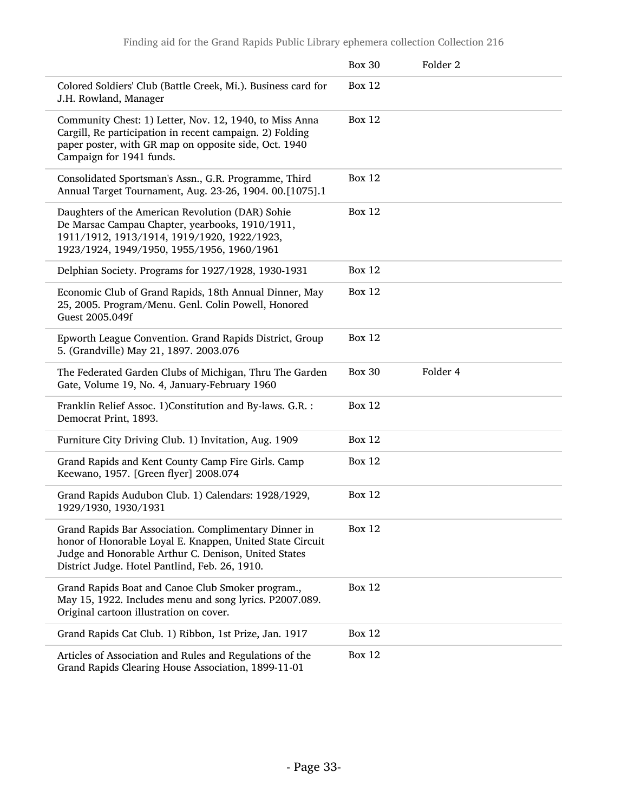|                                                                                                                                                                                                                              | <b>Box 30</b> | Folder <sub>2</sub> |  |
|------------------------------------------------------------------------------------------------------------------------------------------------------------------------------------------------------------------------------|---------------|---------------------|--|
| Colored Soldiers' Club (Battle Creek, Mi.). Business card for<br>J.H. Rowland, Manager                                                                                                                                       | <b>Box 12</b> |                     |  |
| Community Chest: 1) Letter, Nov. 12, 1940, to Miss Anna<br>Cargill, Re participation in recent campaign. 2) Folding<br>paper poster, with GR map on opposite side, Oct. 1940<br>Campaign for 1941 funds.                     | <b>Box 12</b> |                     |  |
| Consolidated Sportsman's Assn., G.R. Programme, Third<br>Annual Target Tournament, Aug. 23-26, 1904. 00.[1075].1                                                                                                             | <b>Box 12</b> |                     |  |
| Daughters of the American Revolution (DAR) Sohie<br>De Marsac Campau Chapter, yearbooks, 1910/1911,<br>1911/1912, 1913/1914, 1919/1920, 1922/1923,<br>1923/1924, 1949/1950, 1955/1956, 1960/1961                             | <b>Box 12</b> |                     |  |
| Delphian Society. Programs for 1927/1928, 1930-1931                                                                                                                                                                          | <b>Box 12</b> |                     |  |
| Economic Club of Grand Rapids, 18th Annual Dinner, May<br>25, 2005. Program/Menu. Genl. Colin Powell, Honored<br>Guest 2005.049f                                                                                             | <b>Box 12</b> |                     |  |
| Epworth League Convention. Grand Rapids District, Group<br>5. (Grandville) May 21, 1897. 2003.076                                                                                                                            | <b>Box 12</b> |                     |  |
| The Federated Garden Clubs of Michigan, Thru The Garden<br>Gate, Volume 19, No. 4, January-February 1960                                                                                                                     | <b>Box 30</b> | Folder 4            |  |
| Franklin Relief Assoc. 1)Constitution and By-laws. G.R. :<br>Democrat Print, 1893.                                                                                                                                           | <b>Box 12</b> |                     |  |
| Furniture City Driving Club. 1) Invitation, Aug. 1909                                                                                                                                                                        | <b>Box 12</b> |                     |  |
| Grand Rapids and Kent County Camp Fire Girls. Camp<br>Keewano, 1957. [Green flyer] 2008.074                                                                                                                                  | <b>Box 12</b> |                     |  |
| Grand Rapids Audubon Club. 1) Calendars: 1928/1929,<br>1929/1930, 1930/1931                                                                                                                                                  | <b>Box 12</b> |                     |  |
| Grand Rapids Bar Association. Complimentary Dinner in<br>honor of Honorable Loyal E. Knappen, United State Circuit<br>Judge and Honorable Arthur C. Denison, United States<br>District Judge. Hotel Pantlind, Feb. 26, 1910. | <b>Box 12</b> |                     |  |
| Grand Rapids Boat and Canoe Club Smoker program.,                                                                                                                                                                            | <b>Box 12</b> |                     |  |
| May 15, 1922. Includes menu and song lyrics. P2007.089.<br>Original cartoon illustration on cover.                                                                                                                           |               |                     |  |
| Grand Rapids Cat Club. 1) Ribbon, 1st Prize, Jan. 1917                                                                                                                                                                       | <b>Box 12</b> |                     |  |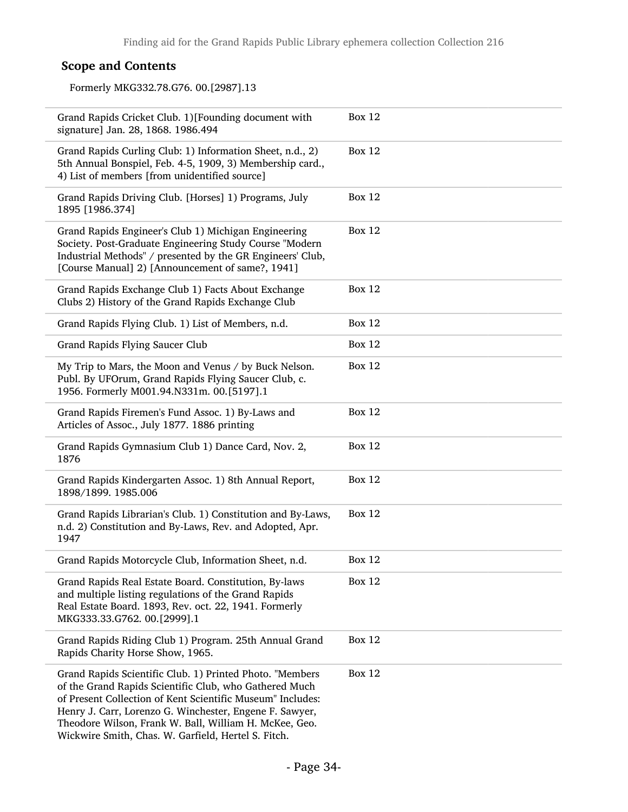#### Scope and Contents

Formerly MKG332.78.G76. 00.[2987].13

| Grand Rapids Cricket Club. 1)[Founding document with<br>signature] Jan. 28, 1868. 1986.494                                                                                                                                                                                                                                                                   | <b>Box 12</b> |
|--------------------------------------------------------------------------------------------------------------------------------------------------------------------------------------------------------------------------------------------------------------------------------------------------------------------------------------------------------------|---------------|
| Grand Rapids Curling Club: 1) Information Sheet, n.d., 2)<br>5th Annual Bonspiel, Feb. 4-5, 1909, 3) Membership card.,<br>4) List of members [from unidentified source]                                                                                                                                                                                      | <b>Box 12</b> |
| Grand Rapids Driving Club. [Horses] 1) Programs, July<br>1895 [1986.374]                                                                                                                                                                                                                                                                                     | <b>Box 12</b> |
| Grand Rapids Engineer's Club 1) Michigan Engineering<br>Society. Post-Graduate Engineering Study Course "Modern<br>Industrial Methods" / presented by the GR Engineers' Club,<br>[Course Manual] 2) [Announcement of same?, 1941]                                                                                                                            | <b>Box 12</b> |
| Grand Rapids Exchange Club 1) Facts About Exchange<br>Clubs 2) History of the Grand Rapids Exchange Club                                                                                                                                                                                                                                                     | <b>Box 12</b> |
| Grand Rapids Flying Club. 1) List of Members, n.d.                                                                                                                                                                                                                                                                                                           | <b>Box 12</b> |
| Grand Rapids Flying Saucer Club                                                                                                                                                                                                                                                                                                                              | <b>Box 12</b> |
| My Trip to Mars, the Moon and Venus / by Buck Nelson.<br>Publ. By UFOrum, Grand Rapids Flying Saucer Club, c.<br>1956. Formerly M001.94.N331m. 00.[5197].1                                                                                                                                                                                                   | <b>Box 12</b> |
| Grand Rapids Firemen's Fund Assoc. 1) By-Laws and<br>Articles of Assoc., July 1877. 1886 printing                                                                                                                                                                                                                                                            | <b>Box 12</b> |
| Grand Rapids Gymnasium Club 1) Dance Card, Nov. 2,<br>1876                                                                                                                                                                                                                                                                                                   | <b>Box 12</b> |
| Grand Rapids Kindergarten Assoc. 1) 8th Annual Report,<br>1898/1899. 1985.006                                                                                                                                                                                                                                                                                | <b>Box 12</b> |
| Grand Rapids Librarian's Club. 1) Constitution and By-Laws,<br>n.d. 2) Constitution and By-Laws, Rev. and Adopted, Apr.<br>1947                                                                                                                                                                                                                              | <b>Box 12</b> |
| Grand Rapids Motorcycle Club, Information Sheet, n.d.                                                                                                                                                                                                                                                                                                        | <b>Box 12</b> |
| Grand Rapids Real Estate Board. Constitution, By-laws<br>and multiple listing regulations of the Grand Rapids<br>Real Estate Board. 1893, Rev. oct. 22, 1941. Formerly<br>MKG333.33.G762. 00.[2999].1                                                                                                                                                        | <b>Box 12</b> |
| Grand Rapids Riding Club 1) Program. 25th Annual Grand<br>Rapids Charity Horse Show, 1965.                                                                                                                                                                                                                                                                   | <b>Box 12</b> |
| Grand Rapids Scientific Club. 1) Printed Photo. "Members<br>of the Grand Rapids Scientific Club, who Gathered Much<br>of Present Collection of Kent Scientific Museum" Includes:<br>Henry J. Carr, Lorenzo G. Winchester, Engene F. Sawyer,<br>Theodore Wilson, Frank W. Ball, William H. McKee, Geo.<br>Wickwire Smith, Chas. W. Garfield, Hertel S. Fitch. | <b>Box 12</b> |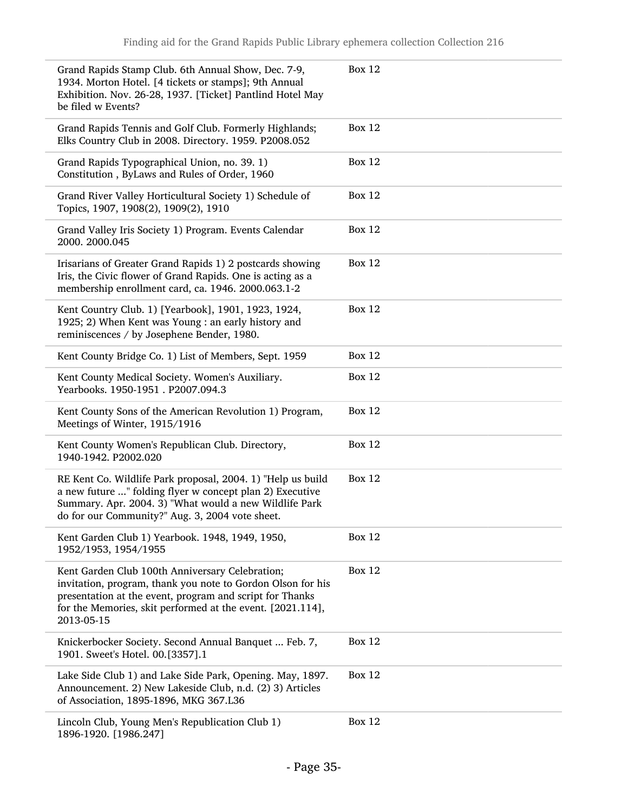| Grand Rapids Stamp Club. 6th Annual Show, Dec. 7-9,<br>1934. Morton Hotel. [4 tickets or stamps]; 9th Annual<br>Exhibition. Nov. 26-28, 1937. [Ticket] Pantlind Hotel May<br>be filed w Events?                                                        | <b>Box 12</b> |
|--------------------------------------------------------------------------------------------------------------------------------------------------------------------------------------------------------------------------------------------------------|---------------|
| Grand Rapids Tennis and Golf Club. Formerly Highlands;<br>Elks Country Club in 2008. Directory. 1959. P2008.052                                                                                                                                        | <b>Box 12</b> |
| Grand Rapids Typographical Union, no. 39. 1)<br>Constitution, ByLaws and Rules of Order, 1960                                                                                                                                                          | <b>Box 12</b> |
| Grand River Valley Horticultural Society 1) Schedule of<br>Topics, 1907, 1908(2), 1909(2), 1910                                                                                                                                                        | <b>Box 12</b> |
| Grand Valley Iris Society 1) Program. Events Calendar<br>2000. 2000.045                                                                                                                                                                                | <b>Box 12</b> |
| Irisarians of Greater Grand Rapids 1) 2 postcards showing<br>Iris, the Civic flower of Grand Rapids. One is acting as a<br>membership enrollment card, ca. 1946. 2000.063.1-2                                                                          | <b>Box 12</b> |
| Kent Country Club. 1) [Yearbook], 1901, 1923, 1924,<br>1925; 2) When Kent was Young : an early history and<br>reminiscences / by Josephene Bender, 1980.                                                                                               | <b>Box 12</b> |
| Kent County Bridge Co. 1) List of Members, Sept. 1959                                                                                                                                                                                                  | <b>Box 12</b> |
| Kent County Medical Society. Women's Auxiliary.<br>Yearbooks. 1950-1951 . P2007.094.3                                                                                                                                                                  | <b>Box 12</b> |
| Kent County Sons of the American Revolution 1) Program,<br>Meetings of Winter, 1915/1916                                                                                                                                                               | <b>Box 12</b> |
| Kent County Women's Republican Club. Directory,<br>1940-1942. P2002.020                                                                                                                                                                                | <b>Box 12</b> |
| RE Kent Co. Wildlife Park proposal, 2004. 1) "Help us build<br>a new future " folding flyer w concept plan 2) Executive<br>Summary. Apr. 2004. 3) "What would a new Wildlife Park<br>do for our Community?" Aug. 3, 2004 vote sheet.                   | <b>Box 12</b> |
| Kent Garden Club 1) Yearbook. 1948, 1949, 1950,<br>1952/1953, 1954/1955                                                                                                                                                                                | <b>Box 12</b> |
| Kent Garden Club 100th Anniversary Celebration;<br>invitation, program, thank you note to Gordon Olson for his<br>presentation at the event, program and script for Thanks<br>for the Memories, skit performed at the event. [2021.114],<br>2013-05-15 | <b>Box 12</b> |
| Knickerbocker Society. Second Annual Banquet  Feb. 7,<br>1901. Sweet's Hotel. 00.[3357].1                                                                                                                                                              | <b>Box 12</b> |
| Lake Side Club 1) and Lake Side Park, Opening. May, 1897.<br>Announcement. 2) New Lakeside Club, n.d. (2) 3) Articles<br>of Association, 1895-1896, MKG 367.L36                                                                                        | <b>Box 12</b> |
| Lincoln Club, Young Men's Republication Club 1)<br>1896-1920. [1986.247]                                                                                                                                                                               | <b>Box 12</b> |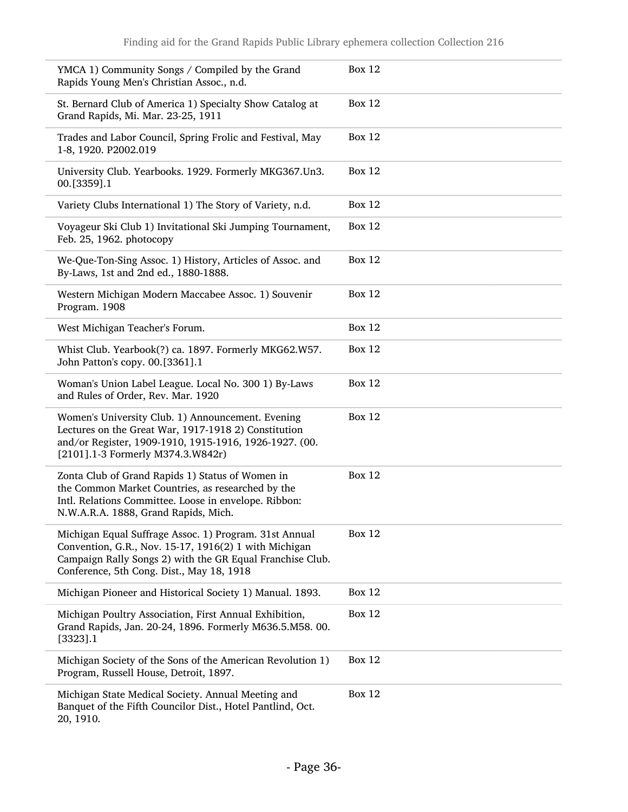| YMCA 1) Community Songs / Compiled by the Grand<br>Rapids Young Men's Christian Assoc., n.d.                                                                                                                              | <b>Box 12</b> |
|---------------------------------------------------------------------------------------------------------------------------------------------------------------------------------------------------------------------------|---------------|
| St. Bernard Club of America 1) Specialty Show Catalog at<br>Grand Rapids, Mi. Mar. 23-25, 1911                                                                                                                            | <b>Box 12</b> |
| Trades and Labor Council, Spring Frolic and Festival, May<br>1-8, 1920. P2002.019                                                                                                                                         | <b>Box 12</b> |
| University Club. Yearbooks. 1929. Formerly MKG367.Un3.<br>00. [3359]. 1                                                                                                                                                   | <b>Box 12</b> |
| Variety Clubs International 1) The Story of Variety, n.d.                                                                                                                                                                 | <b>Box 12</b> |
| Voyageur Ski Club 1) Invitational Ski Jumping Tournament,<br>Feb. 25, 1962. photocopy                                                                                                                                     | <b>Box 12</b> |
| We-Que-Ton-Sing Assoc. 1) History, Articles of Assoc. and<br>By-Laws, 1st and 2nd ed., 1880-1888.                                                                                                                         | <b>Box 12</b> |
| Western Michigan Modern Maccabee Assoc. 1) Souvenir<br>Program. 1908                                                                                                                                                      | <b>Box 12</b> |
| West Michigan Teacher's Forum.                                                                                                                                                                                            | <b>Box 12</b> |
| Whist Club. Yearbook(?) ca. 1897. Formerly MKG62.W57.<br>John Patton's copy. 00.[3361].1                                                                                                                                  | <b>Box 12</b> |
| Woman's Union Label League. Local No. 300 1) By-Laws<br>and Rules of Order, Rev. Mar. 1920                                                                                                                                | <b>Box 12</b> |
| Women's University Club. 1) Announcement. Evening<br>Lectures on the Great War, 1917-1918 2) Constitution<br>and/or Register, 1909-1910, 1915-1916, 1926-1927. (00.<br>[2101].1-3 Formerly M374.3.W842r)                  | <b>Box 12</b> |
| Zonta Club of Grand Rapids 1) Status of Women in<br>the Common Market Countries, as researched by the<br>Intl. Relations Committee. Loose in envelope. Ribbon:<br>N.W.A.R.A. 1888, Grand Rapids, Mich.                    | <b>Box 12</b> |
| Michigan Equal Suffrage Assoc. 1) Program. 31st Annual<br>Convention, G.R., Nov. 15-17, 1916(2) 1 with Michigan<br>Campaign Rally Songs 2) with the GR Equal Franchise Club.<br>Conference, 5th Cong. Dist., May 18, 1918 | <b>Box 12</b> |
| Michigan Pioneer and Historical Society 1) Manual. 1893.                                                                                                                                                                  | <b>Box 12</b> |
| Michigan Poultry Association, First Annual Exhibition,<br>Grand Rapids, Jan. 20-24, 1896. Formerly M636.5.M58. 00.<br>$[3323]$ .1                                                                                         | <b>Box 12</b> |
| Michigan Society of the Sons of the American Revolution 1)<br>Program, Russell House, Detroit, 1897.                                                                                                                      | <b>Box 12</b> |
| Michigan State Medical Society. Annual Meeting and<br>Banquet of the Fifth Councilor Dist., Hotel Pantlind, Oct.<br>20, 1910.                                                                                             | <b>Box 12</b> |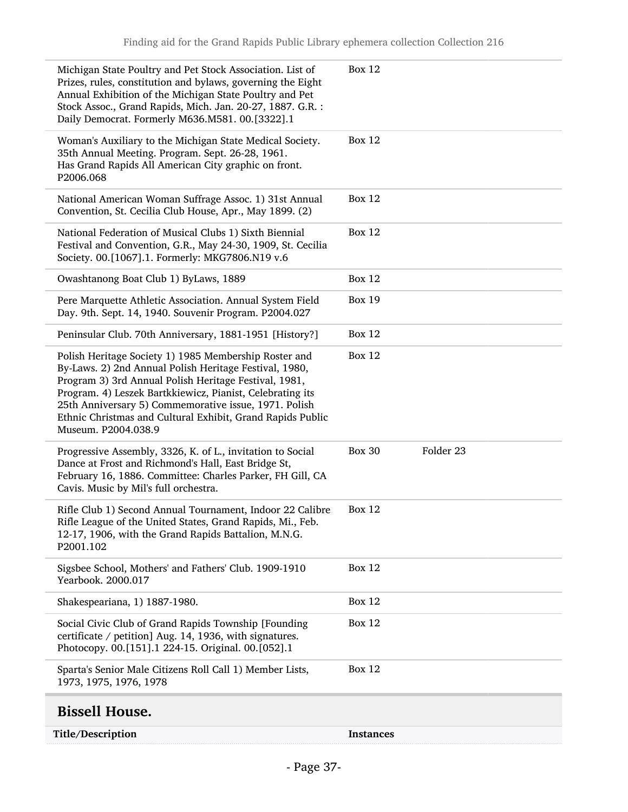| Sparta's Senior Male Citizens Roll Call 1) Member Lists,<br>1973, 1975, 1976, 1978                                                                                                                                                                                                                                                                                                  | <b>Box 12</b> |           |
|-------------------------------------------------------------------------------------------------------------------------------------------------------------------------------------------------------------------------------------------------------------------------------------------------------------------------------------------------------------------------------------|---------------|-----------|
| Social Civic Club of Grand Rapids Township [Founding<br>certificate / petition] Aug. 14, 1936, with signatures.<br>Photocopy. 00.[151].1 224-15. Original. 00.[052].1                                                                                                                                                                                                               | <b>Box 12</b> |           |
| Shakespeariana, 1) 1887-1980.                                                                                                                                                                                                                                                                                                                                                       | <b>Box 12</b> |           |
| Sigsbee School, Mothers' and Fathers' Club. 1909-1910<br>Yearbook. 2000.017                                                                                                                                                                                                                                                                                                         | <b>Box 12</b> |           |
| Rifle Club 1) Second Annual Tournament, Indoor 22 Calibre<br>Rifle League of the United States, Grand Rapids, Mi., Feb.<br>12-17, 1906, with the Grand Rapids Battalion, M.N.G.<br>P2001.102                                                                                                                                                                                        | <b>Box 12</b> |           |
| Progressive Assembly, 3326, K. of L., invitation to Social<br>Dance at Frost and Richmond's Hall, East Bridge St,<br>February 16, 1886. Committee: Charles Parker, FH Gill, CA<br>Cavis. Music by Mil's full orchestra.                                                                                                                                                             | <b>Box 30</b> | Folder 23 |
| Polish Heritage Society 1) 1985 Membership Roster and<br>By-Laws. 2) 2nd Annual Polish Heritage Festival, 1980,<br>Program 3) 3rd Annual Polish Heritage Festival, 1981,<br>Program. 4) Leszek Bartkkiewicz, Pianist, Celebrating its<br>25th Anniversary 5) Commemorative issue, 1971. Polish<br>Ethnic Christmas and Cultural Exhibit, Grand Rapids Public<br>Museum. P2004.038.9 | <b>Box 12</b> |           |
| Peninsular Club. 70th Anniversary, 1881-1951 [History?]                                                                                                                                                                                                                                                                                                                             | <b>Box 12</b> |           |
| Pere Marquette Athletic Association. Annual System Field<br>Day. 9th. Sept. 14, 1940. Souvenir Program. P2004.027                                                                                                                                                                                                                                                                   | <b>Box 19</b> |           |
| Owashtanong Boat Club 1) ByLaws, 1889                                                                                                                                                                                                                                                                                                                                               | <b>Box 12</b> |           |
| National Federation of Musical Clubs 1) Sixth Biennial<br>Festival and Convention, G.R., May 24-30, 1909, St. Cecilia<br>Society. 00.[1067].1. Formerly: MKG7806.N19 v.6                                                                                                                                                                                                            | <b>Box 12</b> |           |
| National American Woman Suffrage Assoc. 1) 31st Annual<br>Convention, St. Cecilia Club House, Apr., May 1899. (2)                                                                                                                                                                                                                                                                   | <b>Box 12</b> |           |
| Woman's Auxiliary to the Michigan State Medical Society.<br>35th Annual Meeting. Program. Sept. 26-28, 1961.<br>Has Grand Rapids All American City graphic on front.<br>P2006.068                                                                                                                                                                                                   | <b>Box 12</b> |           |
| Michigan State Poultry and Pet Stock Association. List of<br>Prizes, rules, constitution and bylaws, governing the Eight<br>Annual Exhibition of the Michigan State Poultry and Pet<br>Stock Assoc., Grand Rapids, Mich. Jan. 20-27, 1887. G.R.:<br>Daily Democrat. Formerly M636.M581. 00.[3322].1                                                                                 | <b>Box 12</b> |           |
|                                                                                                                                                                                                                                                                                                                                                                                     |               |           |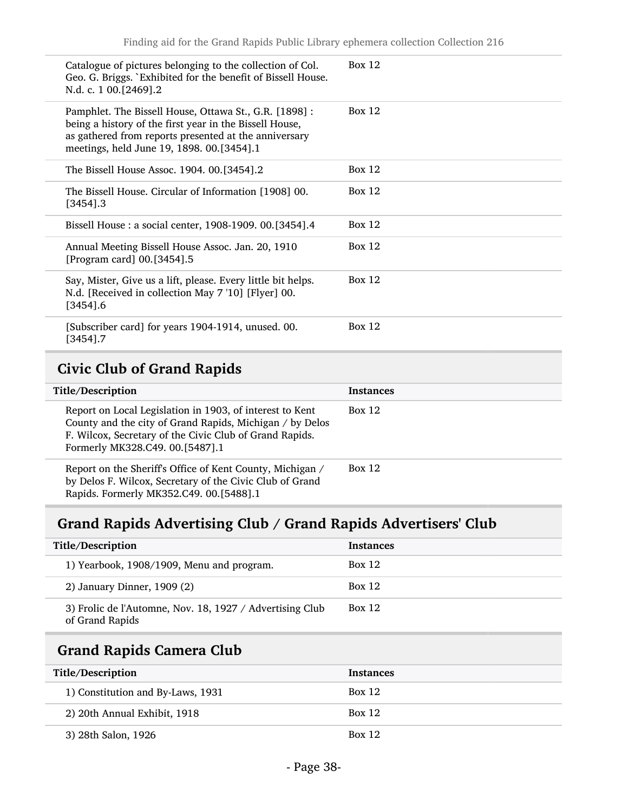| Catalogue of pictures belonging to the collection of Col.<br>Geo. G. Briggs. `Exhibited for the benefit of Bissell House.<br>N.d. c. 1 00. [2469].2                                                                     | Box 12   |
|-------------------------------------------------------------------------------------------------------------------------------------------------------------------------------------------------------------------------|----------|
| Pamphlet. The Bissell House, Ottawa St., G.R. [1898] :<br>being a history of the first year in the Bissell House,<br>as gathered from reports presented at the anniversary<br>meetings, held June 19, 1898. 00.[3454].1 | Box 12   |
| The Bissell House Assoc. 1904. 00. [3454]. 2                                                                                                                                                                            | Box 12   |
| The Bissell House. Circular of Information [1908] 00.<br>$[3454]$ .3                                                                                                                                                    | Box $12$ |
| Bissell House : a social center, 1908-1909. 00.[3454].4                                                                                                                                                                 | Box 12   |
| Annual Meeting Bissell House Assoc. Jan. 20, 1910<br>[Program card] 00.[3454].5                                                                                                                                         | Box 12   |
| Say, Mister, Give us a lift, please. Every little bit helps.<br>N.d. [Received in collection May 7 '10] [Flyer] 00.<br>$[3454]$ .6                                                                                      | Box 12   |
| [Subscriber card] for years 1904-1914, unused. 00.<br>$[3454]$ .7                                                                                                                                                       | Box 12   |

## Civic Club of Grand Rapids

| Title/Description                                                                                                                                                                                                  | <b>Instances</b> |
|--------------------------------------------------------------------------------------------------------------------------------------------------------------------------------------------------------------------|------------------|
| Report on Local Legislation in 1903, of interest to Kent<br>County and the city of Grand Rapids, Michigan / by Delos<br>F. Wilcox, Secretary of the Civic Club of Grand Rapids.<br>Formerly MK328.C49. 00.[5487].1 | Box 12           |
| Report on the Sheriff's Office of Kent County, Michigan /<br>by Delos F. Wilcox, Secretary of the Civic Club of Grand<br>Rapids. Formerly MK352.C49. 00.[5488].1                                                   | Box 12           |

# Grand Rapids Advertising Club / Grand Rapids Advertisers' Club

| Title/Description                                                           | <b>Instances</b> |
|-----------------------------------------------------------------------------|------------------|
| 1) Yearbook, 1908/1909, Menu and program.                                   | Box 12           |
| 2) January Dinner, $1909(2)$                                                | Box 12           |
| 3) Frolic de l'Automne, Nov. 18, 1927 / Advertising Club<br>of Grand Rapids | Box 12           |

## Grand Rapids Camera Club

| Title/Description                 | <b>Instances</b> |
|-----------------------------------|------------------|
| 1) Constitution and By-Laws, 1931 | Box 12           |
| 2) 20th Annual Exhibit, 1918      | Box 12           |
| 3) 28th Salon, 1926               | <b>Box 12</b>    |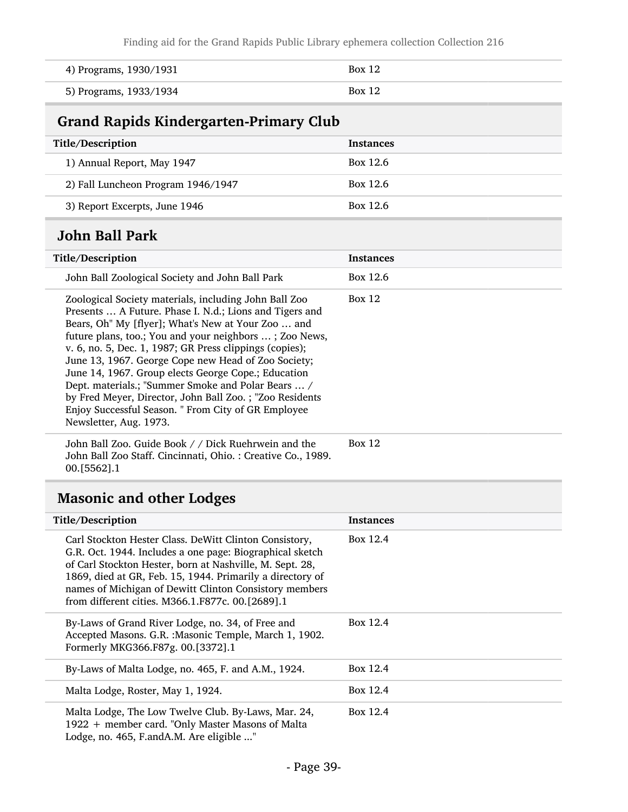Finding aid for the Grand Rapids Public Library ephemera collection Collection 216

| 4) Programs, 1930/1931 | Box 12 |
|------------------------|--------|
| 5) Programs, 1933/1934 | Box 12 |

## Grand Rapids Kindergarten-Primary Club

| Title/Description                  | <b>Instances</b> |
|------------------------------------|------------------|
| 1) Annual Report, May 1947         | Box 12.6         |
| 2) Fall Luncheon Program 1946/1947 | Box 12.6         |
| 3) Report Excerpts, June 1946      | Box 12.6         |

### John Ball Park

| Title/Description                                                                                                                                                                                                                                                                                                                                                                                                                                                                                                                                                                                           | <b>Instances</b> |
|-------------------------------------------------------------------------------------------------------------------------------------------------------------------------------------------------------------------------------------------------------------------------------------------------------------------------------------------------------------------------------------------------------------------------------------------------------------------------------------------------------------------------------------------------------------------------------------------------------------|------------------|
| John Ball Zoological Society and John Ball Park                                                                                                                                                                                                                                                                                                                                                                                                                                                                                                                                                             | Box 12.6         |
| Zoological Society materials, including John Ball Zoo<br>Presents  A Future. Phase I. N.d.; Lions and Tigers and<br>Bears, Oh" My [flyer]; What's New at Your Zoo  and<br>future plans, too.; You and your neighbors ; Zoo News,<br>v. 6, no. 5, Dec. 1, 1987; GR Press clippings (copies);<br>June 13, 1967. George Cope new Head of Zoo Society;<br>June 14, 1967. Group elects George Cope.; Education<br>Dept. materials.; "Summer Smoke and Polar Bears  /<br>by Fred Meyer, Director, John Ball Zoo.; "Zoo Residents<br>Enjoy Successful Season. " From City of GR Employee<br>Newsletter, Aug. 1973. | Box 12           |
| John Ball Zoo. Guide Book / / Dick Ruehrwein and the<br>John Ball Zoo Staff. Cincinnati, Ohio.: Creative Co., 1989.                                                                                                                                                                                                                                                                                                                                                                                                                                                                                         | Box 12           |

00.[5562].1

## Masonic and other Lodges

| Title/Description                                                                                                                                                                                                                                                                                                                                         | <b>Instances</b> |
|-----------------------------------------------------------------------------------------------------------------------------------------------------------------------------------------------------------------------------------------------------------------------------------------------------------------------------------------------------------|------------------|
| Carl Stockton Hester Class. DeWitt Clinton Consistory,<br>G.R. Oct. 1944. Includes a one page: Biographical sketch<br>of Carl Stockton Hester, born at Nashville, M. Sept. 28,<br>1869, died at GR, Feb. 15, 1944. Primarily a directory of<br>names of Michigan of Dewitt Clinton Consistory members<br>from different cities. M366.1.F877c. 00.[2689].1 | Box 12.4         |
| By-Laws of Grand River Lodge, no. 34, of Free and<br>Accepted Masons. G.R. : Masonic Temple, March 1, 1902.<br>Formerly MKG366.F87g. 00.[3372].1                                                                                                                                                                                                          | Box 12.4         |
| By-Laws of Malta Lodge, no. 465, F. and A.M., 1924.                                                                                                                                                                                                                                                                                                       | Box 12.4         |
| Malta Lodge, Roster, May 1, 1924.                                                                                                                                                                                                                                                                                                                         | Box 12.4         |
| Malta Lodge, The Low Twelve Club. By-Laws, Mar. 24,<br>1922 + member card. "Only Master Masons of Malta<br>Lodge, no. 465, F.andA.M. Are eligible "                                                                                                                                                                                                       | Box 12.4         |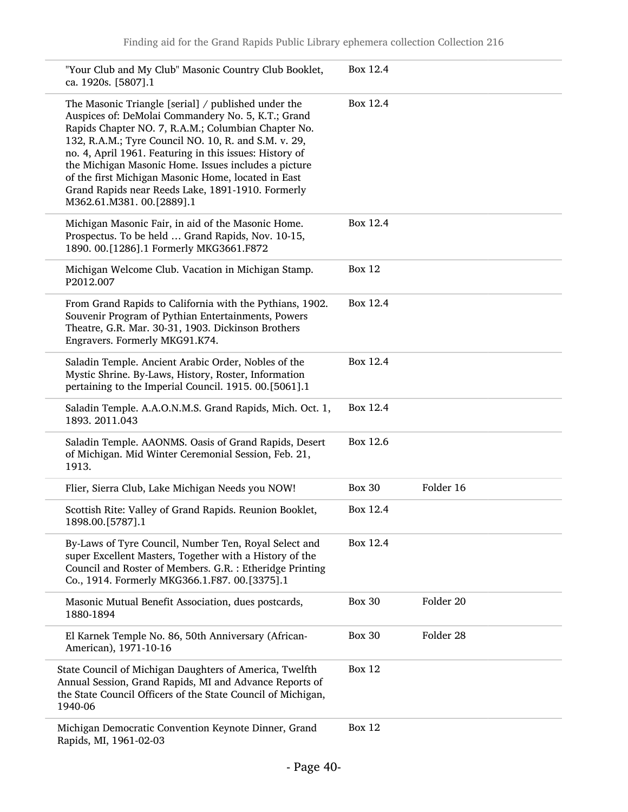| "Your Club and My Club" Masonic Country Club Booklet,<br>ca. 1920s. [5807].1                                                                                                                                                                                                                                                                                                                                                                                                         | Box 12.4      |           |
|--------------------------------------------------------------------------------------------------------------------------------------------------------------------------------------------------------------------------------------------------------------------------------------------------------------------------------------------------------------------------------------------------------------------------------------------------------------------------------------|---------------|-----------|
| The Masonic Triangle [serial] / published under the<br>Auspices of: DeMolai Commandery No. 5, K.T.; Grand<br>Rapids Chapter NO. 7, R.A.M.; Columbian Chapter No.<br>132, R.A.M.; Tyre Council NO. 10, R. and S.M. v. 29,<br>no. 4, April 1961. Featuring in this issues: History of<br>the Michigan Masonic Home. Issues includes a picture<br>of the first Michigan Masonic Home, located in East<br>Grand Rapids near Reeds Lake, 1891-1910. Formerly<br>M362.61.M381. 00.[2889].1 | Box 12.4      |           |
| Michigan Masonic Fair, in aid of the Masonic Home.<br>Prospectus. To be held  Grand Rapids, Nov. 10-15,<br>1890. 00.[1286].1 Formerly MKG3661.F872                                                                                                                                                                                                                                                                                                                                   | Box 12.4      |           |
| Michigan Welcome Club. Vacation in Michigan Stamp.<br>P2012.007                                                                                                                                                                                                                                                                                                                                                                                                                      | <b>Box 12</b> |           |
| From Grand Rapids to California with the Pythians, 1902.<br>Souvenir Program of Pythian Entertainments, Powers<br>Theatre, G.R. Mar. 30-31, 1903. Dickinson Brothers<br>Engravers. Formerly MKG91.K74.                                                                                                                                                                                                                                                                               | Box 12.4      |           |
| Saladin Temple. Ancient Arabic Order, Nobles of the<br>Mystic Shrine. By-Laws, History, Roster, Information<br>pertaining to the Imperial Council. 1915. 00.[5061].1                                                                                                                                                                                                                                                                                                                 | Box 12.4      |           |
| Saladin Temple. A.A.O.N.M.S. Grand Rapids, Mich. Oct. 1,<br>1893. 2011.043                                                                                                                                                                                                                                                                                                                                                                                                           | Box 12.4      |           |
| Saladin Temple. AAONMS. Oasis of Grand Rapids, Desert<br>of Michigan. Mid Winter Ceremonial Session, Feb. 21,<br>1913.                                                                                                                                                                                                                                                                                                                                                               | Box 12.6      |           |
| Flier, Sierra Club, Lake Michigan Needs you NOW!                                                                                                                                                                                                                                                                                                                                                                                                                                     | <b>Box 30</b> | Folder 16 |
| Scottish Rite: Valley of Grand Rapids. Reunion Booklet,<br>1898.00.[5787].1                                                                                                                                                                                                                                                                                                                                                                                                          | Box 12.4      |           |
| By-Laws of Tyre Council, Number Ten, Royal Select and<br>super Excellent Masters, Together with a History of the<br>Council and Roster of Members. G.R. : Etheridge Printing<br>Co., 1914. Formerly MKG366.1.F87. 00.[3375].1                                                                                                                                                                                                                                                        | Box 12.4      |           |
| Masonic Mutual Benefit Association, dues postcards,<br>1880-1894                                                                                                                                                                                                                                                                                                                                                                                                                     | <b>Box 30</b> | Folder 20 |
| El Karnek Temple No. 86, 50th Anniversary (African-<br>American), 1971-10-16                                                                                                                                                                                                                                                                                                                                                                                                         | <b>Box 30</b> | Folder 28 |
| State Council of Michigan Daughters of America, Twelfth<br>Annual Session, Grand Rapids, MI and Advance Reports of<br>the State Council Officers of the State Council of Michigan,<br>1940-06                                                                                                                                                                                                                                                                                        | <b>Box 12</b> |           |
| Michigan Democratic Convention Keynote Dinner, Grand<br>Rapids, MI, 1961-02-03                                                                                                                                                                                                                                                                                                                                                                                                       | <b>Box 12</b> |           |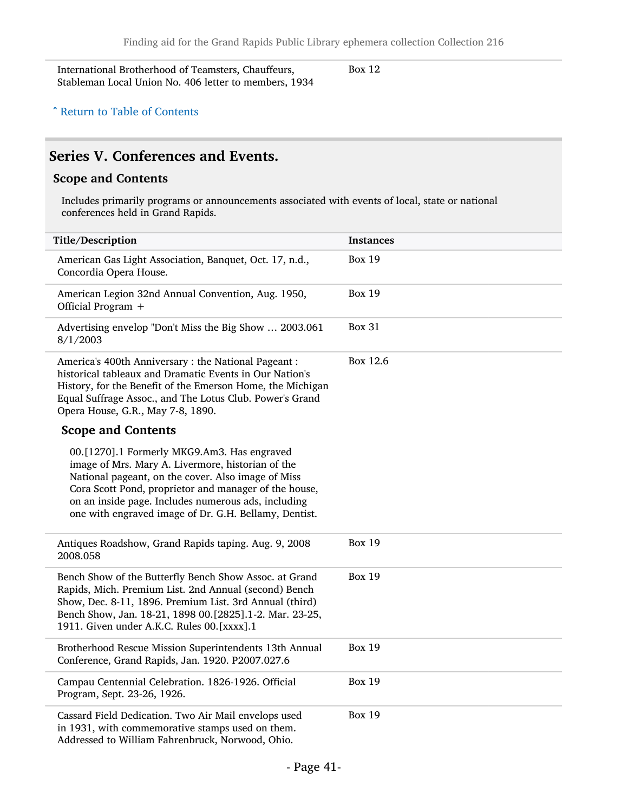International Brotherhood of Teamsters, Chauffeurs, Stableman Local Union No. 406 letter to members, 1934

Box 12

^ [Return to Table of Contents](#page-1-0)

#### Series V. Conferences and Events.

#### Scope and Contents

Includes primarily programs or announcements associated with events of local, state or national conferences held in Grand Rapids.

| Title/Description                                                                                                                                                                                                                                                                                                               | <b>Instances</b> |
|---------------------------------------------------------------------------------------------------------------------------------------------------------------------------------------------------------------------------------------------------------------------------------------------------------------------------------|------------------|
| American Gas Light Association, Banquet, Oct. 17, n.d.,<br>Concordia Opera House.                                                                                                                                                                                                                                               | <b>Box 19</b>    |
| American Legion 32nd Annual Convention, Aug. 1950,<br>Official Program +                                                                                                                                                                                                                                                        | <b>Box 19</b>    |
| Advertising envelop "Don't Miss the Big Show  2003.061<br>8/1/2003                                                                                                                                                                                                                                                              | <b>Box 31</b>    |
| America's 400th Anniversary : the National Pageant :<br>historical tableaux and Dramatic Events in Our Nation's<br>History, for the Benefit of the Emerson Home, the Michigan<br>Equal Suffrage Assoc., and The Lotus Club. Power's Grand<br>Opera House, G.R., May 7-8, 1890.                                                  | Box 12.6         |
| <b>Scope and Contents</b>                                                                                                                                                                                                                                                                                                       |                  |
| 00.[1270].1 Formerly MKG9.Am3. Has engraved<br>image of Mrs. Mary A. Livermore, historian of the<br>National pageant, on the cover. Also image of Miss<br>Cora Scott Pond, proprietor and manager of the house,<br>on an inside page. Includes numerous ads, including<br>one with engraved image of Dr. G.H. Bellamy, Dentist. |                  |
| Antiques Roadshow, Grand Rapids taping. Aug. 9, 2008<br>2008.058                                                                                                                                                                                                                                                                | <b>Box 19</b>    |
| Bench Show of the Butterfly Bench Show Assoc. at Grand<br>Rapids, Mich. Premium List. 2nd Annual (second) Bench<br>Show, Dec. 8-11, 1896. Premium List. 3rd Annual (third)<br>Bench Show, Jan. 18-21, 1898 00.[2825].1-2. Mar. 23-25,<br>1911. Given under A.K.C. Rules 00.[xxxx].1                                             | <b>Box 19</b>    |
| Brotherhood Rescue Mission Superintendents 13th Annual<br>Conference, Grand Rapids, Jan. 1920. P2007.027.6                                                                                                                                                                                                                      | <b>Box 19</b>    |
| Campau Centennial Celebration. 1826-1926. Official<br>Program, Sept. 23-26, 1926.                                                                                                                                                                                                                                               | <b>Box 19</b>    |
| Cassard Field Dedication. Two Air Mail envelops used<br>in 1931, with commemorative stamps used on them.<br>Addressed to William Fahrenbruck, Norwood, Ohio.                                                                                                                                                                    | <b>Box 19</b>    |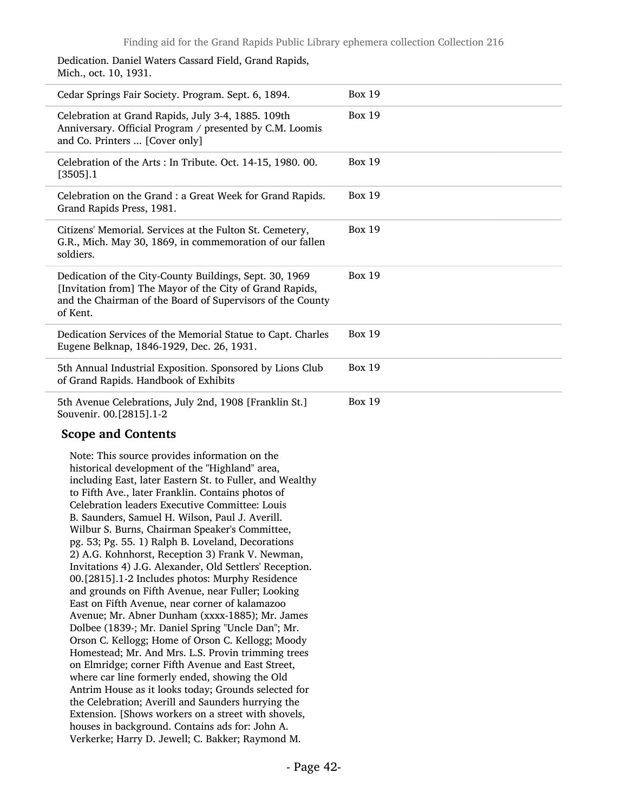Dedication. Daniel Waters Cassard Field, Grand Rapids, Mich., oct. 10, 1931.

| Cedar Springs Fair Society. Program. Sept. 6, 1894.                                                                                                                                           | <b>Box 19</b> |
|-----------------------------------------------------------------------------------------------------------------------------------------------------------------------------------------------|---------------|
| Celebration at Grand Rapids, July 3-4, 1885. 109th<br>Anniversary. Official Program / presented by C.M. Loomis<br>and Co. Printers  [Cover only]                                              | <b>Box 19</b> |
| Celebration of the Arts: In Tribute. Oct. 14-15, 1980. 00.<br>$[3505]$ .1                                                                                                                     | <b>Box 19</b> |
| Celebration on the Grand : a Great Week for Grand Rapids.<br>Grand Rapids Press, 1981.                                                                                                        | <b>Box 19</b> |
| Citizens' Memorial. Services at the Fulton St. Cemetery,<br>G.R., Mich. May 30, 1869, in commemoration of our fallen<br>soldiers.                                                             | <b>Box 19</b> |
| Dedication of the City-County Buildings, Sept. 30, 1969<br>[Invitation from] The Mayor of the City of Grand Rapids,<br>and the Chairman of the Board of Supervisors of the County<br>of Kent. | <b>Box 19</b> |
| Dedication Services of the Memorial Statue to Capt. Charles<br>Eugene Belknap, 1846-1929, Dec. 26, 1931.                                                                                      | <b>Box 19</b> |
| 5th Annual Industrial Exposition. Sponsored by Lions Club<br>of Grand Rapids. Handbook of Exhibits                                                                                            | <b>Box 19</b> |
| 5th Avenue Celebrations, July 2nd, 1908 [Franklin St.]<br>Souvenir. 00.[2815].1-2                                                                                                             | <b>Box 19</b> |

#### Scope and Contents

Note: This source provides information on the historical development of the "Highland" area, including East, later Eastern St. to Fuller, and Wealthy to Fifth Ave., later Franklin. Contains photos of Celebration leaders Executive Committee: Louis B. Saunders, Samuel H. Wilson, Paul J. Averill. Wilbur S. Burns, Chairman Speaker's Committee, pg. 53; Pg. 55. 1) Ralph B. Loveland, Decorations 2) A.G. Kohnhorst, Reception 3) Frank V. Newman, Invitations 4) J.G. Alexander, Old Settlers' Reception. 00.[2815].1-2 Includes photos: Murphy Residence and grounds on Fifth Avenue, near Fuller; Looking East on Fifth Avenue, near corner of kalamazoo Avenue; Mr. Abner Dunham (xxxx-1885); Mr. James Dolbee (1839-; Mr. Daniel Spring "Uncle Dan"; Mr. Orson C. Kellogg; Home of Orson C. Kellogg; Moody Homestead; Mr. And Mrs. L.S. Provin trimming trees on Elmridge; corner Fifth Avenue and East Street, where car line formerly ended, showing the Old Antrim House as it looks today; Grounds selected for the Celebration; Averill and Saunders hurrying the Extension. [Shows workers on a street with shovels, houses in background. Contains ads for: John A. Verkerke; Harry D. Jewell; C. Bakker; Raymond M.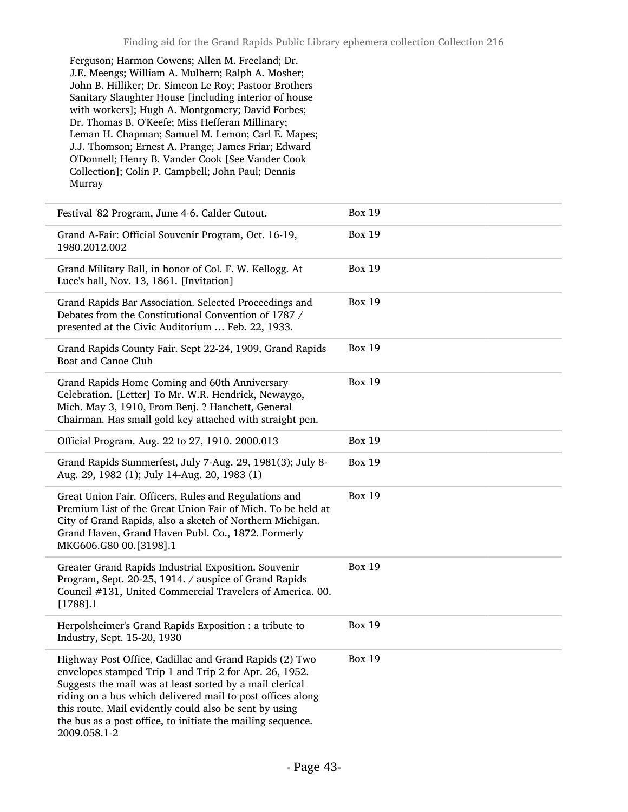Ferguson; Harmon Cowens; Allen M. Freeland; Dr. J.E. Meengs; William A. Mulhern; Ralph A. Mosher; John B. Hilliker; Dr. Simeon Le Roy; Pastoor Brothers Sanitary Slaughter House [including interior of house with workers]; Hugh A. Montgomery; David Forbes; Dr. Thomas B. O'Keefe; Miss Hefferan Millinary; Leman H. Chapman; Samuel M. Lemon; Carl E. Mapes; J.J. Thomson; Ernest A. Prange; James Friar; Edward O'Donnell; Henry B. Vander Cook [See Vander Cook Collection]; Colin P. Campbell; John Paul; Dennis Murray

| Festival '82 Program, June 4-6. Calder Cutout.                                                                                                                                                                                                                                                                                                                                      | <b>Box 19</b> |
|-------------------------------------------------------------------------------------------------------------------------------------------------------------------------------------------------------------------------------------------------------------------------------------------------------------------------------------------------------------------------------------|---------------|
| Grand A-Fair: Official Souvenir Program, Oct. 16-19,<br>1980.2012.002                                                                                                                                                                                                                                                                                                               | <b>Box 19</b> |
| Grand Military Ball, in honor of Col. F. W. Kellogg. At<br>Luce's hall, Nov. 13, 1861. [Invitation]                                                                                                                                                                                                                                                                                 | <b>Box 19</b> |
| Grand Rapids Bar Association. Selected Proceedings and<br>Debates from the Constitutional Convention of 1787 /<br>presented at the Civic Auditorium  Feb. 22, 1933.                                                                                                                                                                                                                 | <b>Box 19</b> |
| Grand Rapids County Fair. Sept 22-24, 1909, Grand Rapids<br><b>Boat and Canoe Club</b>                                                                                                                                                                                                                                                                                              | <b>Box 19</b> |
| Grand Rapids Home Coming and 60th Anniversary<br>Celebration. [Letter] To Mr. W.R. Hendrick, Newaygo,<br>Mich. May 3, 1910, From Benj. ? Hanchett, General<br>Chairman. Has small gold key attached with straight pen.                                                                                                                                                              | <b>Box 19</b> |
| Official Program. Aug. 22 to 27, 1910. 2000.013                                                                                                                                                                                                                                                                                                                                     | <b>Box 19</b> |
| Grand Rapids Summerfest, July 7-Aug. 29, 1981(3); July 8-<br>Aug. 29, 1982 (1); July 14-Aug. 20, 1983 (1)                                                                                                                                                                                                                                                                           | <b>Box 19</b> |
| Great Union Fair. Officers, Rules and Regulations and<br>Premium List of the Great Union Fair of Mich. To be held at<br>City of Grand Rapids, also a sketch of Northern Michigan.<br>Grand Haven, Grand Haven Publ. Co., 1872. Formerly<br>MKG606.G80 00.[3198].1                                                                                                                   | <b>Box 19</b> |
| Greater Grand Rapids Industrial Exposition. Souvenir<br>Program, Sept. 20-25, 1914. / auspice of Grand Rapids<br>Council #131, United Commercial Travelers of America. 00.<br>$[1788]$ .1                                                                                                                                                                                           | <b>Box 19</b> |
| Herpolsheimer's Grand Rapids Exposition : a tribute to<br>Industry, Sept. 15-20, 1930                                                                                                                                                                                                                                                                                               | <b>Box 19</b> |
| Highway Post Office, Cadillac and Grand Rapids (2) Two<br>envelopes stamped Trip 1 and Trip 2 for Apr. 26, 1952.<br>Suggests the mail was at least sorted by a mail clerical<br>riding on a bus which delivered mail to post offices along<br>this route. Mail evidently could also be sent by using<br>the bus as a post office, to initiate the mailing sequence.<br>2009.058.1-2 | <b>Box 19</b> |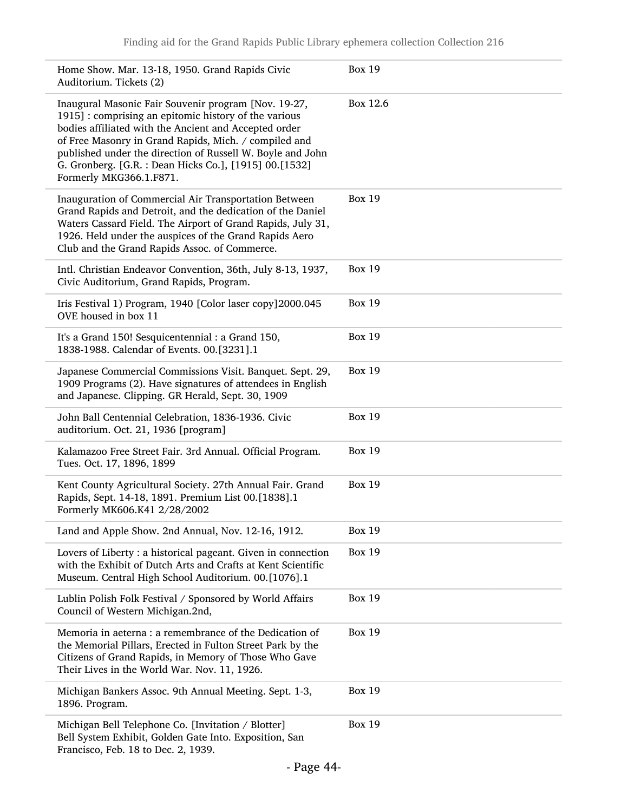| Home Show. Mar. 13-18, 1950. Grand Rapids Civic<br>Auditorium. Tickets (2)                                                                                                                                                                                                                                                                                                         | <b>Box 19</b> |
|------------------------------------------------------------------------------------------------------------------------------------------------------------------------------------------------------------------------------------------------------------------------------------------------------------------------------------------------------------------------------------|---------------|
| Inaugural Masonic Fair Souvenir program [Nov. 19-27,<br>1915] : comprising an epitomic history of the various<br>bodies affiliated with the Ancient and Accepted order<br>of Free Masonry in Grand Rapids, Mich. / compiled and<br>published under the direction of Russell W. Boyle and John<br>G. Gronberg. [G.R. : Dean Hicks Co.], [1915] 00.[1532]<br>Formerly MKG366.1.F871. | Box 12.6      |
| Inauguration of Commercial Air Transportation Between<br>Grand Rapids and Detroit, and the dedication of the Daniel<br>Waters Cassard Field. The Airport of Grand Rapids, July 31,<br>1926. Held under the auspices of the Grand Rapids Aero<br>Club and the Grand Rapids Assoc. of Commerce.                                                                                      | <b>Box 19</b> |
| Intl. Christian Endeavor Convention, 36th, July 8-13, 1937,<br>Civic Auditorium, Grand Rapids, Program.                                                                                                                                                                                                                                                                            | <b>Box 19</b> |
| Iris Festival 1) Program, 1940 [Color laser copy]2000.045<br>OVE housed in box 11                                                                                                                                                                                                                                                                                                  | <b>Box 19</b> |
| It's a Grand 150! Sesquicentennial : a Grand 150,<br>1838-1988. Calendar of Events. 00.[3231].1                                                                                                                                                                                                                                                                                    | <b>Box 19</b> |
| Japanese Commercial Commissions Visit. Banquet. Sept. 29,<br>1909 Programs (2). Have signatures of attendees in English<br>and Japanese. Clipping. GR Herald, Sept. 30, 1909                                                                                                                                                                                                       | <b>Box 19</b> |
| John Ball Centennial Celebration, 1836-1936. Civic<br>auditorium. Oct. 21, 1936 [program]                                                                                                                                                                                                                                                                                          | <b>Box 19</b> |
| Kalamazoo Free Street Fair. 3rd Annual. Official Program.<br>Tues. Oct. 17, 1896, 1899                                                                                                                                                                                                                                                                                             | <b>Box 19</b> |
| Kent County Agricultural Society. 27th Annual Fair. Grand<br>Rapids, Sept. 14-18, 1891. Premium List 00.[1838].1<br>Formerly MK606.K41 2/28/2002                                                                                                                                                                                                                                   | <b>Box 19</b> |
| Land and Apple Show. 2nd Annual, Nov. 12-16, 1912.                                                                                                                                                                                                                                                                                                                                 | <b>Box 19</b> |
| Lovers of Liberty : a historical pageant. Given in connection<br>with the Exhibit of Dutch Arts and Crafts at Kent Scientific<br>Museum. Central High School Auditorium. 00.[1076].1                                                                                                                                                                                               | <b>Box 19</b> |
| Lublin Polish Folk Festival / Sponsored by World Affairs<br>Council of Western Michigan.2nd,                                                                                                                                                                                                                                                                                       | <b>Box 19</b> |
| Memoria in aeterna : a remembrance of the Dedication of<br>the Memorial Pillars, Erected in Fulton Street Park by the<br>Citizens of Grand Rapids, in Memory of Those Who Gave<br>Their Lives in the World War. Nov. 11, 1926.                                                                                                                                                     | <b>Box 19</b> |
| Michigan Bankers Assoc. 9th Annual Meeting. Sept. 1-3,<br>1896. Program.                                                                                                                                                                                                                                                                                                           | <b>Box 19</b> |
| Michigan Bell Telephone Co. [Invitation / Blotter]<br>Bell System Exhibit, Golden Gate Into. Exposition, San<br>Francisco, Feb. 18 to Dec. 2, 1939.                                                                                                                                                                                                                                | <b>Box 19</b> |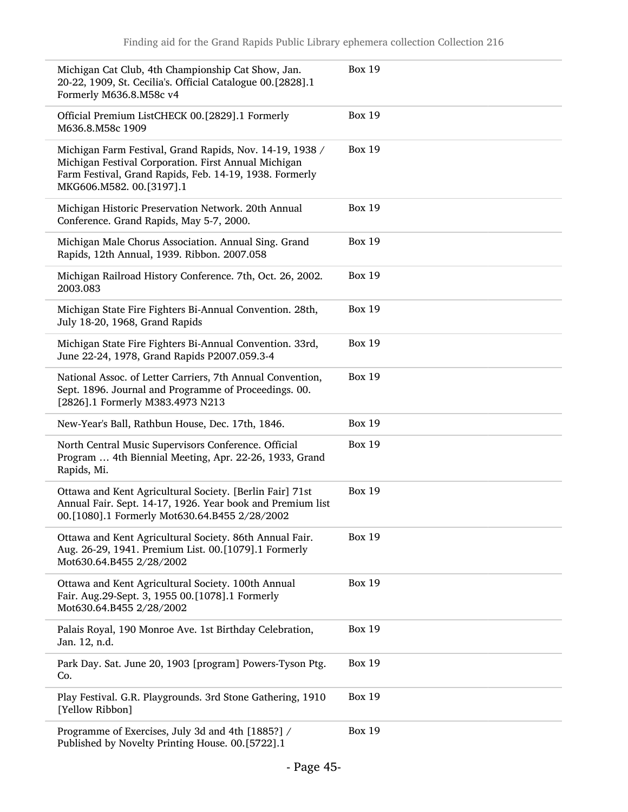| Michigan Cat Club, 4th Championship Cat Show, Jan.<br>20-22, 1909, St. Cecilia's. Official Catalogue 00.[2828].1<br>Formerly M636.8.M58c v4                                                             | <b>Box 19</b> |
|---------------------------------------------------------------------------------------------------------------------------------------------------------------------------------------------------------|---------------|
| Official Premium ListCHECK 00.[2829].1 Formerly<br>M636.8.M58c 1909                                                                                                                                     | <b>Box 19</b> |
| Michigan Farm Festival, Grand Rapids, Nov. 14-19, 1938 /<br>Michigan Festival Corporation. First Annual Michigan<br>Farm Festival, Grand Rapids, Feb. 14-19, 1938. Formerly<br>MKG606.M582. 00.[3197].1 | <b>Box 19</b> |
| Michigan Historic Preservation Network. 20th Annual<br>Conference. Grand Rapids, May 5-7, 2000.                                                                                                         | <b>Box 19</b> |
| Michigan Male Chorus Association. Annual Sing. Grand<br>Rapids, 12th Annual, 1939. Ribbon. 2007.058                                                                                                     | <b>Box 19</b> |
| Michigan Railroad History Conference. 7th, Oct. 26, 2002.<br>2003.083                                                                                                                                   | <b>Box 19</b> |
| Michigan State Fire Fighters Bi-Annual Convention. 28th,<br>July 18-20, 1968, Grand Rapids                                                                                                              | <b>Box 19</b> |
| Michigan State Fire Fighters Bi-Annual Convention. 33rd,<br>June 22-24, 1978, Grand Rapids P2007.059.3-4                                                                                                | <b>Box 19</b> |
| National Assoc. of Letter Carriers, 7th Annual Convention,<br>Sept. 1896. Journal and Programme of Proceedings. 00.<br>[2826].1 Formerly M383.4973 N213                                                 | <b>Box 19</b> |
| New-Year's Ball, Rathbun House, Dec. 17th, 1846.                                                                                                                                                        | <b>Box 19</b> |
| North Central Music Supervisors Conference. Official<br>Program  4th Biennial Meeting, Apr. 22-26, 1933, Grand<br>Rapids, Mi.                                                                           | <b>Box 19</b> |
| Ottawa and Kent Agricultural Society. [Berlin Fair] 71st<br>Annual Fair. Sept. 14-17, 1926. Year book and Premium list<br>00.[1080].1 Formerly Mot630.64.B455 2/28/2002                                 | <b>Box 19</b> |
| Ottawa and Kent Agricultural Society. 86th Annual Fair.<br>Aug. 26-29, 1941. Premium List. 00.[1079].1 Formerly<br>Mot630.64.B455 2/28/2002                                                             | <b>Box 19</b> |
| Ottawa and Kent Agricultural Society. 100th Annual<br>Fair. Aug.29-Sept. 3, 1955 00.[1078].1 Formerly<br>Mot630.64.B455 2/28/2002                                                                       | <b>Box 19</b> |
| Palais Royal, 190 Monroe Ave. 1st Birthday Celebration,<br>Jan. 12, n.d.                                                                                                                                | <b>Box 19</b> |
| Park Day. Sat. June 20, 1903 [program] Powers-Tyson Ptg.<br>Co.                                                                                                                                         | <b>Box 19</b> |
| Play Festival. G.R. Playgrounds. 3rd Stone Gathering, 1910<br>[Yellow Ribbon]                                                                                                                           | <b>Box 19</b> |
| Programme of Exercises, July 3d and 4th [1885?] /<br>Published by Novelty Printing House. 00.[5722].1                                                                                                   | <b>Box 19</b> |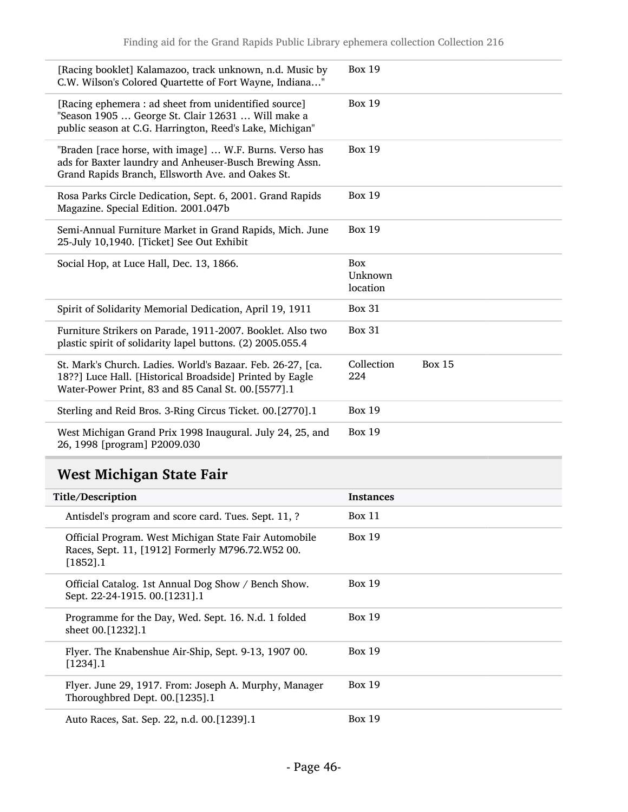| [Racing booklet] Kalamazoo, track unknown, n.d. Music by<br>C.W. Wilson's Colored Quartette of Fort Wayne, Indiana"                                                           | <b>Box 19</b>                      |
|-------------------------------------------------------------------------------------------------------------------------------------------------------------------------------|------------------------------------|
| [Racing ephemera : ad sheet from unidentified source]<br>"Season 1905  George St. Clair 12631  Will make a<br>public season at C.G. Harrington, Reed's Lake, Michigan"        | <b>Box 19</b>                      |
| "Braden [race horse, with image]  W.F. Burns. Verso has<br>ads for Baxter laundry and Anheuser-Busch Brewing Assn.<br>Grand Rapids Branch, Ellsworth Ave. and Oakes St.       | <b>Box 19</b>                      |
| Rosa Parks Circle Dedication, Sept. 6, 2001. Grand Rapids<br>Magazine. Special Edition. 2001.047b                                                                             | <b>Box 19</b>                      |
| Semi-Annual Furniture Market in Grand Rapids, Mich. June<br>25-July 10,1940. [Ticket] See Out Exhibit                                                                         | <b>Box 19</b>                      |
| Social Hop, at Luce Hall, Dec. 13, 1866.                                                                                                                                      | <b>Box</b><br>Unknown<br>location  |
| Spirit of Solidarity Memorial Dedication, April 19, 1911                                                                                                                      | <b>Box 31</b>                      |
| Furniture Strikers on Parade, 1911-2007. Booklet. Also two<br>plastic spirit of solidarity lapel buttons. (2) 2005.055.4                                                      | <b>Box 31</b>                      |
| St. Mark's Church. Ladies. World's Bazaar. Feb. 26-27, [ca.<br>18??] Luce Hall. [Historical Broadside] Printed by Eagle<br>Water-Power Print, 83 and 85 Canal St. 00.[5577].1 | Collection<br><b>Box 15</b><br>224 |
| Sterling and Reid Bros. 3-Ring Circus Ticket. 00.[2770].1                                                                                                                     | <b>Box 19</b>                      |
| West Michigan Grand Prix 1998 Inaugural. July 24, 25, and<br>26, 1998 [program] P2009.030                                                                                     | <b>Box 19</b>                      |

# West Michigan State Fair

| Title/Description                                                                                                        | <b>Instances</b> |
|--------------------------------------------------------------------------------------------------------------------------|------------------|
| Antisdel's program and score card. Tues. Sept. 11, ?                                                                     | Box 11           |
| Official Program. West Michigan State Fair Automobile<br>Races, Sept. 11, [1912] Formerly M796.72.W52 00.<br>$[1852]$ .1 | Box 19           |
| Official Catalog. 1st Annual Dog Show / Bench Show.<br>Sept. 22-24-1915. 00. [1231].1                                    | Box 19           |
| Programme for the Day, Wed. Sept. 16. N.d. 1 folded<br>sheet 00.[1232].1                                                 | Box 19           |
| Flyer. The Knabenshue Air-Ship, Sept. 9-13, 1907 00.<br>$[1234]$ .1                                                      | Box 19           |
| Flyer. June 29, 1917. From: Joseph A. Murphy, Manager<br>Thoroughbred Dept. 00.[1235].1                                  | <b>Box 19</b>    |
| Auto Races, Sat. Sep. 22, n.d. 00. [1239]. 1                                                                             | <b>Box 19</b>    |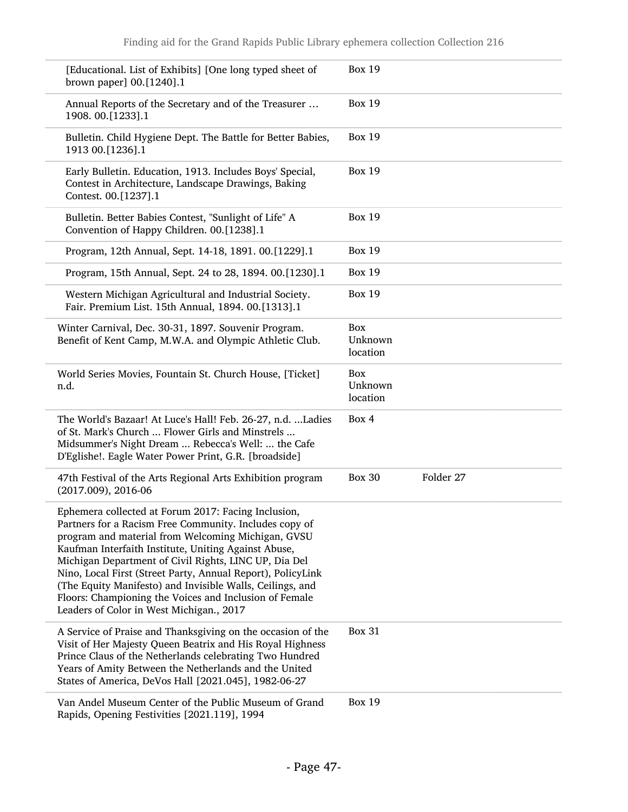| [Educational. List of Exhibits] [One long typed sheet of<br>brown paper] 00.[1240].1                                                                                                                                                                                                                                                                                                                                                                                                                                   | <b>Box 19</b>              |           |
|------------------------------------------------------------------------------------------------------------------------------------------------------------------------------------------------------------------------------------------------------------------------------------------------------------------------------------------------------------------------------------------------------------------------------------------------------------------------------------------------------------------------|----------------------------|-----------|
| Annual Reports of the Secretary and of the Treasurer<br>1908. 00. [1233]. 1                                                                                                                                                                                                                                                                                                                                                                                                                                            | <b>Box 19</b>              |           |
| Bulletin. Child Hygiene Dept. The Battle for Better Babies,<br>1913 00.[1236].1                                                                                                                                                                                                                                                                                                                                                                                                                                        | <b>Box 19</b>              |           |
| Early Bulletin. Education, 1913. Includes Boys' Special,<br>Contest in Architecture, Landscape Drawings, Baking<br>Contest. 00.[1237].1                                                                                                                                                                                                                                                                                                                                                                                | <b>Box 19</b>              |           |
| Bulletin. Better Babies Contest, "Sunlight of Life" A<br>Convention of Happy Children. 00.[1238].1                                                                                                                                                                                                                                                                                                                                                                                                                     | <b>Box 19</b>              |           |
| Program, 12th Annual, Sept. 14-18, 1891. 00.[1229].1                                                                                                                                                                                                                                                                                                                                                                                                                                                                   | <b>Box 19</b>              |           |
| Program, 15th Annual, Sept. 24 to 28, 1894. 00.[1230].1                                                                                                                                                                                                                                                                                                                                                                                                                                                                | <b>Box 19</b>              |           |
| Western Michigan Agricultural and Industrial Society.<br>Fair. Premium List. 15th Annual, 1894. 00.[1313].1                                                                                                                                                                                                                                                                                                                                                                                                            | <b>Box 19</b>              |           |
| Winter Carnival, Dec. 30-31, 1897. Souvenir Program.<br>Benefit of Kent Camp, M.W.A. and Olympic Athletic Club.                                                                                                                                                                                                                                                                                                                                                                                                        | Box<br>Unknown<br>location |           |
| World Series Movies, Fountain St. Church House, [Ticket]<br>n.d.                                                                                                                                                                                                                                                                                                                                                                                                                                                       | Box<br>Unknown<br>location |           |
| The World's Bazaar! At Luce's Hall! Feb. 26-27, n.d. Ladies<br>of St. Mark's Church  Flower Girls and Minstrels<br>Midsummer's Night Dream  Rebecca's Well:  the Cafe<br>D'Eglishe!. Eagle Water Power Print, G.R. [broadside]                                                                                                                                                                                                                                                                                         | Box 4                      |           |
| 47th Festival of the Arts Regional Arts Exhibition program<br>$(2017.009)$ , 2016-06                                                                                                                                                                                                                                                                                                                                                                                                                                   | <b>Box 30</b>              | Folder 27 |
| Ephemera collected at Forum 2017: Facing Inclusion,<br>Partners for a Racism Free Community. Includes copy of<br>program and material from Welcoming Michigan, GVSU<br>Kaufman Interfaith Institute, Uniting Against Abuse,<br>Michigan Department of Civil Rights, LINC UP, Dia Del<br>Nino, Local First (Street Party, Annual Report), PolicyLink<br>(The Equity Manifesto) and Invisible Walls, Ceilings, and<br>Floors: Championing the Voices and Inclusion of Female<br>Leaders of Color in West Michigan., 2017 |                            |           |
| A Service of Praise and Thanksgiving on the occasion of the<br>Visit of Her Majesty Queen Beatrix and His Royal Highness<br>Prince Claus of the Netherlands celebrating Two Hundred<br>Years of Amity Between the Netherlands and the United<br>States of America, DeVos Hall [2021.045], 1982-06-27                                                                                                                                                                                                                   | <b>Box 31</b>              |           |
| Van Andel Museum Center of the Public Museum of Grand<br>Rapids, Opening Festivities [2021.119], 1994                                                                                                                                                                                                                                                                                                                                                                                                                  | <b>Box 19</b>              |           |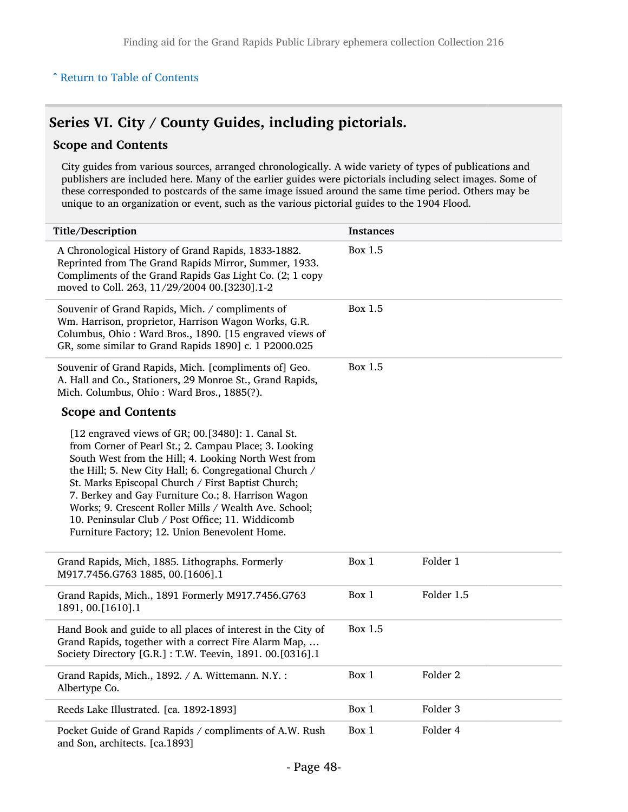### Series VI. City / County Guides, including pictorials.

#### Scope and Contents

City guides from various sources, arranged chronologically. A wide variety of types of publications and publishers are included here. Many of the earlier guides were pictorials including select images. Some of these corresponded to postcards of the same image issued around the same time period. Others may be unique to an organization or event, such as the various pictorial guides to the 1904 Flood.

| Title/Description                                                                                                                                                                                                                                                                                                                                                                                                                                                                                      | <b>Instances</b> |                     |
|--------------------------------------------------------------------------------------------------------------------------------------------------------------------------------------------------------------------------------------------------------------------------------------------------------------------------------------------------------------------------------------------------------------------------------------------------------------------------------------------------------|------------------|---------------------|
| A Chronological History of Grand Rapids, 1833-1882.<br>Reprinted from The Grand Rapids Mirror, Summer, 1933.<br>Compliments of the Grand Rapids Gas Light Co. (2; 1 copy<br>moved to Coll. 263, 11/29/2004 00.[3230].1-2                                                                                                                                                                                                                                                                               | Box 1.5          |                     |
| Souvenir of Grand Rapids, Mich. / compliments of<br>Wm. Harrison, proprietor, Harrison Wagon Works, G.R.<br>Columbus, Ohio: Ward Bros., 1890. [15 engraved views of<br>GR, some similar to Grand Rapids 1890] c. 1 P2000.025                                                                                                                                                                                                                                                                           | Box 1.5          |                     |
| Souvenir of Grand Rapids, Mich. [compliments of] Geo.<br>A. Hall and Co., Stationers, 29 Monroe St., Grand Rapids,<br>Mich. Columbus, Ohio: Ward Bros., 1885(?).                                                                                                                                                                                                                                                                                                                                       | Box 1.5          |                     |
| <b>Scope and Contents</b>                                                                                                                                                                                                                                                                                                                                                                                                                                                                              |                  |                     |
| [12 engraved views of GR; 00.[3480]: 1. Canal St.<br>from Corner of Pearl St.; 2. Campau Place; 3. Looking<br>South West from the Hill; 4. Looking North West from<br>the Hill; 5. New City Hall; 6. Congregational Church /<br>St. Marks Episcopal Church / First Baptist Church;<br>7. Berkey and Gay Furniture Co.; 8. Harrison Wagon<br>Works; 9. Crescent Roller Mills / Wealth Ave. School;<br>10. Peninsular Club / Post Office; 11. Widdicomb<br>Furniture Factory; 12. Union Benevolent Home. |                  |                     |
| Grand Rapids, Mich, 1885. Lithographs. Formerly<br>M917.7456.G763 1885, 00.[1606].1                                                                                                                                                                                                                                                                                                                                                                                                                    | Box 1            | Folder 1            |
| Grand Rapids, Mich., 1891 Formerly M917.7456.G763<br>1891, 00.[1610].1                                                                                                                                                                                                                                                                                                                                                                                                                                 | Box 1            | Folder 1.5          |
| Hand Book and guide to all places of interest in the City of<br>Grand Rapids, together with a correct Fire Alarm Map,<br>Society Directory [G.R.]: T.W. Teevin, 1891. 00.[0316].1                                                                                                                                                                                                                                                                                                                      | Box 1.5          |                     |
| Grand Rapids, Mich., 1892. / A. Wittemann. N.Y. :<br>Albertype Co.                                                                                                                                                                                                                                                                                                                                                                                                                                     | Box 1            | Folder <sub>2</sub> |
| Reeds Lake Illustrated. [ca. 1892-1893]                                                                                                                                                                                                                                                                                                                                                                                                                                                                | Box 1            | Folder 3            |
| Pocket Guide of Grand Rapids / compliments of A.W. Rush<br>and Son, architects. [ca.1893]                                                                                                                                                                                                                                                                                                                                                                                                              | Box 1            | Folder 4            |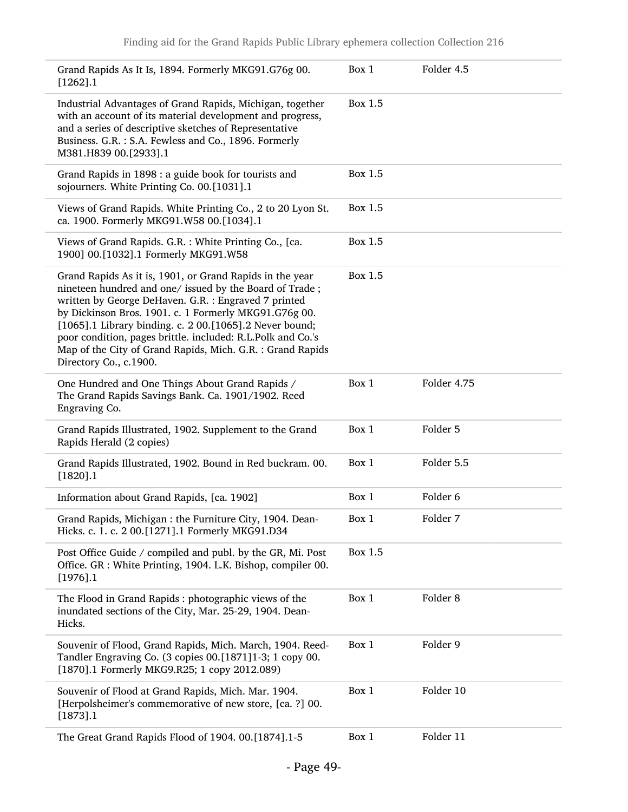| Grand Rapids As It Is, 1894. Formerly MKG91.G76g 00.<br>$[1262]$ .1                                                                                                                                                                                                                                                                                                                                                                                    | Box 1   | Folder 4.5          |
|--------------------------------------------------------------------------------------------------------------------------------------------------------------------------------------------------------------------------------------------------------------------------------------------------------------------------------------------------------------------------------------------------------------------------------------------------------|---------|---------------------|
| Industrial Advantages of Grand Rapids, Michigan, together<br>with an account of its material development and progress,<br>and a series of descriptive sketches of Representative<br>Business. G.R.: S.A. Fewless and Co., 1896. Formerly<br>M381.H839 00.[2933].1                                                                                                                                                                                      | Box 1.5 |                     |
| Grand Rapids in 1898 : a guide book for tourists and<br>sojourners. White Printing Co. 00.[1031].1                                                                                                                                                                                                                                                                                                                                                     | Box 1.5 |                     |
| Views of Grand Rapids. White Printing Co., 2 to 20 Lyon St.<br>ca. 1900. Formerly MKG91.W58 00.[1034].1                                                                                                                                                                                                                                                                                                                                                | Box 1.5 |                     |
| Views of Grand Rapids. G.R. : White Printing Co., [ca.<br>1900] 00.[1032].1 Formerly MKG91.W58                                                                                                                                                                                                                                                                                                                                                         | Box 1.5 |                     |
| Grand Rapids As it is, 1901, or Grand Rapids in the year<br>nineteen hundred and one/ issued by the Board of Trade;<br>written by George DeHaven. G.R. : Engraved 7 printed<br>by Dickinson Bros. 1901. c. 1 Formerly MKG91.G76g 00.<br>[1065].1 Library binding. c. 2 00.[1065].2 Never bound;<br>poor condition, pages brittle. included: R.L.Polk and Co.'s<br>Map of the City of Grand Rapids, Mich. G.R. : Grand Rapids<br>Directory Co., c.1900. | Box 1.5 |                     |
| One Hundred and One Things About Grand Rapids /<br>The Grand Rapids Savings Bank. Ca. 1901/1902. Reed<br>Engraving Co.                                                                                                                                                                                                                                                                                                                                 | Box 1   | Folder 4.75         |
| Grand Rapids Illustrated, 1902. Supplement to the Grand<br>Rapids Herald (2 copies)                                                                                                                                                                                                                                                                                                                                                                    | Box 1   | Folder 5            |
| Grand Rapids Illustrated, 1902. Bound in Red buckram. 00.<br>$[1820]$ .1                                                                                                                                                                                                                                                                                                                                                                               | Box 1   | Folder 5.5          |
| Information about Grand Rapids, [ca. 1902]                                                                                                                                                                                                                                                                                                                                                                                                             | Box 1   | Folder 6            |
| Grand Rapids, Michigan : the Furniture City, 1904. Dean-<br>Hicks. c. 1. c. 2 00.[1271].1 Formerly MKG91.D34                                                                                                                                                                                                                                                                                                                                           | Box 1   | Folder 7            |
| Post Office Guide / compiled and publ. by the GR, Mi. Post<br>Office. GR : White Printing, 1904. L.K. Bishop, compiler 00.<br>$[1976]$ .1                                                                                                                                                                                                                                                                                                              | Box 1.5 |                     |
| The Flood in Grand Rapids: photographic views of the<br>inundated sections of the City, Mar. 25-29, 1904. Dean-<br>Hicks.                                                                                                                                                                                                                                                                                                                              | Box 1   | Folder <sub>8</sub> |
| Souvenir of Flood, Grand Rapids, Mich. March, 1904. Reed-<br>Tandler Engraving Co. (3 copies 00.[1871]1-3; 1 copy 00.<br>[1870].1 Formerly MKG9.R25; 1 copy 2012.089)                                                                                                                                                                                                                                                                                  | Box 1   | Folder 9            |
| Souvenir of Flood at Grand Rapids, Mich. Mar. 1904.<br>[Herpolsheimer's commemorative of new store, [ca. ?] 00.<br>$[1873]$ .1                                                                                                                                                                                                                                                                                                                         | Box 1   | Folder 10           |
| The Great Grand Rapids Flood of 1904. 00.[1874].1-5                                                                                                                                                                                                                                                                                                                                                                                                    | Box 1   | Folder 11           |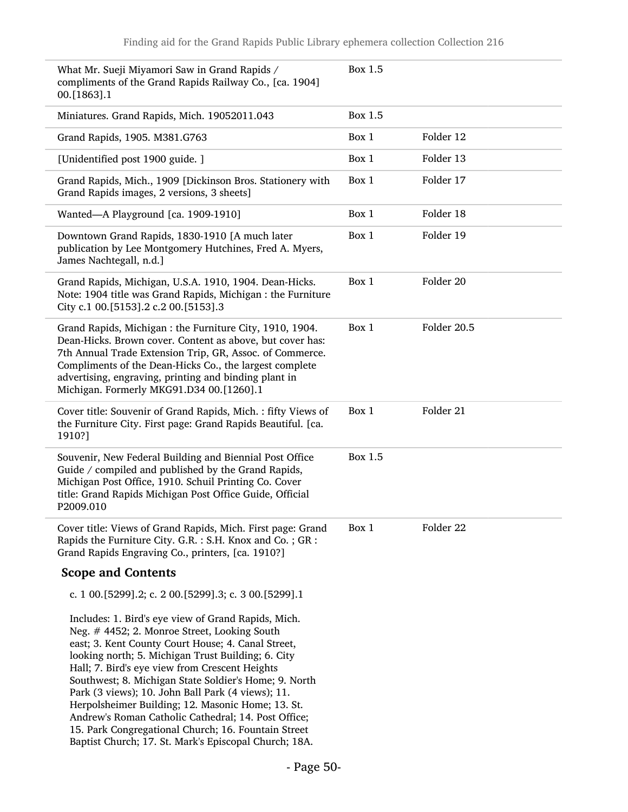| What Mr. Sueji Miyamori Saw in Grand Rapids /<br>compliments of the Grand Rapids Railway Co., [ca. 1904]<br>00.[1863].1                                                                                                                                                                                                                                                                                                                                                                                                                                                                                     | Box 1.5 |             |
|-------------------------------------------------------------------------------------------------------------------------------------------------------------------------------------------------------------------------------------------------------------------------------------------------------------------------------------------------------------------------------------------------------------------------------------------------------------------------------------------------------------------------------------------------------------------------------------------------------------|---------|-------------|
| Miniatures. Grand Rapids, Mich. 19052011.043                                                                                                                                                                                                                                                                                                                                                                                                                                                                                                                                                                | Box 1.5 |             |
| Grand Rapids, 1905. M381.G763                                                                                                                                                                                                                                                                                                                                                                                                                                                                                                                                                                               | Box 1   | Folder 12   |
| [Unidentified post 1900 guide.]                                                                                                                                                                                                                                                                                                                                                                                                                                                                                                                                                                             | Box 1   | Folder 13   |
| Grand Rapids, Mich., 1909 [Dickinson Bros. Stationery with<br>Grand Rapids images, 2 versions, 3 sheets]                                                                                                                                                                                                                                                                                                                                                                                                                                                                                                    | Box 1   | Folder 17   |
| Wanted-A Playground [ca. 1909-1910]                                                                                                                                                                                                                                                                                                                                                                                                                                                                                                                                                                         | Box 1   | Folder 18   |
| Downtown Grand Rapids, 1830-1910 [A much later<br>publication by Lee Montgomery Hutchines, Fred A. Myers,<br>James Nachtegall, n.d.]                                                                                                                                                                                                                                                                                                                                                                                                                                                                        | Box 1   | Folder 19   |
| Grand Rapids, Michigan, U.S.A. 1910, 1904. Dean-Hicks.<br>Note: 1904 title was Grand Rapids, Michigan : the Furniture<br>City c.1 00.[5153].2 c.2 00.[5153].3                                                                                                                                                                                                                                                                                                                                                                                                                                               | Box 1   | Folder 20   |
| Grand Rapids, Michigan : the Furniture City, 1910, 1904.<br>Dean-Hicks. Brown cover. Content as above, but cover has:<br>7th Annual Trade Extension Trip, GR, Assoc. of Commerce.<br>Compliments of the Dean-Hicks Co., the largest complete<br>advertising, engraving, printing and binding plant in<br>Michigan. Formerly MKG91.D34 00.[1260].1                                                                                                                                                                                                                                                           | Box 1   | Folder 20.5 |
| Cover title: Souvenir of Grand Rapids, Mich.: fifty Views of<br>the Furniture City. First page: Grand Rapids Beautiful. [ca.<br>1910?]                                                                                                                                                                                                                                                                                                                                                                                                                                                                      | Box 1   | Folder 21   |
| Souvenir, New Federal Building and Biennial Post Office<br>Guide / compiled and published by the Grand Rapids,<br>Michigan Post Office, 1910. Schuil Printing Co. Cover<br>title: Grand Rapids Michigan Post Office Guide, Official<br>P2009.010                                                                                                                                                                                                                                                                                                                                                            | Box 1.5 |             |
| Cover title: Views of Grand Rapids, Mich. First page: Grand<br>Rapids the Furniture City. G.R.: S.H. Knox and Co.; GR:<br>Grand Rapids Engraving Co., printers, [ca. 1910?]                                                                                                                                                                                                                                                                                                                                                                                                                                 | Box 1   | Folder 22   |
| <b>Scope and Contents</b>                                                                                                                                                                                                                                                                                                                                                                                                                                                                                                                                                                                   |         |             |
| c. 1 00. [5299].2; c. 2 00. [5299].3; c. 3 00. [5299].1                                                                                                                                                                                                                                                                                                                                                                                                                                                                                                                                                     |         |             |
| Includes: 1. Bird's eye view of Grand Rapids, Mich.<br>Neg. # 4452; 2. Monroe Street, Looking South<br>east; 3. Kent County Court House; 4. Canal Street,<br>looking north; 5. Michigan Trust Building; 6. City<br>Hall; 7. Bird's eye view from Crescent Heights<br>Southwest; 8. Michigan State Soldier's Home; 9. North<br>Park (3 views); 10. John Ball Park (4 views); 11.<br>Herpolsheimer Building; 12. Masonic Home; 13. St.<br>Andrew's Roman Catholic Cathedral; 14. Post Office;<br>15. Park Congregational Church; 16. Fountain Street<br>Baptist Church; 17. St. Mark's Episcopal Church; 18A. |         |             |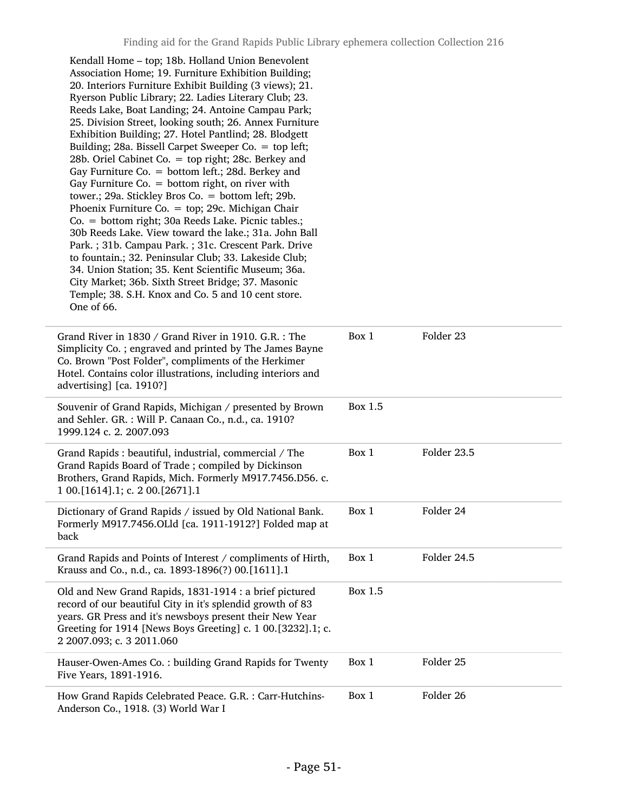| Kendall Home - top; 18b. Holland Union Benevolent<br>Association Home; 19. Furniture Exhibition Building;<br>20. Interiors Furniture Exhibit Building (3 views); 21.<br>Ryerson Public Library; 22. Ladies Literary Club; 23.<br>Reeds Lake, Boat Landing; 24. Antoine Campau Park;<br>25. Division Street, looking south; 26. Annex Furniture<br>Exhibition Building; 27. Hotel Pantlind; 28. Blodgett<br>Building; 28a. Bissell Carpet Sweeper Co. = top left;<br>28b. Oriel Cabinet Co. = top right; 28c. Berkey and<br>Gay Furniture Co. = bottom left.; 28d. Berkey and<br>Gay Furniture Co. $=$ bottom right, on river with<br>tower.; 29a. Stickley Bros Co. = bottom left; 29b.<br>Phoenix Furniture Co. = top; 29c. Michigan Chair<br>Co. = bottom right; 30a Reeds Lake. Picnic tables.;<br>30b Reeds Lake. View toward the lake.; 31a. John Ball<br>Park.; 31b. Campau Park.; 31c. Crescent Park. Drive<br>to fountain.; 32. Peninsular Club; 33. Lakeside Club;<br>34. Union Station; 35. Kent Scientific Museum; 36a.<br>City Market; 36b. Sixth Street Bridge; 37. Masonic<br>Temple; 38. S.H. Knox and Co. 5 and 10 cent store.<br>One of 66. |         |             |
|--------------------------------------------------------------------------------------------------------------------------------------------------------------------------------------------------------------------------------------------------------------------------------------------------------------------------------------------------------------------------------------------------------------------------------------------------------------------------------------------------------------------------------------------------------------------------------------------------------------------------------------------------------------------------------------------------------------------------------------------------------------------------------------------------------------------------------------------------------------------------------------------------------------------------------------------------------------------------------------------------------------------------------------------------------------------------------------------------------------------------------------------------------------|---------|-------------|
| Grand River in 1830 / Grand River in 1910. G.R. : The<br>Simplicity Co.; engraved and printed by The James Bayne<br>Co. Brown "Post Folder", compliments of the Herkimer<br>Hotel. Contains color illustrations, including interiors and<br>advertising] [ca. 1910?]                                                                                                                                                                                                                                                                                                                                                                                                                                                                                                                                                                                                                                                                                                                                                                                                                                                                                         | Box 1   | Folder 23   |
| Souvenir of Grand Rapids, Michigan / presented by Brown<br>and Sehler. GR.: Will P. Canaan Co., n.d., ca. 1910?<br>1999.124 c. 2. 2007.093                                                                                                                                                                                                                                                                                                                                                                                                                                                                                                                                                                                                                                                                                                                                                                                                                                                                                                                                                                                                                   | Box 1.5 |             |
| Grand Rapids : beautiful, industrial, commercial / The<br>Grand Rapids Board of Trade; compiled by Dickinson<br>Brothers, Grand Rapids, Mich. Formerly M917.7456.D56. c.<br>1 00. [1614] .1; c. 2 00. [2671] .1                                                                                                                                                                                                                                                                                                                                                                                                                                                                                                                                                                                                                                                                                                                                                                                                                                                                                                                                              | Box 1   | Folder 23.5 |
| Dictionary of Grand Rapids / issued by Old National Bank.<br>Formerly M917.7456.OLld [ca. 1911-1912?] Folded map at<br>back                                                                                                                                                                                                                                                                                                                                                                                                                                                                                                                                                                                                                                                                                                                                                                                                                                                                                                                                                                                                                                  | Box 1   | Folder 24   |
| Grand Rapids and Points of Interest / compliments of Hirth,<br>Krauss and Co., n.d., ca. 1893-1896(?) 00.[1611].1                                                                                                                                                                                                                                                                                                                                                                                                                                                                                                                                                                                                                                                                                                                                                                                                                                                                                                                                                                                                                                            | Box 1   | Folder 24.5 |
| Old and New Grand Rapids, 1831-1914 : a brief pictured<br>record of our beautiful City in it's splendid growth of 83<br>years. GR Press and it's newsboys present their New Year<br>Greeting for 1914 [News Boys Greeting] c. 1 00.[3232].1; c.<br>2 2007.093; c. 3 2011.060                                                                                                                                                                                                                                                                                                                                                                                                                                                                                                                                                                                                                                                                                                                                                                                                                                                                                 | Box 1.5 |             |
| Hauser-Owen-Ames Co.: building Grand Rapids for Twenty<br>Five Years, 1891-1916.                                                                                                                                                                                                                                                                                                                                                                                                                                                                                                                                                                                                                                                                                                                                                                                                                                                                                                                                                                                                                                                                             | Box 1   | Folder 25   |
| How Grand Rapids Celebrated Peace. G.R.: Carr-Hutchins-<br>Anderson Co., 1918. (3) World War I                                                                                                                                                                                                                                                                                                                                                                                                                                                                                                                                                                                                                                                                                                                                                                                                                                                                                                                                                                                                                                                               | Box 1   | Folder 26   |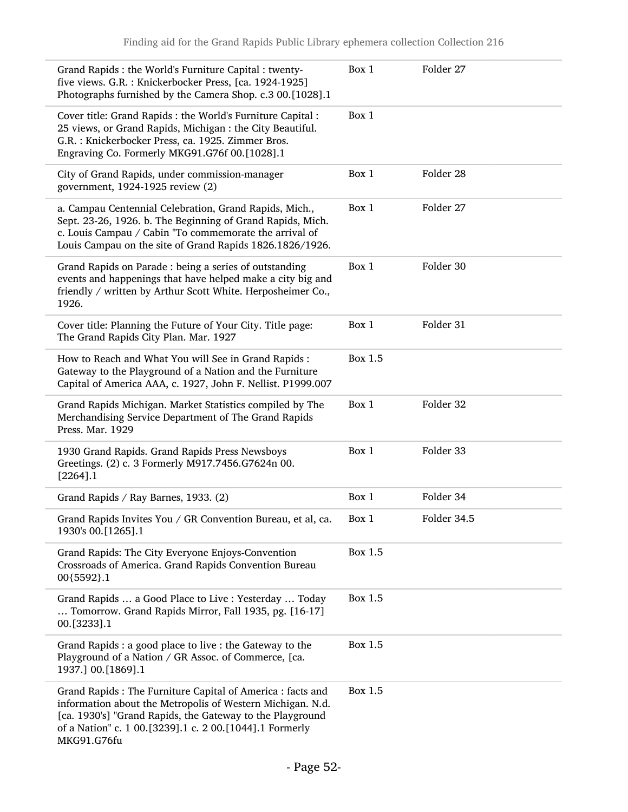| Grand Rapids : the World's Furniture Capital : twenty-<br>five views. G.R. : Knickerbocker Press, [ca. 1924-1925]<br>Photographs furnished by the Camera Shop. c.3 00.[1028].1                                                                                 | Box 1   | Folder 27   |
|----------------------------------------------------------------------------------------------------------------------------------------------------------------------------------------------------------------------------------------------------------------|---------|-------------|
| Cover title: Grand Rapids : the World's Furniture Capital :<br>25 views, or Grand Rapids, Michigan : the City Beautiful.<br>G.R. : Knickerbocker Press, ca. 1925. Zimmer Bros.<br>Engraving Co. Formerly MKG91.G76f 00.[1028].1                                | Box 1   |             |
| City of Grand Rapids, under commission-manager<br>government, 1924-1925 review (2)                                                                                                                                                                             | Box 1   | Folder 28   |
| a. Campau Centennial Celebration, Grand Rapids, Mich.,<br>Sept. 23-26, 1926. b. The Beginning of Grand Rapids, Mich.<br>c. Louis Campau / Cabin "To commemorate the arrival of<br>Louis Campau on the site of Grand Rapids 1826.1826/1926.                     | Box 1   | Folder 27   |
| Grand Rapids on Parade : being a series of outstanding<br>events and happenings that have helped make a city big and<br>friendly / written by Arthur Scott White. Herposheimer Co.,<br>1926.                                                                   | Box 1   | Folder 30   |
| Cover title: Planning the Future of Your City. Title page:<br>The Grand Rapids City Plan. Mar. 1927                                                                                                                                                            | Box 1   | Folder 31   |
| How to Reach and What You will See in Grand Rapids :<br>Gateway to the Playground of a Nation and the Furniture<br>Capital of America AAA, c. 1927, John F. Nellist. P1999.007                                                                                 | Box 1.5 |             |
| Grand Rapids Michigan. Market Statistics compiled by The<br>Merchandising Service Department of The Grand Rapids<br>Press. Mar. 1929                                                                                                                           | Box 1   | Folder 32   |
| 1930 Grand Rapids. Grand Rapids Press Newsboys<br>Greetings. (2) c. 3 Formerly M917.7456.G7624n 00.<br>$[2264]$ .1                                                                                                                                             | Box 1   | Folder 33   |
| Grand Rapids / Ray Barnes, 1933. (2)                                                                                                                                                                                                                           | Box 1   | Folder 34   |
| Grand Rapids Invites You / GR Convention Bureau, et al, ca.<br>1930's 00.[1265].1                                                                                                                                                                              | Box 1   | Folder 34.5 |
| Grand Rapids: The City Everyone Enjoys-Convention<br>Crossroads of America. Grand Rapids Convention Bureau<br>00{5592}.1                                                                                                                                       | Box 1.5 |             |
| Grand Rapids  a Good Place to Live : Yesterday  Today<br>Tomorrow. Grand Rapids Mirror, Fall 1935, pg. [16-17]<br>00. [3233]. 1                                                                                                                                | Box 1.5 |             |
| Grand Rapids : a good place to live : the Gateway to the<br>Playground of a Nation / GR Assoc. of Commerce, [ca.<br>1937.] 00.[1869].1                                                                                                                         | Box 1.5 |             |
| Grand Rapids: The Furniture Capital of America: facts and<br>information about the Metropolis of Western Michigan. N.d.<br>[ca. 1930's] "Grand Rapids, the Gateway to the Playground<br>of a Nation" c. 1 00.[3239].1 c. 2 00.[1044].1 Formerly<br>MKG91.G76fu | Box 1.5 |             |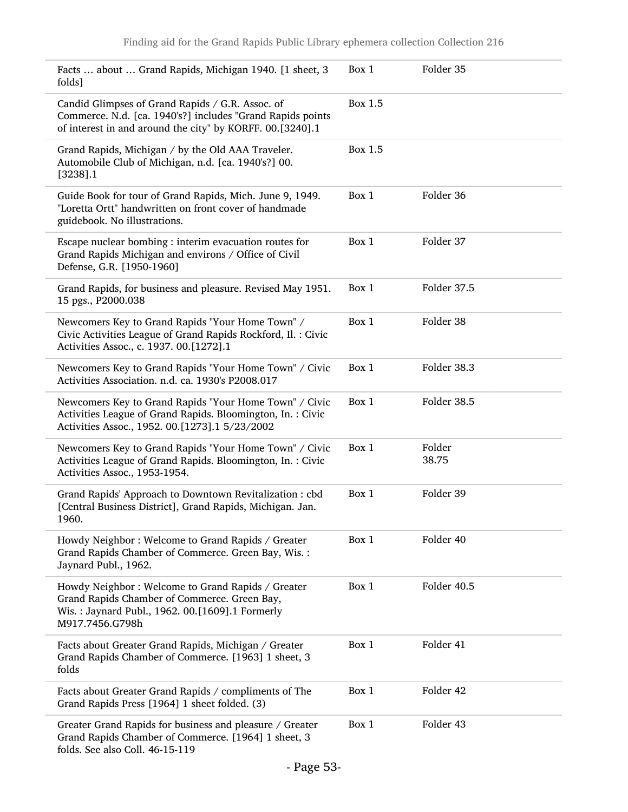| Facts  about  Grand Rapids, Michigan 1940. [1 sheet, 3<br>folds]                                                                                                            | Box 1          | Folder 35       |
|-----------------------------------------------------------------------------------------------------------------------------------------------------------------------------|----------------|-----------------|
| Candid Glimpses of Grand Rapids / G.R. Assoc. of<br>Commerce. N.d. [ca. 1940's?] includes "Grand Rapids points<br>of interest in and around the city" by KORFF. 00.[3240].1 | Box 1.5        |                 |
| Grand Rapids, Michigan / by the Old AAA Traveler.<br>Automobile Club of Michigan, n.d. [ca. 1940's?] 00.<br>$[3238]$ .1                                                     | <b>Box 1.5</b> |                 |
| Guide Book for tour of Grand Rapids, Mich. June 9, 1949.<br>"Loretta Ortt" handwritten on front cover of handmade<br>guidebook. No illustrations.                           | Box 1          | Folder 36       |
| Escape nuclear bombing : interim evacuation routes for<br>Grand Rapids Michigan and environs / Office of Civil<br>Defense, G.R. [1950-1960]                                 | Box 1          | Folder 37       |
| Grand Rapids, for business and pleasure. Revised May 1951.<br>15 pgs., P2000.038                                                                                            | Box 1          | Folder 37.5     |
| Newcomers Key to Grand Rapids "Your Home Town" /<br>Civic Activities League of Grand Rapids Rockford, Il. : Civic<br>Activities Assoc., c. 1937. 00.[1272].1                | Box 1          | Folder 38       |
| Newcomers Key to Grand Rapids "Your Home Town" / Civic<br>Activities Association. n.d. ca. 1930's P2008.017                                                                 | Box 1          | Folder 38.3     |
| Newcomers Key to Grand Rapids "Your Home Town" / Civic<br>Activities League of Grand Rapids. Bloomington, In. : Civic<br>Activities Assoc., 1952. 00.[1273].1 5/23/2002     | Box 1          | Folder 38.5     |
| Newcomers Key to Grand Rapids "Your Home Town" / Civic<br>Activities League of Grand Rapids. Bloomington, In. : Civic<br>Activities Assoc., 1953-1954.                      | Box 1          | Folder<br>38.75 |
| Grand Rapids' Approach to Downtown Revitalization : cbd<br>[Central Business District], Grand Rapids, Michigan. Jan.<br>1960.                                               | Box 1          | Folder 39       |
| Howdy Neighbor: Welcome to Grand Rapids / Greater<br>Grand Rapids Chamber of Commerce. Green Bay, Wis. :<br>Jaynard Publ., 1962.                                            | Box 1          | Folder 40       |
| Howdy Neighbor: Welcome to Grand Rapids / Greater<br>Grand Rapids Chamber of Commerce. Green Bay,<br>Wis.: Jaynard Publ., 1962. 00.[1609].1 Formerly<br>M917.7456.G798h     | Box 1          | Folder 40.5     |
| Facts about Greater Grand Rapids, Michigan / Greater<br>Grand Rapids Chamber of Commerce. [1963] 1 sheet, 3<br>folds                                                        | Box 1          | Folder 41       |
| Facts about Greater Grand Rapids / compliments of The<br>Grand Rapids Press [1964] 1 sheet folded. (3)                                                                      | Box 1          | Folder 42       |
| Greater Grand Rapids for business and pleasure / Greater<br>Grand Rapids Chamber of Commerce. [1964] 1 sheet, 3<br>folds. See also Coll. 46-15-119                          | Box 1          | Folder 43       |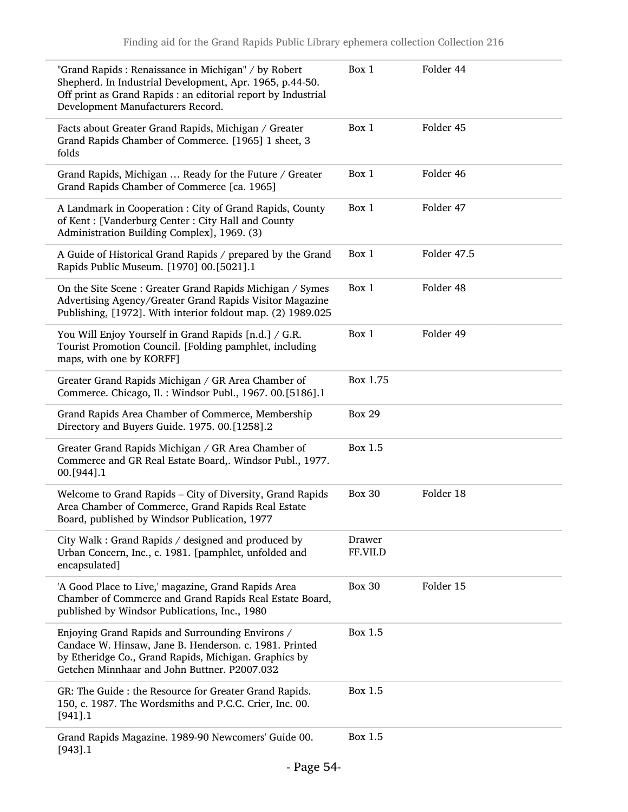| "Grand Rapids: Renaissance in Michigan" / by Robert<br>Shepherd. In Industrial Development, Apr. 1965, p.44-50.<br>Off print as Grand Rapids : an editorial report by Industrial<br>Development Manufacturers Record. | Box 1              | Folder 44   |
|-----------------------------------------------------------------------------------------------------------------------------------------------------------------------------------------------------------------------|--------------------|-------------|
| Facts about Greater Grand Rapids, Michigan / Greater<br>Grand Rapids Chamber of Commerce. [1965] 1 sheet, 3<br>folds                                                                                                  | Box 1              | Folder 45   |
| Grand Rapids, Michigan  Ready for the Future / Greater<br>Grand Rapids Chamber of Commerce [ca. 1965]                                                                                                                 | Box 1              | Folder 46   |
| A Landmark in Cooperation : City of Grand Rapids, County<br>of Kent: [Vanderburg Center: City Hall and County<br>Administration Building Complex], 1969. (3)                                                          | Box 1              | Folder 47   |
| A Guide of Historical Grand Rapids / prepared by the Grand<br>Rapids Public Museum. [1970] 00.[5021].1                                                                                                                | Box 1              | Folder 47.5 |
| On the Site Scene: Greater Grand Rapids Michigan / Symes<br>Advertising Agency/Greater Grand Rapids Visitor Magazine<br>Publishing, [1972]. With interior foldout map. (2) 1989.025                                   | Box 1              | Folder 48   |
| You Will Enjoy Yourself in Grand Rapids [n.d.] / G.R.<br>Tourist Promotion Council. [Folding pamphlet, including<br>maps, with one by KORFF]                                                                          | Box 1              | Folder 49   |
| Greater Grand Rapids Michigan / GR Area Chamber of<br>Commerce. Chicago, Il.: Windsor Publ., 1967. 00.[5186].1                                                                                                        | Box 1.75           |             |
| Grand Rapids Area Chamber of Commerce, Membership<br>Directory and Buyers Guide. 1975. 00.[1258].2                                                                                                                    | <b>Box 29</b>      |             |
| Greater Grand Rapids Michigan / GR Area Chamber of<br>Commerce and GR Real Estate Board,. Windsor Publ., 1977.<br>00.[944].1                                                                                          | Box 1.5            |             |
| Welcome to Grand Rapids - City of Diversity, Grand Rapids<br>Area Chamber of Commerce, Grand Rapids Real Estate<br>Board, published by Windsor Publication, 1977                                                      | <b>Box 30</b>      | Folder 18   |
| City Walk: Grand Rapids / designed and produced by<br>Urban Concern, Inc., c. 1981. [pamphlet, unfolded and<br>encapsulated]                                                                                          | Drawer<br>FF.VII.D |             |
| 'A Good Place to Live,' magazine, Grand Rapids Area<br>Chamber of Commerce and Grand Rapids Real Estate Board,<br>published by Windsor Publications, Inc., 1980                                                       | <b>Box 30</b>      | Folder 15   |
| Enjoying Grand Rapids and Surrounding Environs /<br>Candace W. Hinsaw, Jane B. Henderson. c. 1981. Printed<br>by Etheridge Co., Grand Rapids, Michigan. Graphics by<br>Getchen Minnhaar and John Buttner. P2007.032   | Box 1.5            |             |
| GR: The Guide : the Resource for Greater Grand Rapids.<br>150, c. 1987. The Wordsmiths and P.C.C. Crier, Inc. 00.<br>$[941]$ .1                                                                                       | Box 1.5            |             |
| Grand Rapids Magazine. 1989-90 Newcomers' Guide 00.<br>[943] .1                                                                                                                                                       | Box 1.5            |             |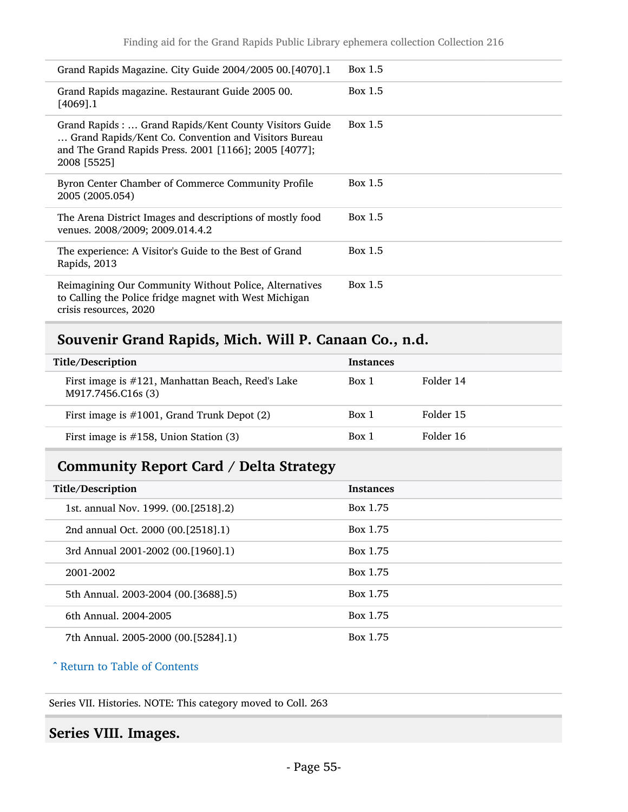| Grand Rapids Magazine. City Guide 2004/2005 00.[4070].1                                                                                                                                | Box 1.5 |
|----------------------------------------------------------------------------------------------------------------------------------------------------------------------------------------|---------|
| Grand Rapids magazine. Restaurant Guide 2005 00.<br>[4069].1                                                                                                                           | Box 1.5 |
| Grand Rapids:  Grand Rapids/Kent County Visitors Guide<br>Grand Rapids/Kent Co. Convention and Visitors Bureau<br>and The Grand Rapids Press. 2001 [1166]; 2005 [4077];<br>2008 [5525] | Box 1.5 |
| Byron Center Chamber of Commerce Community Profile<br>2005 (2005.054)                                                                                                                  | Box 1.5 |
| The Arena District Images and descriptions of mostly food<br>venues. 2008/2009; 2009.014.4.2                                                                                           | Box 1.5 |
| The experience: A Visitor's Guide to the Best of Grand<br>Rapids, 2013                                                                                                                 | Box 1.5 |
| Reimagining Our Community Without Police, Alternatives<br>to Calling the Police fridge magnet with West Michigan<br>crisis resources, 2020                                             | Box 1.5 |

## Souvenir Grand Rapids, Mich. Will P. Canaan Co., n.d.

| Title/Description                                                       | <b>Instances</b> |           |
|-------------------------------------------------------------------------|------------------|-----------|
| First image is #121, Manhattan Beach, Reed's Lake<br>M917.7456.C16s (3) | Box 1            | Folder 14 |
| First image is $\#1001$ , Grand Trunk Depot (2)                         | Box 1            | Folder 15 |
| First image is $\#158$ , Union Station (3)                              | Box 1            | Folder 16 |

## Community Report Card / Delta Strategy

| Title/Description                     | <b>Instances</b> |
|---------------------------------------|------------------|
| 1st. annual Nov. 1999. (00.[2518].2)  | Box 1.75         |
| 2nd annual Oct. 2000 (00.[2518].1)    | Box 1.75         |
| 3rd Annual 2001-2002 (00.[1960].1)    | Box 1.75         |
| 2001-2002                             | Box 1.75         |
| 5th Annual. 2003-2004 (00. [3688]. 5) | Box 1.75         |
| 6th Annual, 2004-2005                 | Box 1.75         |
| 7th Annual. 2005-2000 (00. [5284]. 1) | Box 1.75         |

#### ^ [Return to Table of Contents](#page-1-0)

Series VII. Histories. NOTE: This category moved to Coll. 263

#### Series VIII. Images.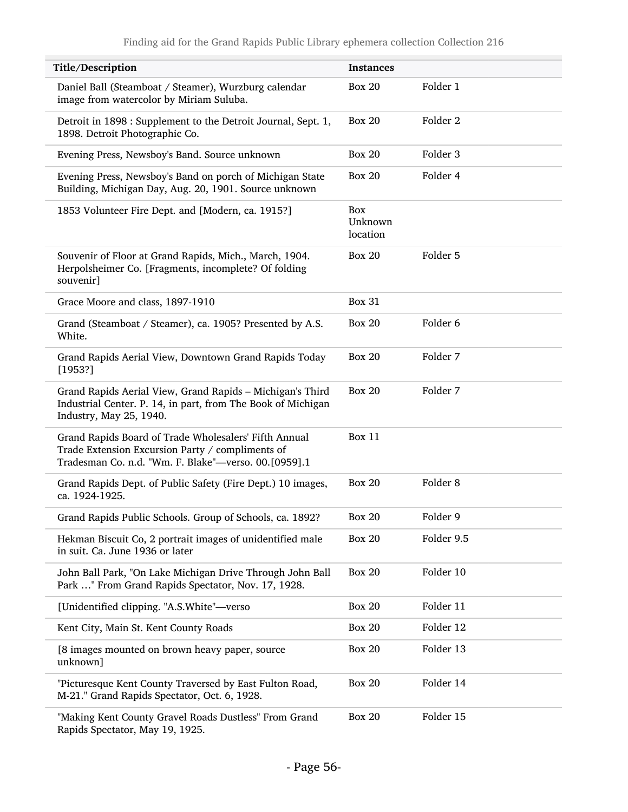| Title/Description                                                                                                                                                 | <b>Instances</b>           |                     |
|-------------------------------------------------------------------------------------------------------------------------------------------------------------------|----------------------------|---------------------|
| Daniel Ball (Steamboat / Steamer), Wurzburg calendar<br>image from watercolor by Miriam Suluba.                                                                   | <b>Box 20</b>              | Folder 1            |
| Detroit in 1898 : Supplement to the Detroit Journal, Sept. 1,<br>1898. Detroit Photographic Co.                                                                   | <b>Box 20</b>              | Folder <sub>2</sub> |
| Evening Press, Newsboy's Band. Source unknown                                                                                                                     | <b>Box 20</b>              | Folder 3            |
| Evening Press, Newsboy's Band on porch of Michigan State<br>Building, Michigan Day, Aug. 20, 1901. Source unknown                                                 | <b>Box 20</b>              | Folder 4            |
| 1853 Volunteer Fire Dept. and [Modern, ca. 1915?]                                                                                                                 | Box<br>Unknown<br>location |                     |
| Souvenir of Floor at Grand Rapids, Mich., March, 1904.<br>Herpolsheimer Co. [Fragments, incomplete? Of folding<br>souvenir]                                       | <b>Box 20</b>              | Folder 5            |
| Grace Moore and class, 1897-1910                                                                                                                                  | <b>Box 31</b>              |                     |
| Grand (Steamboat / Steamer), ca. 1905? Presented by A.S.<br>White.                                                                                                | <b>Box 20</b>              | Folder <sub>6</sub> |
| Grand Rapids Aerial View, Downtown Grand Rapids Today<br>[1953!]                                                                                                  | <b>Box 20</b>              | Folder 7            |
| Grand Rapids Aerial View, Grand Rapids - Michigan's Third<br>Industrial Center. P. 14, in part, from The Book of Michigan<br>Industry, May 25, 1940.              | <b>Box 20</b>              | Folder 7            |
| Grand Rapids Board of Trade Wholesalers' Fifth Annual<br>Trade Extension Excursion Party / compliments of<br>Tradesman Co. n.d. "Wm. F. Blake"-verso. 00.[0959].1 | <b>Box 11</b>              |                     |
| Grand Rapids Dept. of Public Safety (Fire Dept.) 10 images,<br>ca. 1924-1925.                                                                                     | <b>Box 20</b>              | Folder <sub>8</sub> |
| Grand Rapids Public Schools. Group of Schools, ca. 1892?                                                                                                          | <b>Box 20</b>              | Folder 9            |
| Hekman Biscuit Co, 2 portrait images of unidentified male<br>in suit. Ca. June 1936 or later                                                                      | <b>Box 20</b>              | Folder 9.5          |
| John Ball Park, "On Lake Michigan Drive Through John Ball<br>Park " From Grand Rapids Spectator, Nov. 17, 1928.                                                   | <b>Box 20</b>              | Folder 10           |
| [Unidentified clipping. "A.S. White"-verso                                                                                                                        | <b>Box 20</b>              | Folder 11           |
| Kent City, Main St. Kent County Roads                                                                                                                             | <b>Box 20</b>              | Folder 12           |
| [8 images mounted on brown heavy paper, source<br>unknown]                                                                                                        | <b>Box 20</b>              | Folder 13           |
| "Picturesque Kent County Traversed by East Fulton Road,<br>M-21." Grand Rapids Spectator, Oct. 6, 1928.                                                           | <b>Box 20</b>              | Folder 14           |
| "Making Kent County Gravel Roads Dustless" From Grand<br>Rapids Spectator, May 19, 1925.                                                                          | <b>Box 20</b>              | Folder 15           |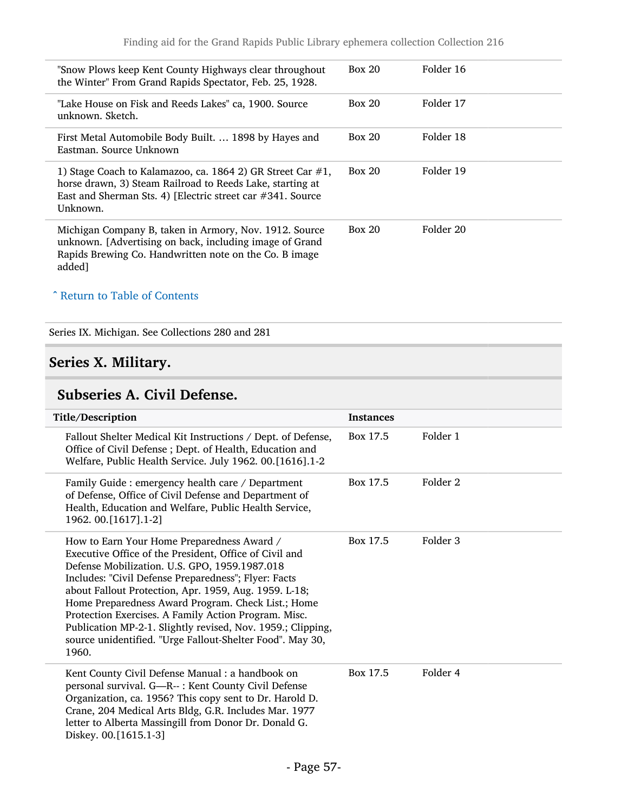| "Snow Plows keep Kent County Highways clear throughout<br>the Winter" From Grand Rapids Spectator, Feb. 25, 1928.                                                                                        | Box 20 | Folder 16 |
|----------------------------------------------------------------------------------------------------------------------------------------------------------------------------------------------------------|--------|-----------|
| "Lake House on Fisk and Reeds Lakes" ca, 1900. Source<br>unknown. Sketch.                                                                                                                                | Box 20 | Folder 17 |
| First Metal Automobile Body Built.  1898 by Hayes and<br>Eastman, Source Unknown                                                                                                                         | Box 20 | Folder 18 |
| 1) Stage Coach to Kalamazoo, ca. 1864 2) GR Street Car $#1$ ,<br>horse drawn, 3) Steam Railroad to Reeds Lake, starting at<br>East and Sherman Sts. 4) [Electric street car $\#341$ . Source<br>Unknown. | Box 20 | Folder 19 |
| Michigan Company B, taken in Armory, Nov. 1912. Source<br>unknown. [Advertising on back, including image of Grand<br>Rapids Brewing Co. Handwritten note on the Co. B image<br>added]                    | Box 20 | Folder 20 |

#### ^ [Return to Table of Contents](#page-1-0)

Series IX. Michigan. See Collections 280 and 281

## Series X. Military.

### Subseries A. Civil Defense.

| Title/Description                                                                                                                                                                                                                                                                                                                                                                                                                                                                                                         | <b>Instances</b> |          |
|---------------------------------------------------------------------------------------------------------------------------------------------------------------------------------------------------------------------------------------------------------------------------------------------------------------------------------------------------------------------------------------------------------------------------------------------------------------------------------------------------------------------------|------------------|----------|
| Fallout Shelter Medical Kit Instructions / Dept. of Defense,<br>Office of Civil Defense; Dept. of Health, Education and<br>Welfare, Public Health Service. July 1962. 00.[1616].1-2                                                                                                                                                                                                                                                                                                                                       | Box 17.5         | Folder 1 |
| Family Guide : emergency health care / Department<br>of Defense, Office of Civil Defense and Department of<br>Health, Education and Welfare, Public Health Service,<br>1962. 00. [1617] . 1-2]                                                                                                                                                                                                                                                                                                                            | Box 17.5         | Folder 2 |
| How to Earn Your Home Preparedness Award /<br>Executive Office of the President, Office of Civil and<br>Defense Mobilization. U.S. GPO, 1959.1987.018<br>Includes: "Civil Defense Preparedness"; Flyer: Facts<br>about Fallout Protection, Apr. 1959, Aug. 1959. L-18;<br>Home Preparedness Award Program. Check List.; Home<br>Protection Exercises. A Family Action Program. Misc.<br>Publication MP-2-1. Slightly revised, Nov. 1959.; Clipping,<br>source unidentified. "Urge Fallout-Shelter Food". May 30,<br>1960. | Box 17.5         | Folder 3 |
| Kent County Civil Defense Manual : a handbook on<br>personal survival. G-R--: Kent County Civil Defense<br>Organization, ca. 1956? This copy sent to Dr. Harold D.<br>Crane, 204 Medical Arts Bldg, G.R. Includes Mar. 1977<br>letter to Alberta Massingill from Donor Dr. Donald G.<br>Diskey. 00.[1615.1-3]                                                                                                                                                                                                             | Box 17.5         | Folder 4 |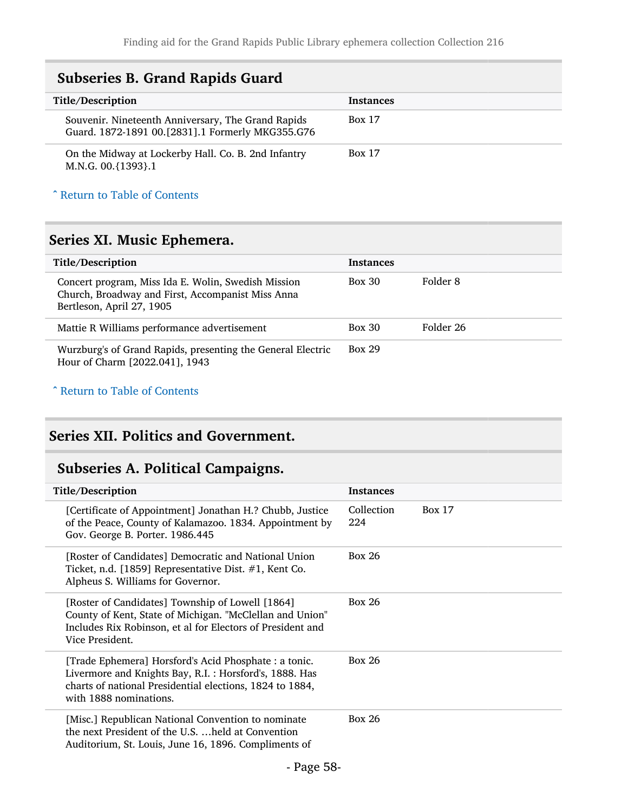| Subseries D. Grand Rapius Guard                                                                        |                  |
|--------------------------------------------------------------------------------------------------------|------------------|
| Title/Description                                                                                      | <b>Instances</b> |
| Souvenir. Nineteenth Anniversary, The Grand Rapids<br>Guard. 1872-1891 00.[2831].1 Formerly MKG355.G76 | <b>Box 17</b>    |
| On the Midway at Lockerby Hall. Co. B. 2nd Infantry<br>M.N.G. 00.{1393}.1                              | <b>Box 17</b>    |

### Subseries B. Grand Rapids Guard

#### ^ [Return to Table of Contents](#page-1-0)

## Series XI. Music Ephemera.

| Title/Description                                                                                                                     | <b>Instances</b> |           |
|---------------------------------------------------------------------------------------------------------------------------------------|------------------|-----------|
| Concert program, Miss Ida E. Wolin, Swedish Mission<br>Church, Broadway and First, Accompanist Miss Anna<br>Bertleson, April 27, 1905 | <b>Box 30</b>    | Folder 8  |
| Mattie R Williams performance advertisement                                                                                           | $Box\ 30$        | Folder 26 |
| Wurzburg's of Grand Rapids, presenting the General Electric<br>Hour of Charm [2022.041], 1943                                         | <b>Box 29</b>    |           |

#### ^ [Return to Table of Contents](#page-1-0)

### Series XII. Politics and Government.

## Subseries A. Political Campaigns.

| Title/Description                                                                                                                                                                                     | <b>Instances</b>                   |
|-------------------------------------------------------------------------------------------------------------------------------------------------------------------------------------------------------|------------------------------------|
| [Certificate of Appointment] Jonathan H.? Chubb, Justice<br>of the Peace, County of Kalamazoo. 1834. Appointment by<br>Gov. George B. Porter. 1986.445                                                | Collection<br><b>Box 17</b><br>224 |
| [Roster of Candidates] Democratic and National Union<br>Ticket, n.d. [1859] Representative Dist. #1, Kent Co.<br>Alpheus S. Williams for Governor.                                                    | <b>Box 26</b>                      |
| [Roster of Candidates] Township of Lowell [1864]<br>County of Kent, State of Michigan. "McClellan and Union"<br>Includes Rix Robinson, et al for Electors of President and<br>Vice President.         | Box 26                             |
| [Trade Ephemera] Horsford's Acid Phosphate : a tonic.<br>Livermore and Knights Bay, R.I.: Horsford's, 1888. Has<br>charts of national Presidential elections, 1824 to 1884,<br>with 1888 nominations. | <b>Box 26</b>                      |
| [Misc.] Republican National Convention to nominate<br>the next President of the U.S.  held at Convention<br>Auditorium, St. Louis, June 16, 1896. Compliments of                                      | <b>Box 26</b>                      |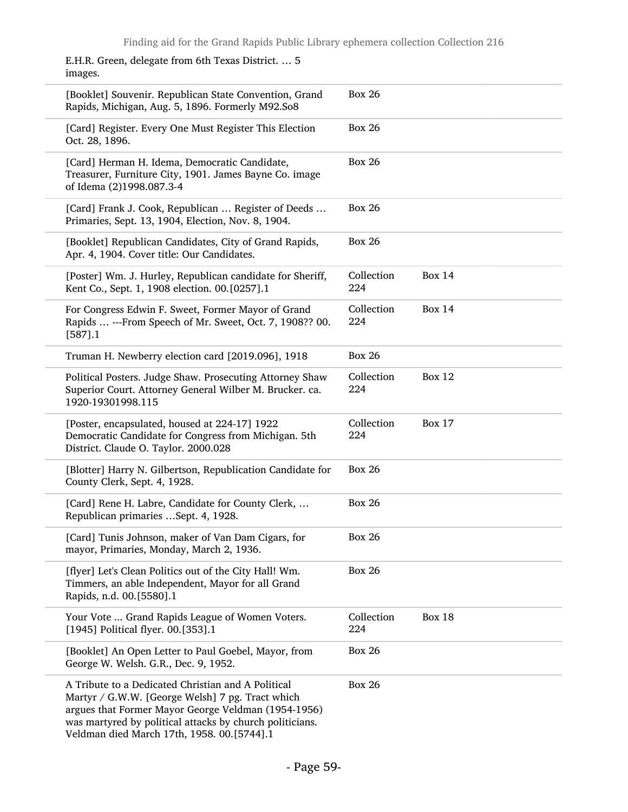E.H.R. Green, delegate from 6th Texas District. … 5 images.

| [Booklet] Souvenir. Republican State Convention, Grand<br>Rapids, Michigan, Aug. 5, 1896. Formerly M92.So8                                                                                                                                                              | <b>Box 26</b>     |               |
|-------------------------------------------------------------------------------------------------------------------------------------------------------------------------------------------------------------------------------------------------------------------------|-------------------|---------------|
| [Card] Register. Every One Must Register This Election<br>Oct. 28, 1896.                                                                                                                                                                                                | <b>Box 26</b>     |               |
| [Card] Herman H. Idema, Democratic Candidate,<br>Treasurer, Furniture City, 1901. James Bayne Co. image<br>of Idema (2)1998.087.3-4                                                                                                                                     | <b>Box 26</b>     |               |
| [Card] Frank J. Cook, Republican  Register of Deeds<br>Primaries, Sept. 13, 1904, Election, Nov. 8, 1904.                                                                                                                                                               | <b>Box 26</b>     |               |
| [Booklet] Republican Candidates, City of Grand Rapids,<br>Apr. 4, 1904. Cover title: Our Candidates.                                                                                                                                                                    | <b>Box 26</b>     |               |
| [Poster] Wm. J. Hurley, Republican candidate for Sheriff,<br>Kent Co., Sept. 1, 1908 election. 00.[0257].1                                                                                                                                                              | Collection<br>224 | Box $14$      |
| For Congress Edwin F. Sweet, Former Mayor of Grand<br>Rapids  ---From Speech of Mr. Sweet, Oct. 7, 1908?? 00.<br>[587] .1                                                                                                                                               | Collection<br>224 | <b>Box 14</b> |
| Truman H. Newberry election card [2019.096], 1918                                                                                                                                                                                                                       | <b>Box 26</b>     |               |
| Political Posters. Judge Shaw. Prosecuting Attorney Shaw<br>Superior Court. Attorney General Wilber M. Brucker. ca.<br>1920-19301998.115                                                                                                                                | Collection<br>224 | Box $12$      |
| [Poster, encapsulated, housed at 224-17] 1922<br>Democratic Candidate for Congress from Michigan. 5th<br>District. Claude O. Taylor. 2000.028                                                                                                                           | Collection<br>224 | <b>Box 17</b> |
| [Blotter] Harry N. Gilbertson, Republication Candidate for<br>County Clerk, Sept. 4, 1928.                                                                                                                                                                              | <b>Box 26</b>     |               |
| [Card] Rene H. Labre, Candidate for County Clerk,<br>Republican primaries  Sept. 4, 1928.                                                                                                                                                                               | <b>Box 26</b>     |               |
| [Card] Tunis Johnson, maker of Van Dam Cigars, for<br>mayor, Primaries, Monday, March 2, 1936.                                                                                                                                                                          | <b>Box 26</b>     |               |
| [flyer] Let's Clean Politics out of the City Hall! Wm.<br>Timmers, an able Independent, Mayor for all Grand<br>Rapids, n.d. 00.[5580].1                                                                                                                                 | <b>Box 26</b>     |               |
| Your Vote  Grand Rapids League of Women Voters.<br>[1945] Political flyer. 00.[353].1                                                                                                                                                                                   | Collection<br>224 | <b>Box 18</b> |
| [Booklet] An Open Letter to Paul Goebel, Mayor, from<br>George W. Welsh. G.R., Dec. 9, 1952.                                                                                                                                                                            | <b>Box 26</b>     |               |
| A Tribute to a Dedicated Christian and A Political<br>Martyr / G.W.W. [George Welsh] 7 pg. Tract which<br>argues that Former Mayor George Veldman (1954-1956)<br>was martyred by political attacks by church politicians.<br>Veldman died March 17th, 1958. 00.[5744].1 | <b>Box 26</b>     |               |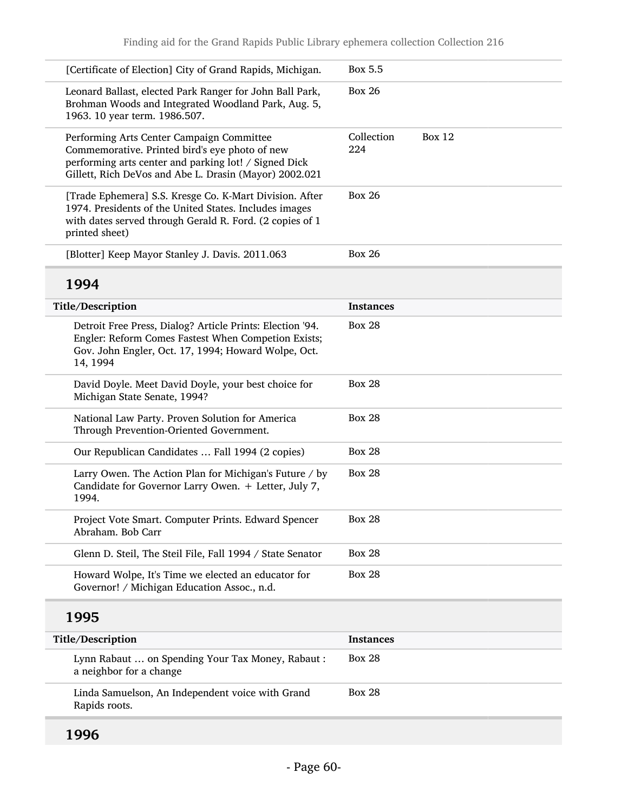| [Certificate of Election] City of Grand Rapids, Michigan.                                                                                                                                                      | Box 5.5           |               |  |
|----------------------------------------------------------------------------------------------------------------------------------------------------------------------------------------------------------------|-------------------|---------------|--|
| Leonard Ballast, elected Park Ranger for John Ball Park,<br>Brohman Woods and Integrated Woodland Park, Aug. 5,<br>1963. 10 year term. 1986.507.                                                               | <b>Box 26</b>     |               |  |
| Performing Arts Center Campaign Committee<br>Commemorative. Printed bird's eye photo of new<br>performing arts center and parking lot! / Signed Dick<br>Gillett, Rich DeVos and Abe L. Drasin (Mayor) 2002.021 | Collection<br>224 | <b>Box 12</b> |  |
| [Trade Ephemera] S.S. Kresge Co. K-Mart Division. After<br>1974. Presidents of the United States. Includes images<br>with dates served through Gerald R. Ford. (2 copies of 1<br>printed sheet)                | <b>Box 26</b>     |               |  |
| [Blotter] Keep Mayor Stanley J. Davis. 2011.063                                                                                                                                                                | <b>Box 26</b>     |               |  |
| 1994                                                                                                                                                                                                           |                   |               |  |
| Title/Description                                                                                                                                                                                              | <b>Instances</b>  |               |  |
| Detroit Free Press, Dialog? Article Prints: Election '94.<br>Engler: Reform Comes Fastest When Competion Exists;<br>Gov. John Engler, Oct. 17, 1994; Howard Wolpe, Oct.<br>14, 1994                            | <b>Box 28</b>     |               |  |
| David Doyle. Meet David Doyle, your best choice for<br>Michigan State Senate, 1994?                                                                                                                            | <b>Box 28</b>     |               |  |
| National Law Party. Proven Solution for America<br>Through Prevention-Oriented Government.                                                                                                                     | <b>Box 28</b>     |               |  |
| Our Republican Candidates  Fall 1994 (2 copies)                                                                                                                                                                | <b>Box 28</b>     |               |  |
| Larry Owen. The Action Plan for Michigan's Future / by<br>Candidate for Governor Larry Owen. + Letter, July 7,<br>1994.                                                                                        | <b>Box 28</b>     |               |  |
| Project Vote Smart. Computer Prints. Edward Spencer<br>Abraham. Bob Carr                                                                                                                                       | <b>Box 28</b>     |               |  |
| Glenn D. Steil, The Steil File, Fall 1994 / State Senator                                                                                                                                                      | <b>Box 28</b>     |               |  |
| Howard Wolpe, It's Time we elected an educator for<br>Governor! / Michigan Education Assoc., n.d.                                                                                                              | <b>Box 28</b>     |               |  |
| 1995                                                                                                                                                                                                           |                   |               |  |
| Title/Description                                                                                                                                                                                              | <b>Instances</b>  |               |  |

| Title/Description                                                            | <b>Instances</b> |
|------------------------------------------------------------------------------|------------------|
| Lynn Rabaut  on Spending Your Tax Money, Rabaut :<br>a neighbor for a change | <b>Box 28</b>    |
| Linda Samuelson, An Independent voice with Grand<br>Rapids roots.            | <b>Box 28</b>    |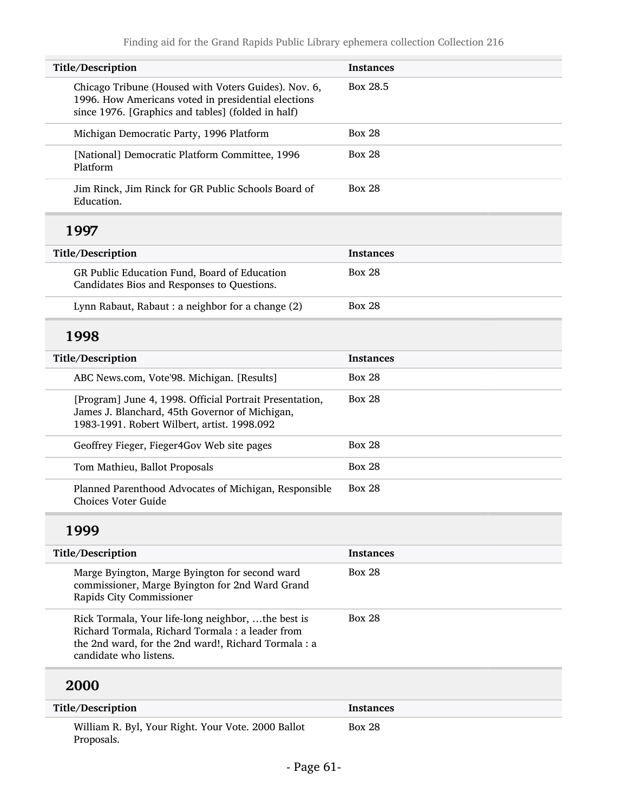| Title/Description                                                                                                                                                                        | <b>Instances</b> |
|------------------------------------------------------------------------------------------------------------------------------------------------------------------------------------------|------------------|
| Chicago Tribune (Housed with Voters Guides). Nov. 6,<br>1996. How Americans voted in presidential elections<br>since 1976. [Graphics and tables] (folded in half)                        | Box 28.5         |
| Michigan Democratic Party, 1996 Platform                                                                                                                                                 | <b>Box 28</b>    |
| [National] Democratic Platform Committee, 1996<br>Platform                                                                                                                               | <b>Box 28</b>    |
| Jim Rinck, Jim Rinck for GR Public Schools Board of<br>Education.                                                                                                                        | <b>Box 28</b>    |
| 1997                                                                                                                                                                                     |                  |
| Title/Description                                                                                                                                                                        | <b>Instances</b> |
| GR Public Education Fund, Board of Education<br>Candidates Bios and Responses to Questions.                                                                                              | <b>Box 28</b>    |
| Lynn Rabaut, Rabaut : a neighbor for a change (2)                                                                                                                                        | <b>Box 28</b>    |
| 1998                                                                                                                                                                                     |                  |
| Title/Description                                                                                                                                                                        | <b>Instances</b> |
| ABC News.com, Vote'98. Michigan. [Results]                                                                                                                                               | <b>Box 28</b>    |
| [Program] June 4, 1998. Official Portrait Presentation,<br>James J. Blanchard, 45th Governor of Michigan,<br>1983-1991. Robert Wilbert, artist. 1998.092                                 | <b>Box 28</b>    |
| Geoffrey Fieger, Fieger4Gov Web site pages                                                                                                                                               | <b>Box 28</b>    |
| Tom Mathieu, Ballot Proposals                                                                                                                                                            | <b>Box 28</b>    |
| Planned Parenthood Advocates of Michigan, Responsible<br><b>Choices Voter Guide</b>                                                                                                      | <b>Box 28</b>    |
| 1999                                                                                                                                                                                     |                  |
| Title/Description                                                                                                                                                                        | <b>Instances</b> |
| Marge Byington, Marge Byington for second ward<br>commissioner, Marge Byington for 2nd Ward Grand<br>Rapids City Commissioner                                                            | <b>Box 28</b>    |
| Rick Tormala, Your life-long neighbor, the best is<br>Richard Tormala, Richard Tormala : a leader from<br>the 2nd ward, for the 2nd ward!, Richard Tormala : a<br>candidate who listens. | <b>Box 28</b>    |
| 2000                                                                                                                                                                                     |                  |
| Title/Description                                                                                                                                                                        | <b>Instances</b> |
| William R. Byl, Your Right. Your Vote. 2000 Ballot<br>Proposals.                                                                                                                         | <b>Box 28</b>    |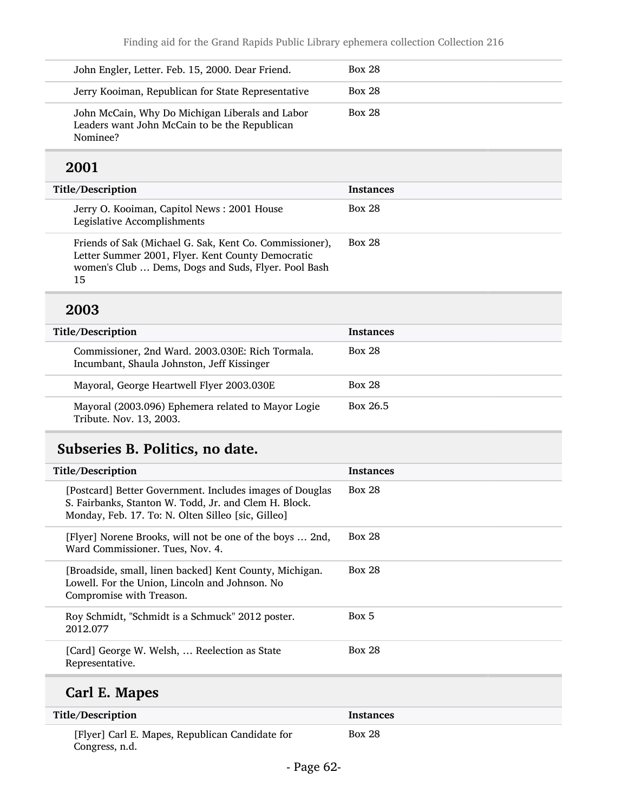| John Engler, Letter. Feb. 15, 2000. Dear Friend.                                                             | <b>Box 28</b>    |
|--------------------------------------------------------------------------------------------------------------|------------------|
| Jerry Kooiman, Republican for State Representative                                                           | <b>Box 28</b>    |
| John McCain, Why Do Michigan Liberals and Labor<br>Leaders want John McCain to be the Republican<br>Nominee? | <b>Box 28</b>    |
| 2001                                                                                                         |                  |
| Title/Description                                                                                            | <b>Instances</b> |
| Jerry O. Kooiman, Capitol News: 2001 House<br>Legislative Accomplishments                                    | <b>Box 28</b>    |
| Friends of Sak (Michael G. Sak, Kent Co. Commissioner),<br>Letter Summer 2001, Flyer. Kent County Democratic | <b>Box 28</b>    |

| Title/Description                                                                              | <b>Instances</b> |
|------------------------------------------------------------------------------------------------|------------------|
| Commissioner, 2nd Ward. 2003.030E: Rich Tormala.<br>Incumbant, Shaula Johnston, Jeff Kissinger | <b>Box 28</b>    |
| Mayoral, George Heartwell Flyer 2003.030E                                                      | <b>Box 28</b>    |
| Mayoral (2003.096) Ephemera related to Mayor Logie<br>Tribute. Nov. 13, 2003.                  | Box 26.5         |

## Subseries B. Politics, no date.

| Title/Description                                                                                                                                                       | <b>Instances</b> |
|-------------------------------------------------------------------------------------------------------------------------------------------------------------------------|------------------|
| [Postcard] Better Government. Includes images of Douglas<br>S. Fairbanks, Stanton W. Todd, Jr. and Clem H. Block.<br>Monday, Feb. 17. To: N. Olten Silleo [sic, Gilleo] | <b>Box 28</b>    |
| [Flyer] Norene Brooks, will not be one of the boys  2nd,<br>Ward Commissioner. Tues, Nov. 4.                                                                            | <b>Box 28</b>    |
| [Broadside, small, linen backed] Kent County, Michigan.<br>Lowell. For the Union, Lincoln and Johnson. No<br>Compromise with Treason.                                   | <b>Box 28</b>    |
| Roy Schmidt, "Schmidt is a Schmuck" 2012 poster.<br>2012.077                                                                                                            | Box 5            |
| [Card] George W. Welsh,  Reelection as State<br>Representative.                                                                                                         | <b>Box 28</b>    |
| Carl E. Mapes                                                                                                                                                           |                  |

#### Title/Description Instances [Flyer] Carl E. Mapes, Republican Candidate for Congress, n.d. Box 28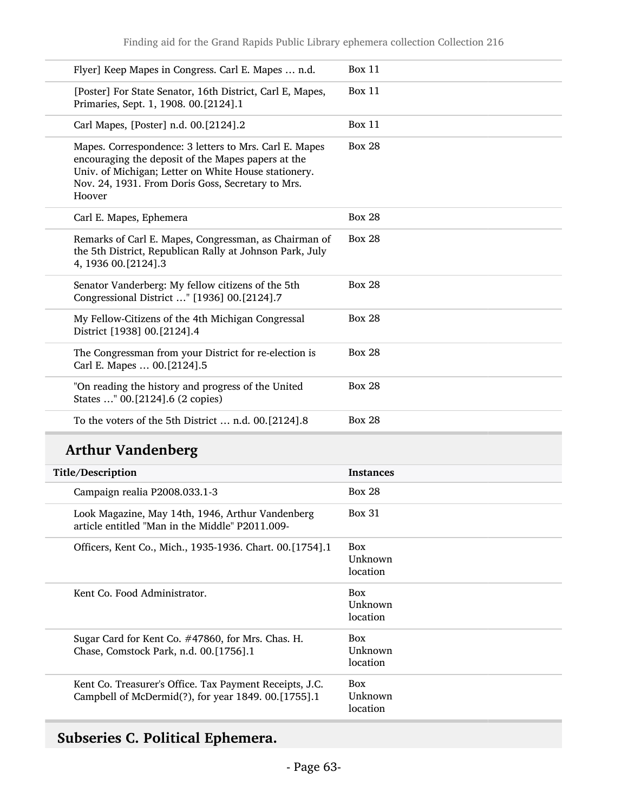| Flyer] Keep Mapes in Congress. Carl E. Mapes  n.d.                                                                                                                                                                                  | <b>Box 11</b>                     |
|-------------------------------------------------------------------------------------------------------------------------------------------------------------------------------------------------------------------------------------|-----------------------------------|
| [Poster] For State Senator, 16th District, Carl E, Mapes,<br>Primaries, Sept. 1, 1908. 00.[2124].1                                                                                                                                  | <b>Box 11</b>                     |
| Carl Mapes, [Poster] n.d. 00.[2124].2                                                                                                                                                                                               | <b>Box 11</b>                     |
| Mapes. Correspondence: 3 letters to Mrs. Carl E. Mapes<br>encouraging the deposit of the Mapes papers at the<br>Univ. of Michigan; Letter on White House stationery.<br>Nov. 24, 1931. From Doris Goss, Secretary to Mrs.<br>Hoover | <b>Box 28</b>                     |
| Carl E. Mapes, Ephemera                                                                                                                                                                                                             | <b>Box 28</b>                     |
| Remarks of Carl E. Mapes, Congressman, as Chairman of<br>the 5th District, Republican Rally at Johnson Park, July<br>4, 1936 00. [2124]. 3                                                                                          | <b>Box 28</b>                     |
| Senator Vanderberg: My fellow citizens of the 5th<br>Congressional District " [1936] 00.[2124].7                                                                                                                                    | <b>Box 28</b>                     |
| My Fellow-Citizens of the 4th Michigan Congressal<br>District [1938] 00.[2124].4                                                                                                                                                    | <b>Box 28</b>                     |
| The Congressman from your District for re-election is<br>Carl E. Mapes  00.[2124].5                                                                                                                                                 | <b>Box 28</b>                     |
| "On reading the history and progress of the United<br>States " 00.[2124].6 (2 copies)                                                                                                                                               | <b>Box 28</b>                     |
| To the voters of the 5th District  n.d. 00.[2124].8                                                                                                                                                                                 | <b>Box 28</b>                     |
| <b>Arthur Vandenberg</b>                                                                                                                                                                                                            |                                   |
| Title/Description                                                                                                                                                                                                                   | <b>Instances</b>                  |
| Campaign realia P2008.033.1-3                                                                                                                                                                                                       | <b>Box 28</b>                     |
| Look Magazine, May 14th, 1946, Arthur Vandenberg<br>article entitled "Man in the Middle" P2011.009-                                                                                                                                 | <b>Box 31</b>                     |
| Officers, Kent Co., Mich., 1935-1936. Chart. 00.[1754].1                                                                                                                                                                            | <b>Box</b><br>Unknown<br>location |
| Kent Co. Food Administrator.                                                                                                                                                                                                        | Box<br>Unknown<br>location        |
| Sugar Card for Kent Co. #47860, for Mrs. Chas. H.<br>Chase, Comstock Park, n.d. 00.[1756].1                                                                                                                                         | Box<br>Unknown<br>location        |
| Kent Co. Treasurer's Office. Tax Payment Receipts, J.C.<br>Campbell of McDermid(?), for year 1849. 00.[1755].1                                                                                                                      | <b>Box</b><br>Unknown<br>location |

# Subseries C. Political Ephemera.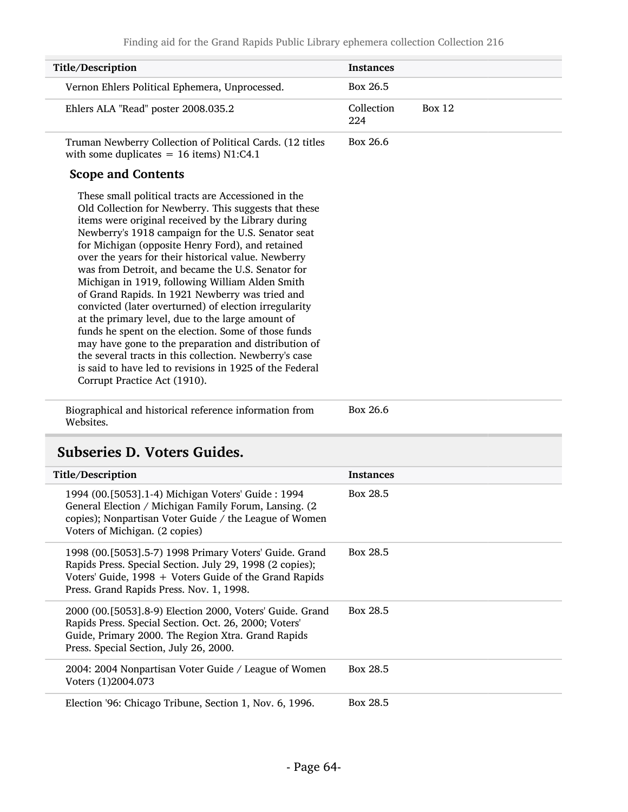| Title/Description                                                                                                                                                                                                                                                                                                                                                                                                                                                                                                                                                                                                                                                                                                                                                                                                                                                               | <b>Instances</b>  |               |
|---------------------------------------------------------------------------------------------------------------------------------------------------------------------------------------------------------------------------------------------------------------------------------------------------------------------------------------------------------------------------------------------------------------------------------------------------------------------------------------------------------------------------------------------------------------------------------------------------------------------------------------------------------------------------------------------------------------------------------------------------------------------------------------------------------------------------------------------------------------------------------|-------------------|---------------|
| Vernon Ehlers Political Ephemera, Unprocessed.                                                                                                                                                                                                                                                                                                                                                                                                                                                                                                                                                                                                                                                                                                                                                                                                                                  | Box 26.5          |               |
| Ehlers ALA "Read" poster 2008.035.2                                                                                                                                                                                                                                                                                                                                                                                                                                                                                                                                                                                                                                                                                                                                                                                                                                             | Collection<br>224 | <b>Box 12</b> |
| Truman Newberry Collection of Political Cards. (12 titles<br>with some duplicates = $16$ items) N1:C4.1                                                                                                                                                                                                                                                                                                                                                                                                                                                                                                                                                                                                                                                                                                                                                                         | Box 26.6          |               |
| <b>Scope and Contents</b>                                                                                                                                                                                                                                                                                                                                                                                                                                                                                                                                                                                                                                                                                                                                                                                                                                                       |                   |               |
| These small political tracts are Accessioned in the<br>Old Collection for Newberry. This suggests that these<br>items were original received by the Library during<br>Newberry's 1918 campaign for the U.S. Senator seat<br>for Michigan (opposite Henry Ford), and retained<br>over the years for their historical value. Newberry<br>was from Detroit, and became the U.S. Senator for<br>Michigan in 1919, following William Alden Smith<br>of Grand Rapids. In 1921 Newberry was tried and<br>convicted (later overturned) of election irregularity<br>at the primary level, due to the large amount of<br>funds he spent on the election. Some of those funds<br>may have gone to the preparation and distribution of<br>the several tracts in this collection. Newberry's case<br>is said to have led to revisions in 1925 of the Federal<br>Corrupt Practice Act (1910). |                   |               |
| Biographical and historical reference information from<br>Websites.                                                                                                                                                                                                                                                                                                                                                                                                                                                                                                                                                                                                                                                                                                                                                                                                             | Box 26.6          |               |
| <b>Subseries D. Voters Guides.</b>                                                                                                                                                                                                                                                                                                                                                                                                                                                                                                                                                                                                                                                                                                                                                                                                                                              |                   |               |
| Title/Description                                                                                                                                                                                                                                                                                                                                                                                                                                                                                                                                                                                                                                                                                                                                                                                                                                                               | <b>Instances</b>  |               |
| 1994 (00.[5053].1-4) Michigan Voters' Guide: 1994<br>General Election / Michigan Family Forum, Lansing. (2)<br>copies); Nonpartisan Voter Guide / the League of Women<br>Voters of Michigan. (2 copies)                                                                                                                                                                                                                                                                                                                                                                                                                                                                                                                                                                                                                                                                         | Box 28.5          |               |
| 1998 (00.[5053].5-7) 1998 Primary Voters' Guide. Grand<br>Rapids Press. Special Section. July 29, 1998 (2 copies);<br>Voters' Guide, 1998 + Voters Guide of the Grand Rapids<br>Press. Grand Rapids Press. Nov. 1, 1998.                                                                                                                                                                                                                                                                                                                                                                                                                                                                                                                                                                                                                                                        | Box 28.5          |               |
| 2000 (00.[5053].8-9) Election 2000, Voters' Guide. Grand<br>Rapids Press. Special Section. Oct. 26, 2000; Voters'<br>Guide, Primary 2000. The Region Xtra. Grand Rapids<br>Press. Special Section, July 26, 2000.                                                                                                                                                                                                                                                                                                                                                                                                                                                                                                                                                                                                                                                               | Box 28.5          |               |
| 2004: 2004 Nonpartisan Voter Guide / League of Women                                                                                                                                                                                                                                                                                                                                                                                                                                                                                                                                                                                                                                                                                                                                                                                                                            | Box 28.5          |               |

Voters (1)2004.073 Election '96: Chicago Tribune, Section 1, Nov. 6, 1996. Box 28.5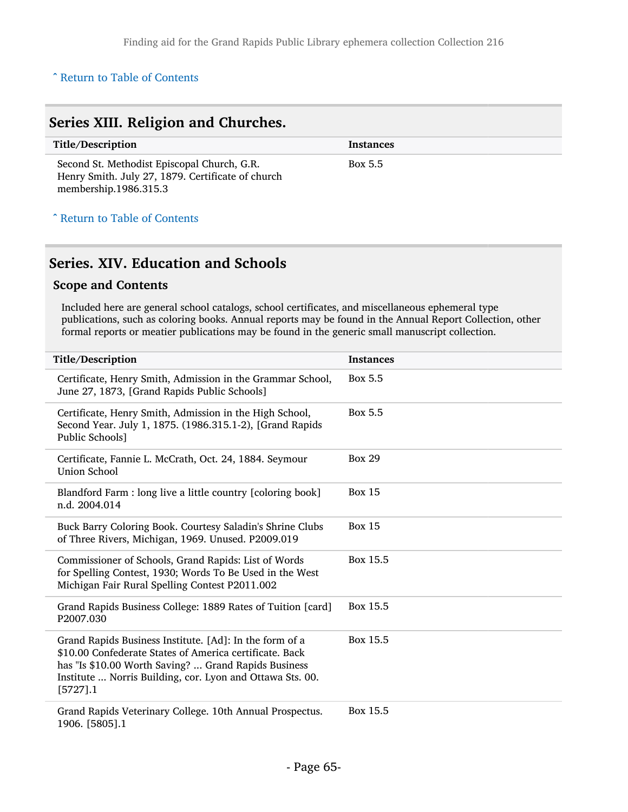#### ^ [Return to Table of Contents](#page-1-0)

| Series XIII. Religion and Churches.                                                                                       |                  |  |
|---------------------------------------------------------------------------------------------------------------------------|------------------|--|
| Title/Description                                                                                                         | <b>Instances</b> |  |
| Second St. Methodist Episcopal Church, G.R.<br>Henry Smith. July 27, 1879. Certificate of church<br>membership.1986.315.3 | Box 5.5          |  |
| Arr Return to Table of Contents                                                                                           |                  |  |

#### Series. XIV. Education and Schools

#### Scope and Contents

Included here are general school catalogs, school certificates, and miscellaneous ephemeral type publications, such as coloring books. Annual reports may be found in the Annual Report Collection, other formal reports or meatier publications may be found in the generic small manuscript collection.

| Title/Description                                                                                                                                                                                                                                      | <b>Instances</b> |
|--------------------------------------------------------------------------------------------------------------------------------------------------------------------------------------------------------------------------------------------------------|------------------|
| Certificate, Henry Smith, Admission in the Grammar School,<br>June 27, 1873, [Grand Rapids Public Schools]                                                                                                                                             | Box 5.5          |
| Certificate, Henry Smith, Admission in the High School,<br>Second Year. July 1, 1875. (1986.315.1-2), [Grand Rapids<br>Public Schools]                                                                                                                 | Box 5.5          |
| Certificate, Fannie L. McCrath, Oct. 24, 1884. Seymour<br>Union School                                                                                                                                                                                 | <b>Box 29</b>    |
| Blandford Farm : long live a little country [coloring book]<br>n.d. 2004.014                                                                                                                                                                           | <b>Box 15</b>    |
| Buck Barry Coloring Book. Courtesy Saladin's Shrine Clubs<br>of Three Rivers, Michigan, 1969. Unused. P2009.019                                                                                                                                        | <b>Box 15</b>    |
| Commissioner of Schools, Grand Rapids: List of Words<br>for Spelling Contest, 1930; Words To Be Used in the West<br>Michigan Fair Rural Spelling Contest P2011.002                                                                                     | Box 15.5         |
| Grand Rapids Business College: 1889 Rates of Tuition [card]<br>P2007.030                                                                                                                                                                               | Box 15.5         |
| Grand Rapids Business Institute. [Ad]: In the form of a<br>\$10.00 Confederate States of America certificate. Back<br>has "Is \$10.00 Worth Saving?  Grand Rapids Business<br>Institute  Norris Building, cor. Lyon and Ottawa Sts. 00.<br>$[5727]$ .1 | Box 15.5         |
| Grand Rapids Veterinary College. 10th Annual Prospectus.<br>1906. [5805].1                                                                                                                                                                             | Box 15.5         |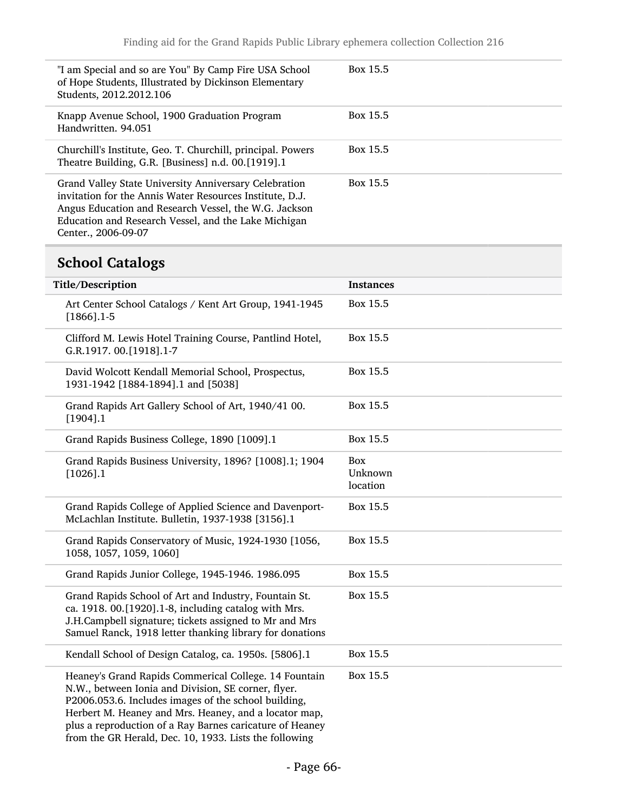| "I am Special and so are You" By Camp Fire USA School<br>of Hope Students, Illustrated by Dickinson Elementary<br>Students, 2012.2012.106                                                                                                                 | Box 15.5 |
|-----------------------------------------------------------------------------------------------------------------------------------------------------------------------------------------------------------------------------------------------------------|----------|
| Knapp Avenue School, 1900 Graduation Program<br>Handwritten, 94.051                                                                                                                                                                                       | Box 15.5 |
| Churchill's Institute, Geo. T. Churchill, principal. Powers<br>Theatre Building, G.R. [Business] n.d. 00.[1919].1                                                                                                                                         | Box 15.5 |
| Grand Valley State University Anniversary Celebration<br>invitation for the Annis Water Resources Institute, D.J.<br>Angus Education and Research Vessel, the W.G. Jackson<br>Education and Research Vessel, and the Lake Michigan<br>Center., 2006-09-07 | Box 15.5 |

# School Catalogs

| Title/Description                                                                                                                                                                                                                                                                                                                                   | <b>Instances</b>           |
|-----------------------------------------------------------------------------------------------------------------------------------------------------------------------------------------------------------------------------------------------------------------------------------------------------------------------------------------------------|----------------------------|
| Art Center School Catalogs / Kent Art Group, 1941-1945<br>$[1866]$ .1-5                                                                                                                                                                                                                                                                             | Box 15.5                   |
| Clifford M. Lewis Hotel Training Course, Pantlind Hotel,<br>G.R.1917. 00.[1918].1-7                                                                                                                                                                                                                                                                 | Box 15.5                   |
| David Wolcott Kendall Memorial School, Prospectus,<br>1931-1942 [1884-1894].1 and [5038]                                                                                                                                                                                                                                                            | Box 15.5                   |
| Grand Rapids Art Gallery School of Art, 1940/41 00.<br>[1904].1                                                                                                                                                                                                                                                                                     | Box 15.5                   |
| Grand Rapids Business College, 1890 [1009].1                                                                                                                                                                                                                                                                                                        | Box 15.5                   |
| Grand Rapids Business University, 1896? [1008].1; 1904<br>$[1026]$ .1                                                                                                                                                                                                                                                                               | Box<br>Unknown<br>location |
| Grand Rapids College of Applied Science and Davenport-<br>McLachlan Institute. Bulletin, 1937-1938 [3156].1                                                                                                                                                                                                                                         | Box 15.5                   |
| Grand Rapids Conservatory of Music, 1924-1930 [1056,<br>1058, 1057, 1059, 1060]                                                                                                                                                                                                                                                                     | Box 15.5                   |
| Grand Rapids Junior College, 1945-1946. 1986.095                                                                                                                                                                                                                                                                                                    | Box 15.5                   |
| Grand Rapids School of Art and Industry, Fountain St.<br>ca. 1918. 00. [1920]. 1-8, including catalog with Mrs.<br>J.H.Campbell signature; tickets assigned to Mr and Mrs<br>Samuel Ranck, 1918 letter thanking library for donations                                                                                                               | Box 15.5                   |
| Kendall School of Design Catalog, ca. 1950s. [5806].1                                                                                                                                                                                                                                                                                               | Box 15.5                   |
| Heaney's Grand Rapids Commerical College. 14 Fountain<br>N.W., between Ionia and Division, SE corner, flyer.<br>P2006.053.6. Includes images of the school building,<br>Herbert M. Heaney and Mrs. Heaney, and a locator map,<br>plus a reproduction of a Ray Barnes caricature of Heaney<br>from the GR Herald, Dec. 10, 1933. Lists the following | Box 15.5                   |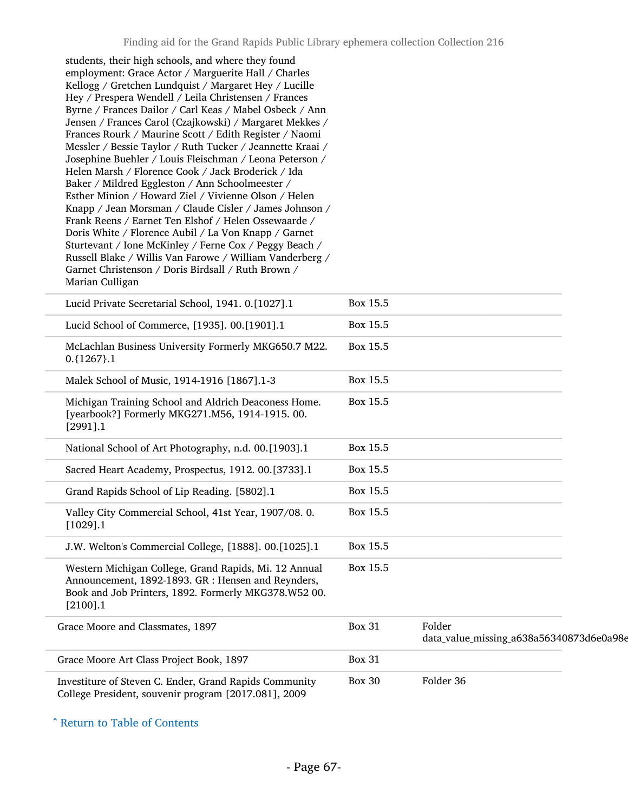| students, their high schools, and where they found<br>employment: Grace Actor / Marguerite Hall / Charles<br>Kellogg / Gretchen Lundquist / Margaret Hey / Lucille<br>Hey / Prespera Wendell / Leila Christensen / Frances<br>Byrne / Frances Dailor / Carl Keas / Mabel Osbeck / Ann<br>Jensen / Frances Carol (Czajkowski) / Margaret Mekkes /<br>Frances Rourk / Maurine Scott / Edith Register / Naomi<br>Messler / Bessie Taylor / Ruth Tucker / Jeannette Kraai /<br>Josephine Buehler / Louis Fleischman / Leona Peterson /<br>Helen Marsh / Florence Cook / Jack Broderick / Ida<br>Baker / Mildred Eggleston / Ann Schoolmeester /<br>Esther Minion / Howard Ziel / Vivienne Olson / Helen<br>Knapp / Jean Morsman / Claude Cisler / James Johnson /<br>Frank Reens / Earnet Ten Elshof / Helen Ossewaarde /<br>Doris White / Florence Aubil / La Von Knapp / Garnet<br>Sturtevant / Ione McKinley / Ferne Cox / Peggy Beach /<br>Russell Blake / Willis Van Farowe / William Vanderberg /<br>Garnet Christenson / Doris Birdsall / Ruth Brown /<br>Marian Culligan |               |                                                    |  |
|------------------------------------------------------------------------------------------------------------------------------------------------------------------------------------------------------------------------------------------------------------------------------------------------------------------------------------------------------------------------------------------------------------------------------------------------------------------------------------------------------------------------------------------------------------------------------------------------------------------------------------------------------------------------------------------------------------------------------------------------------------------------------------------------------------------------------------------------------------------------------------------------------------------------------------------------------------------------------------------------------------------------------------------------------------------------------|---------------|----------------------------------------------------|--|
| Lucid Private Secretarial School, 1941. 0.[1027].1                                                                                                                                                                                                                                                                                                                                                                                                                                                                                                                                                                                                                                                                                                                                                                                                                                                                                                                                                                                                                           | Box 15.5      |                                                    |  |
| Lucid School of Commerce, [1935]. 00.[1901].1                                                                                                                                                                                                                                                                                                                                                                                                                                                                                                                                                                                                                                                                                                                                                                                                                                                                                                                                                                                                                                | Box 15.5      |                                                    |  |
| McLachlan Business University Formerly MKG650.7 M22.<br>$0.\{1267\}.1$                                                                                                                                                                                                                                                                                                                                                                                                                                                                                                                                                                                                                                                                                                                                                                                                                                                                                                                                                                                                       | Box 15.5      |                                                    |  |
| Malek School of Music, 1914-1916 [1867].1-3                                                                                                                                                                                                                                                                                                                                                                                                                                                                                                                                                                                                                                                                                                                                                                                                                                                                                                                                                                                                                                  | Box 15.5      |                                                    |  |
| Michigan Training School and Aldrich Deaconess Home.<br>[yearbook?] Formerly MKG271.M56, 1914-1915. 00.<br>$[2991]$ .1                                                                                                                                                                                                                                                                                                                                                                                                                                                                                                                                                                                                                                                                                                                                                                                                                                                                                                                                                       | Box 15.5      |                                                    |  |
| National School of Art Photography, n.d. 00.[1903].1                                                                                                                                                                                                                                                                                                                                                                                                                                                                                                                                                                                                                                                                                                                                                                                                                                                                                                                                                                                                                         | Box 15.5      |                                                    |  |
| Sacred Heart Academy, Prospectus, 1912. 00.[3733].1                                                                                                                                                                                                                                                                                                                                                                                                                                                                                                                                                                                                                                                                                                                                                                                                                                                                                                                                                                                                                          | Box 15.5      |                                                    |  |
| Grand Rapids School of Lip Reading. [5802].1                                                                                                                                                                                                                                                                                                                                                                                                                                                                                                                                                                                                                                                                                                                                                                                                                                                                                                                                                                                                                                 | Box 15.5      |                                                    |  |
| Valley City Commercial School, 41st Year, 1907/08.0.<br>[1029].1                                                                                                                                                                                                                                                                                                                                                                                                                                                                                                                                                                                                                                                                                                                                                                                                                                                                                                                                                                                                             | Box 15.5      |                                                    |  |
| J.W. Welton's Commercial College, [1888]. 00.[1025].1                                                                                                                                                                                                                                                                                                                                                                                                                                                                                                                                                                                                                                                                                                                                                                                                                                                                                                                                                                                                                        | Box 15.5      |                                                    |  |
| Western Michigan College, Grand Rapids, Mi. 12 Annual<br>Announcement, 1892-1893. GR : Hensen and Reynders,<br>Book and Job Printers, 1892. Formerly MKG378.W52 00.<br>$[2100]$ .1                                                                                                                                                                                                                                                                                                                                                                                                                                                                                                                                                                                                                                                                                                                                                                                                                                                                                           | Box 15.5      |                                                    |  |
| Grace Moore and Classmates, 1897                                                                                                                                                                                                                                                                                                                                                                                                                                                                                                                                                                                                                                                                                                                                                                                                                                                                                                                                                                                                                                             | <b>Box 31</b> | Folder<br>data_value_missing_a638a56340873d6e0a98e |  |
| Grace Moore Art Class Project Book, 1897                                                                                                                                                                                                                                                                                                                                                                                                                                                                                                                                                                                                                                                                                                                                                                                                                                                                                                                                                                                                                                     | <b>Box 31</b> |                                                    |  |
| Investiture of Steven C. Ender, Grand Rapids Community<br>College President, souvenir program [2017.081], 2009                                                                                                                                                                                                                                                                                                                                                                                                                                                                                                                                                                                                                                                                                                                                                                                                                                                                                                                                                               | <b>Box 30</b> | Folder 36                                          |  |

^ [Return to Table of Contents](#page-1-0)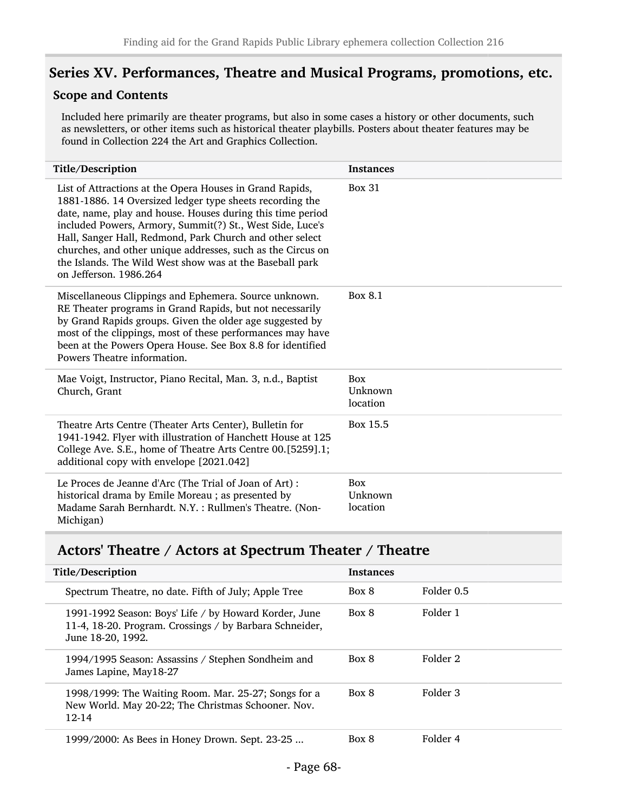### Series XV. Performances, Theatre and Musical Programs, promotions, etc.

#### Scope and Contents

Included here primarily are theater programs, but also in some cases a history or other documents, such as newsletters, or other items such as historical theater playbills. Posters about theater features may be found in Collection 224 the Art and Graphics Collection.

| Title/Description                                                                                                                                                                                                                                                                                                                                                                                                                                                | <b>Instances</b>           |
|------------------------------------------------------------------------------------------------------------------------------------------------------------------------------------------------------------------------------------------------------------------------------------------------------------------------------------------------------------------------------------------------------------------------------------------------------------------|----------------------------|
| List of Attractions at the Opera Houses in Grand Rapids,<br>1881-1886. 14 Oversized ledger type sheets recording the<br>date, name, play and house. Houses during this time period<br>included Powers, Armory, Summit(?) St., West Side, Luce's<br>Hall, Sanger Hall, Redmond, Park Church and other select<br>churches, and other unique addresses, such as the Circus on<br>the Islands. The Wild West show was at the Baseball park<br>on Jefferson, 1986.264 | <b>Box 31</b>              |
| Miscellaneous Clippings and Ephemera. Source unknown.<br>RE Theater programs in Grand Rapids, but not necessarily<br>by Grand Rapids groups. Given the older age suggested by<br>most of the clippings, most of these performances may have<br>been at the Powers Opera House. See Box 8.8 for identified<br>Powers Theatre information.                                                                                                                         | Box 8.1                    |
| Mae Voigt, Instructor, Piano Recital, Man. 3, n.d., Baptist<br>Church, Grant                                                                                                                                                                                                                                                                                                                                                                                     | Box<br>Unknown<br>location |
| Theatre Arts Centre (Theater Arts Center), Bulletin for<br>1941-1942. Flyer with illustration of Hanchett House at 125<br>College Ave. S.E., home of Theatre Arts Centre 00.[5259].1;<br>additional copy with envelope [2021.042]                                                                                                                                                                                                                                | Box 15.5                   |
| Le Proces de Jeanne d'Arc (The Trial of Joan of Art) :<br>historical drama by Emile Moreau; as presented by<br>Madame Sarah Bernhardt. N.Y.: Rullmen's Theatre. (Non-<br>Michigan)                                                                                                                                                                                                                                                                               | Box<br>Unknown<br>location |

#### Actors' Theatre / Actors at Spectrum Theater / Theatre

| Title/Description                                                                                                                     | <b>Instances</b> |            |
|---------------------------------------------------------------------------------------------------------------------------------------|------------------|------------|
| Spectrum Theatre, no date. Fifth of July; Apple Tree                                                                                  | Box 8            | Folder 0.5 |
| 1991-1992 Season: Boys' Life / by Howard Korder, June<br>11-4, 18-20. Program. Crossings / by Barbara Schneider,<br>June 18-20, 1992. | Box 8            | Folder 1   |
| 1994/1995 Season: Assassins / Stephen Sondheim and<br>James Lapine, May18-27                                                          | Box 8            | Folder 2   |
| 1998/1999: The Waiting Room. Mar. 25-27; Songs for a<br>New World. May 20-22; The Christmas Schooner. Nov.<br>$12 - 14$               | Box 8            | Folder 3   |
| 1999/2000: As Bees in Honey Drown. Sept. 23-25                                                                                        | Box 8            | Folder 4   |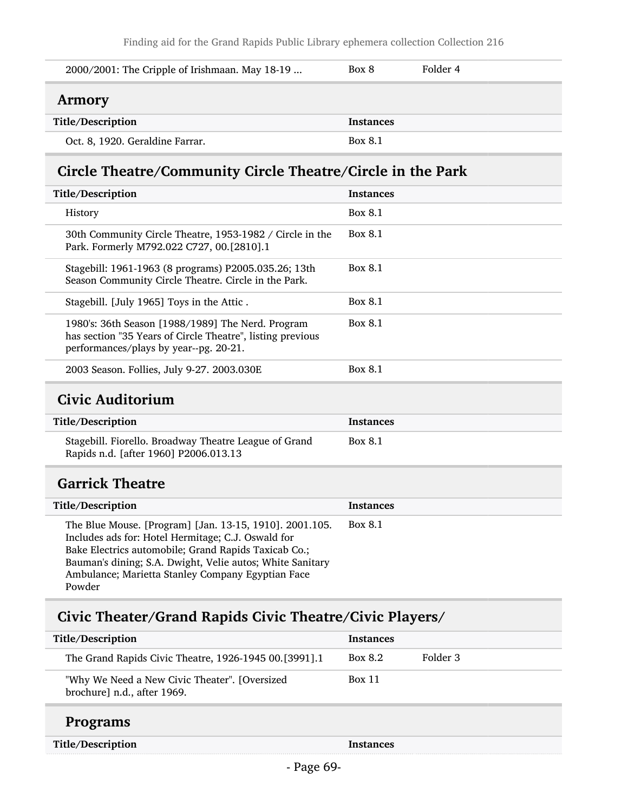Finding aid for the Grand Rapids Public Library ephemera collection Collection 216

| 2000/2001: The Cripple of Irishmaan. May 18-19 | Box 8            | Folder 4 |
|------------------------------------------------|------------------|----------|
| <b>Armory</b>                                  |                  |          |
| Title/Description                              | <b>Instances</b> |          |
| Oct. 8, 1920. Geraldine Farrar.                | Box 8.1          |          |

## Circle Theatre/Community Circle Theatre/Circle in the Park

| Title/Description                                                                                                                                         | <b>Instances</b> |
|-----------------------------------------------------------------------------------------------------------------------------------------------------------|------------------|
| History                                                                                                                                                   | <b>Box 8.1</b>   |
| 30th Community Circle Theatre, 1953-1982 / Circle in the<br>Park. Formerly M792.022 C727, 00.[2810].1                                                     | <b>Box 8.1</b>   |
| Stagebill: 1961-1963 (8 programs) P2005.035.26; 13th<br>Season Community Circle Theatre. Circle in the Park.                                              | <b>Box 8.1</b>   |
| Stagebill. [July 1965] Toys in the Attic.                                                                                                                 | Box 8.1          |
| 1980's: 36th Season [1988/1989] The Nerd. Program<br>has section "35 Years of Circle Theatre", listing previous<br>performances/plays by year--pg. 20-21. | <b>Box 8.1</b>   |
| 2003 Season. Follies, July 9-27. 2003.030E                                                                                                                | <b>Box 8.1</b>   |

### Civic Auditorium

| Title/Description                                                                              | <b>Instances</b> |
|------------------------------------------------------------------------------------------------|------------------|
| Stagebill. Fiorello. Broadway Theatre League of Grand<br>Rapids n.d. [after 1960] P2006.013.13 | Box 8.1          |

### Garrick Theatre

| Title/Description                                                                                                                                                                                                                                                                                 | <b>Instances</b> |
|---------------------------------------------------------------------------------------------------------------------------------------------------------------------------------------------------------------------------------------------------------------------------------------------------|------------------|
| The Blue Mouse. [Program] [Jan. 13-15, 1910]. 2001.105.<br>Includes ads for: Hotel Hermitage; C.J. Oswald for<br>Bake Electrics automobile; Grand Rapids Taxicab Co.;<br>Bauman's dining; S.A. Dwight, Velie autos; White Sanitary<br>Ambulance; Marietta Stanley Company Egyptian Face<br>Powder | Box 8.1          |

## Civic Theater/Grand Rapids Civic Theatre/Civic Players/

| Title/Description                                                            | <b>Instances</b> |          |
|------------------------------------------------------------------------------|------------------|----------|
| The Grand Rapids Civic Theatre, 1926-1945 00.[3991].1                        | <b>Box 8.2</b>   | Folder 3 |
| "Why We Need a New Civic Theater". [Oversized<br>brochure] n.d., after 1969. | Box 11           |          |
| <b>Programs</b>                                                              |                  |          |
| Title/Description                                                            | <b>Instances</b> |          |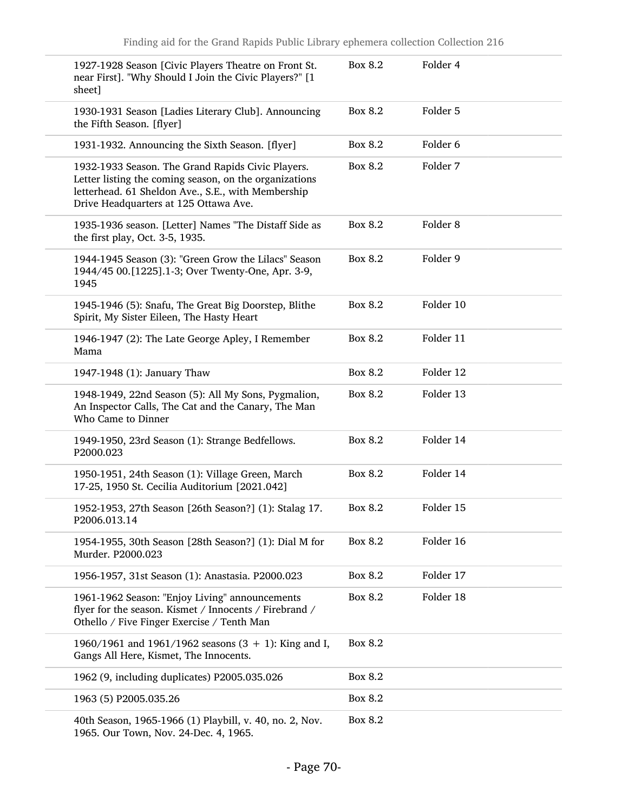| 1927-1928 Season [Civic Players Theatre on Front St.<br>near First]. "Why Should I Join the Civic Players?" [1<br>sheet]                                                                                   | Box 8.2 | Folder 4            |
|------------------------------------------------------------------------------------------------------------------------------------------------------------------------------------------------------------|---------|---------------------|
| 1930-1931 Season [Ladies Literary Club]. Announcing<br>the Fifth Season. [flyer]                                                                                                                           | Box 8.2 | Folder 5            |
| 1931-1932. Announcing the Sixth Season. [flyer]                                                                                                                                                            | Box 8.2 | Folder 6            |
| 1932-1933 Season. The Grand Rapids Civic Players.<br>Letter listing the coming season, on the organizations<br>letterhead. 61 Sheldon Ave., S.E., with Membership<br>Drive Headquarters at 125 Ottawa Ave. | Box 8.2 | Folder 7            |
| 1935-1936 season. [Letter] Names "The Distaff Side as<br>the first play, Oct. 3-5, 1935.                                                                                                                   | Box 8.2 | Folder <sub>8</sub> |
| 1944-1945 Season (3): "Green Grow the Lilacs" Season<br>1944/45 00.[1225].1-3; Over Twenty-One, Apr. 3-9,<br>1945                                                                                          | Box 8.2 | Folder 9            |
| 1945-1946 (5): Snafu, The Great Big Doorstep, Blithe<br>Spirit, My Sister Eileen, The Hasty Heart                                                                                                          | Box 8.2 | Folder 10           |
| 1946-1947 (2): The Late George Apley, I Remember<br>Mama                                                                                                                                                   | Box 8.2 | Folder 11           |
| 1947-1948 (1): January Thaw                                                                                                                                                                                | Box 8.2 | Folder 12           |
| 1948-1949, 22nd Season (5): All My Sons, Pygmalion,<br>An Inspector Calls, The Cat and the Canary, The Man<br>Who Came to Dinner                                                                           | Box 8.2 | Folder 13           |
| 1949-1950, 23rd Season (1): Strange Bedfellows.<br>P2000.023                                                                                                                                               | Box 8.2 | Folder 14           |
| 1950-1951, 24th Season (1): Village Green, March<br>17-25, 1950 St. Cecilia Auditorium [2021.042]                                                                                                          | Box 8.2 | Folder 14           |
| 1952-1953, 27th Season [26th Season?] (1): Stalag 17.<br>P2006.013.14                                                                                                                                      | Box 8.2 | Folder 15           |
| 1954-1955, 30th Season [28th Season?] (1): Dial M for<br>Murder. P2000.023                                                                                                                                 | Box 8.2 | Folder 16           |
| 1956-1957, 31st Season (1): Anastasia. P2000.023                                                                                                                                                           | Box 8.2 | Folder 17           |
| 1961-1962 Season: "Enjoy Living" announcements<br>flyer for the season. Kismet / Innocents / Firebrand /<br>Othello / Five Finger Exercise / Tenth Man                                                     | Box 8.2 | Folder 18           |
| 1960/1961 and 1961/1962 seasons $(3 + 1)$ : King and I,<br>Gangs All Here, Kismet, The Innocents.                                                                                                          | Box 8.2 |                     |
| 1962 (9, including duplicates) P2005.035.026                                                                                                                                                               | Box 8.2 |                     |
| 1963 (5) P2005.035.26                                                                                                                                                                                      | Box 8.2 |                     |
| 40th Season, 1965-1966 (1) Playbill, v. 40, no. 2, Nov.<br>1965. Our Town, Nov. 24-Dec. 4, 1965.                                                                                                           | Box 8.2 |                     |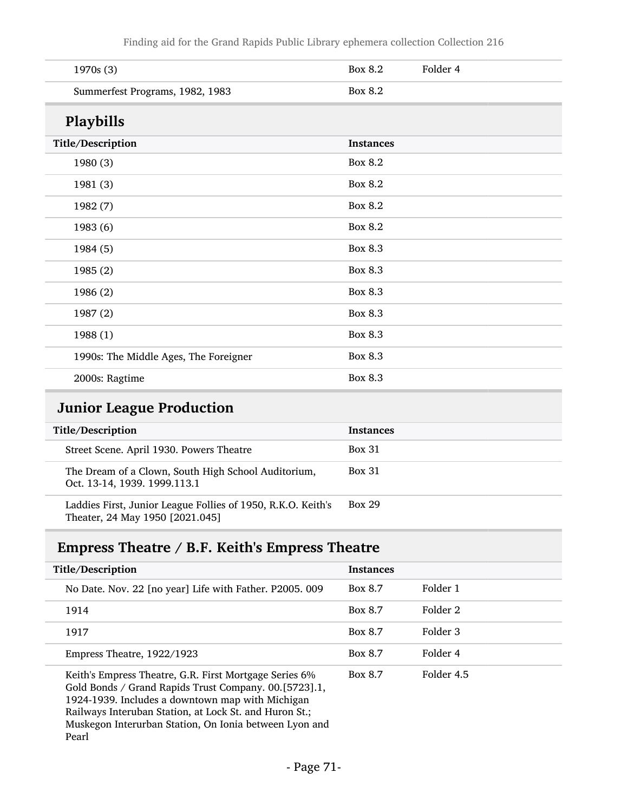| 1970s (3)                             | Folder 4<br>Box 8.2 |
|---------------------------------------|---------------------|
| Summerfest Programs, 1982, 1983       | Box 8.2             |
| Playbills                             |                     |
| Title/Description                     | <b>Instances</b>    |
| 1980 (3)                              | Box 8.2             |
| 1981 (3)                              | Box 8.2             |
| 1982 (7)                              | Box 8.2             |
| 1983 (6)                              | Box 8.2             |
| 1984 (5)                              | Box 8.3             |
| 1985 (2)                              | Box 8.3             |
| 1986 (2)                              | Box 8.3             |
| 1987 (2)                              | Box 8.3             |
| 1988 (1)                              | Box 8.3             |
| 1990s: The Middle Ages, The Foreigner | Box 8.3             |
| 2000s: Ragtime                        | Box 8.3             |

## Junior League Production

| Title/Description                                                                               | <b>Instances</b> |
|-------------------------------------------------------------------------------------------------|------------------|
| Street Scene. April 1930. Powers Theatre                                                        | <b>Box 31</b>    |
| The Dream of a Clown, South High School Auditorium,<br>Oct. 13-14, 1939. 1999.113.1             | <b>Box 31</b>    |
| Laddies First, Junior League Follies of 1950, R.K.O. Keith's<br>Theater, 24 May 1950 [2021.045] | <b>Box 29</b>    |

# Empress Theatre / B.F. Keith's Empress Theatre

| Title/Description |                                                                                                                                                                                                                                | <b>Instances</b> |            |
|-------------------|--------------------------------------------------------------------------------------------------------------------------------------------------------------------------------------------------------------------------------|------------------|------------|
|                   | No Date. Nov. 22 [no year] Life with Father. P2005. 009                                                                                                                                                                        | Box 8.7          | Folder 1   |
|                   | 1914                                                                                                                                                                                                                           | Box 8.7          | Folder 2   |
|                   | 1917                                                                                                                                                                                                                           | Box 8.7          | Folder 3   |
|                   | Empress Theatre, 1922/1923                                                                                                                                                                                                     | Box 8.7          | Folder 4   |
|                   | Keith's Empress Theatre, G.R. First Mortgage Series 6%<br>Gold Bonds / Grand Rapids Trust Company. 00.[5723].1,<br>1924-1939. Includes a downtown map with Michigan<br>$Dqiluqvg$ Interupen Station, at Lock St. and Huron St. | Box 8.7          | Folder 4.5 |

Railways Interuban Station, at Lock St. and Huron St.;

Muskegon Interurban Station, On Ionia between Lyon and Pearl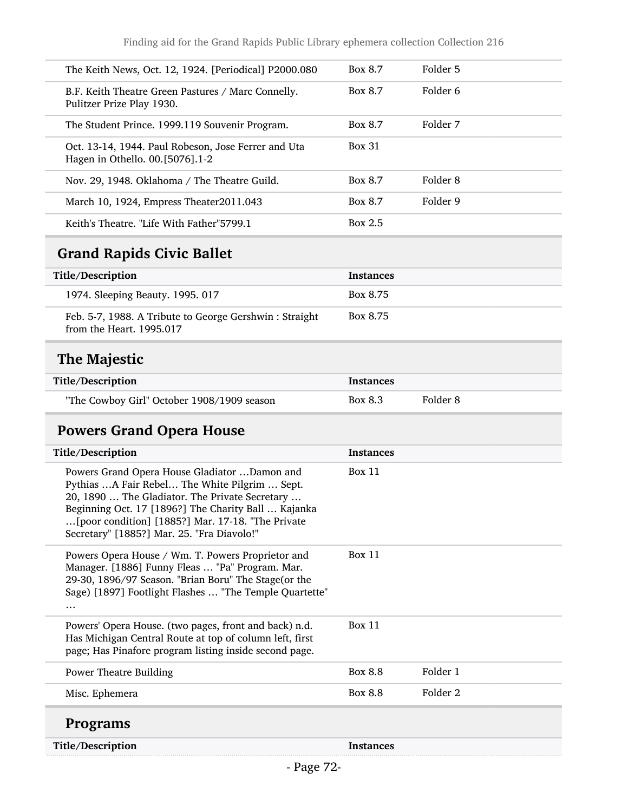| The Keith News, Oct. 12, 1924. [Periodical] P2000.080                                  | Box 8.7        | Folder 5 |
|----------------------------------------------------------------------------------------|----------------|----------|
| B.F. Keith Theatre Green Pastures / Marc Connelly.<br>Pulitzer Prize Play 1930.        | <b>Box 8.7</b> | Folder 6 |
| The Student Prince. 1999.119 Souvenir Program.                                         | <b>Box 8.7</b> | Folder 7 |
| Oct. 13-14, 1944. Paul Robeson, Jose Ferrer and Uta<br>Hagen in Othello. 00.[5076].1-2 | <b>Box 31</b>  |          |
| Nov. 29, 1948. Oklahoma / The Theatre Guild.                                           | Box 8.7        | Folder 8 |
| March 10, 1924, Empress Theater2011.043                                                | <b>Box 8.7</b> | Folder 9 |
| Keith's Theatre. "Life With Father"5799.1                                              | Box 2.5        |          |
|                                                                                        |                |          |

# Grand Rapids Civic Ballet

| Title/Description                                                                  | <b>Instances</b> |
|------------------------------------------------------------------------------------|------------------|
| 1974. Sleeping Beauty. 1995. 017                                                   | Box 8.75         |
| Feb. 5-7, 1988. A Tribute to George Gershwin: Straight<br>from the Heart. 1995.017 | Box 8.75         |

# The Majestic

| Title/Description                          | Instances |          |
|--------------------------------------------|-----------|----------|
| "The Cowboy Girl" October 1908/1909 season | Box 8.3   | Folder 8 |

## Powers Grand Opera House

| Title/Description                                                                                                                                                                                                                                                                                           | <b>Instances</b> |          |
|-------------------------------------------------------------------------------------------------------------------------------------------------------------------------------------------------------------------------------------------------------------------------------------------------------------|------------------|----------|
| Powers Grand Opera House Gladiator  Damon and<br>Pythias  A Fair Rebel The White Pilgrim  Sept.<br>20, 1890  The Gladiator. The Private Secretary<br>Beginning Oct. 17 [1896?] The Charity Ball  Kajanka<br>[poor condition] [1885?] Mar. 17-18. "The Private<br>Secretary" [1885?] Mar. 25. "Fra Diavolo!" | Box 11           |          |
| Powers Opera House / Wm. T. Powers Proprietor and<br>Manager. [1886] Funny Fleas  "Pa" Program. Mar.<br>29-30, 1896/97 Season. "Brian Boru" The Stage (or the<br>Sage) [1897] Footlight Flashes  "The Temple Quartette"<br>$\ddotsc$                                                                        | <b>Box 11</b>    |          |
| Powers' Opera House. (two pages, front and back) n.d.<br>Has Michigan Central Route at top of column left, first<br>page; Has Pinafore program listing inside second page.                                                                                                                                  | Box 11           |          |
| <b>Power Theatre Building</b>                                                                                                                                                                                                                                                                               | Box 8.8          | Folder 1 |
| Misc. Ephemera                                                                                                                                                                                                                                                                                              | Box 8.8          | Folder 2 |
| Programs                                                                                                                                                                                                                                                                                                    |                  |          |
| Title/Description                                                                                                                                                                                                                                                                                           | <b>Instances</b> |          |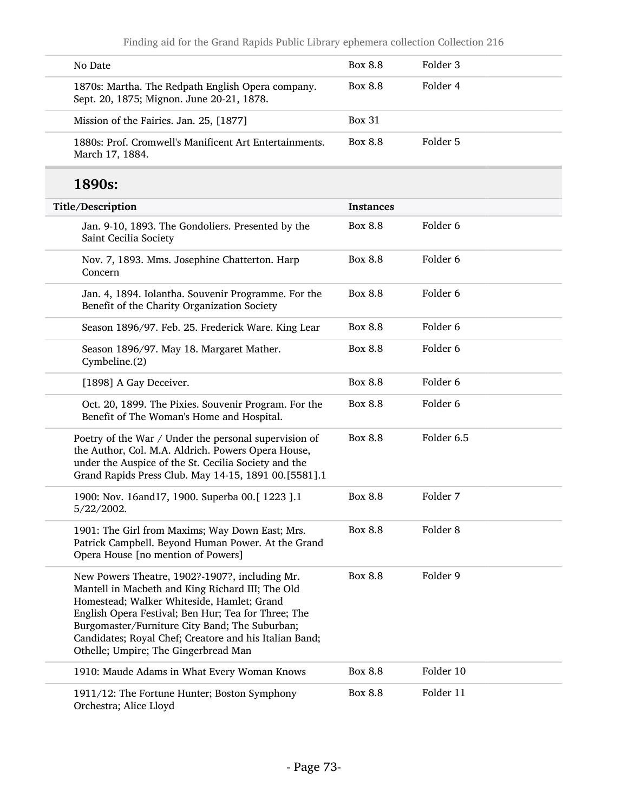| No Date                                                                                                                                                                                                                                                                                                                                                     | <b>Box 8.8</b>   | Folder 3            |
|-------------------------------------------------------------------------------------------------------------------------------------------------------------------------------------------------------------------------------------------------------------------------------------------------------------------------------------------------------------|------------------|---------------------|
| 1870s: Martha. The Redpath English Opera company.<br>Sept. 20, 1875; Mignon. June 20-21, 1878.                                                                                                                                                                                                                                                              | <b>Box 8.8</b>   | Folder 4            |
| Mission of the Fairies. Jan. 25, [1877]                                                                                                                                                                                                                                                                                                                     | <b>Box 31</b>    |                     |
| 1880s: Prof. Cromwell's Manificent Art Entertainments.<br>March 17, 1884.                                                                                                                                                                                                                                                                                   | Box 8.8          | Folder 5            |
| 1890s:                                                                                                                                                                                                                                                                                                                                                      |                  |                     |
| Title/Description                                                                                                                                                                                                                                                                                                                                           | <b>Instances</b> |                     |
| Jan. 9-10, 1893. The Gondoliers. Presented by the<br>Saint Cecilia Society                                                                                                                                                                                                                                                                                  | Box 8.8          | Folder <sub>6</sub> |
| Nov. 7, 1893. Mms. Josephine Chatterton. Harp<br>Concern                                                                                                                                                                                                                                                                                                    | <b>Box 8.8</b>   | Folder <sub>6</sub> |
| Jan. 4, 1894. Iolantha. Souvenir Programme. For the<br>Benefit of the Charity Organization Society                                                                                                                                                                                                                                                          | <b>Box 8.8</b>   | Folder <sub>6</sub> |
| Season 1896/97. Feb. 25. Frederick Ware. King Lear                                                                                                                                                                                                                                                                                                          | <b>Box 8.8</b>   | Folder <sub>6</sub> |
| Season 1896/97. May 18. Margaret Mather.<br>Cymbeline.(2)                                                                                                                                                                                                                                                                                                   | <b>Box 8.8</b>   | Folder <sub>6</sub> |
| [1898] A Gay Deceiver.                                                                                                                                                                                                                                                                                                                                      | <b>Box 8.8</b>   | Folder <sub>6</sub> |
| Oct. 20, 1899. The Pixies. Souvenir Program. For the<br>Benefit of The Woman's Home and Hospital.                                                                                                                                                                                                                                                           | <b>Box 8.8</b>   | Folder <sub>6</sub> |
| Poetry of the War / Under the personal supervision of<br>the Author, Col. M.A. Aldrich. Powers Opera House,<br>under the Auspice of the St. Cecilia Society and the<br>Grand Rapids Press Club. May 14-15, 1891 00.[5581].1                                                                                                                                 | <b>Box 8.8</b>   | Folder 6.5          |
| 1900: Nov. 16and17, 1900. Superba 00.[1223].1<br>5/22/2002.                                                                                                                                                                                                                                                                                                 | <b>Box 8.8</b>   | Folder 7            |
| 1901: The Girl from Maxims; Way Down East; Mrs.<br>Patrick Campbell. Beyond Human Power. At the Grand<br>Opera House [no mention of Powers]                                                                                                                                                                                                                 | Box 8.8          | Folder <sub>8</sub> |
| New Powers Theatre, 1902?-1907?, including Mr.<br>Mantell in Macbeth and King Richard III; The Old<br>Homestead; Walker Whiteside, Hamlet; Grand<br>English Opera Festival; Ben Hur; Tea for Three; The<br>Burgomaster/Furniture City Band; The Suburban;<br>Candidates; Royal Chef; Creatore and his Italian Band;<br>Othelle; Umpire; The Gingerbread Man | <b>Box 8.8</b>   | Folder 9            |
| 1910: Maude Adams in What Every Woman Knows                                                                                                                                                                                                                                                                                                                 | Box 8.8          | Folder 10           |
| 1911/12: The Fortune Hunter; Boston Symphony<br>Orchestra; Alice Lloyd                                                                                                                                                                                                                                                                                      | Box 8.8          | Folder 11           |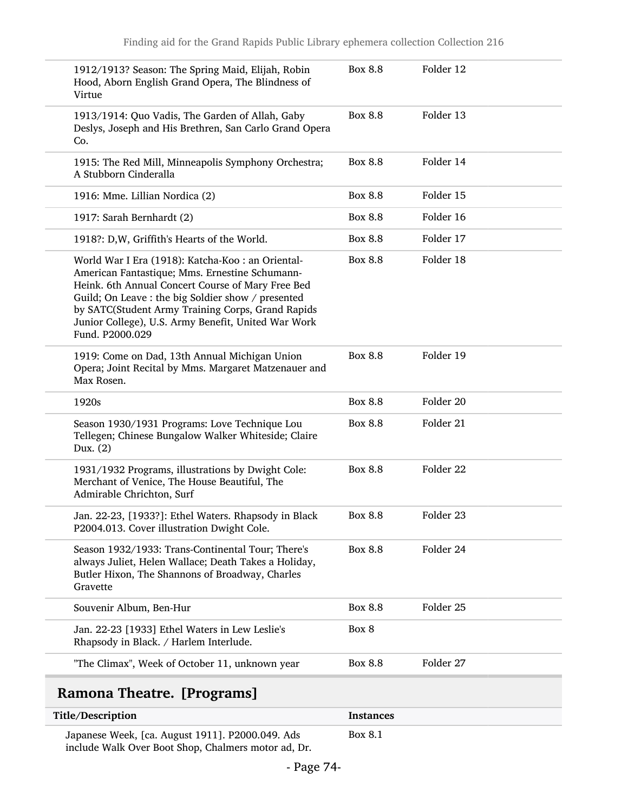| 1912/1913? Season: The Spring Maid, Elijah, Robin<br>Hood, Aborn English Grand Opera, The Blindness of<br>Virtue                                                                                                                                                                                                                            | <b>Box 8.8</b> | Folder 12 |  |
|---------------------------------------------------------------------------------------------------------------------------------------------------------------------------------------------------------------------------------------------------------------------------------------------------------------------------------------------|----------------|-----------|--|
| 1913/1914: Quo Vadis, The Garden of Allah, Gaby<br>Deslys, Joseph and His Brethren, San Carlo Grand Opera<br>Co.                                                                                                                                                                                                                            | <b>Box 8.8</b> | Folder 13 |  |
| 1915: The Red Mill, Minneapolis Symphony Orchestra;<br>A Stubborn Cinderalla                                                                                                                                                                                                                                                                | Box 8.8        | Folder 14 |  |
| 1916: Mme. Lillian Nordica (2)                                                                                                                                                                                                                                                                                                              | <b>Box 8.8</b> | Folder 15 |  |
| 1917: Sarah Bernhardt (2)                                                                                                                                                                                                                                                                                                                   | <b>Box 8.8</b> | Folder 16 |  |
| 1918?: D,W, Griffith's Hearts of the World.                                                                                                                                                                                                                                                                                                 | <b>Box 8.8</b> | Folder 17 |  |
| World War I Era (1918): Katcha-Koo: an Oriental-<br>American Fantastique; Mms. Ernestine Schumann-<br>Heink. 6th Annual Concert Course of Mary Free Bed<br>Guild; On Leave: the big Soldier show / presented<br>by SATC(Student Army Training Corps, Grand Rapids<br>Junior College), U.S. Army Benefit, United War Work<br>Fund. P2000.029 | Box 8.8        | Folder 18 |  |
| 1919: Come on Dad, 13th Annual Michigan Union<br>Opera; Joint Recital by Mms. Margaret Matzenauer and<br>Max Rosen.                                                                                                                                                                                                                         | <b>Box 8.8</b> | Folder 19 |  |
| 1920s                                                                                                                                                                                                                                                                                                                                       | <b>Box 8.8</b> | Folder 20 |  |
| Season 1930/1931 Programs: Love Technique Lou<br>Tellegen; Chinese Bungalow Walker Whiteside; Claire<br>Dux. $(2)$                                                                                                                                                                                                                          | <b>Box 8.8</b> | Folder 21 |  |
| 1931/1932 Programs, illustrations by Dwight Cole:<br>Merchant of Venice, The House Beautiful, The<br>Admirable Chrichton, Surf                                                                                                                                                                                                              | <b>Box 8.8</b> | Folder 22 |  |
| Jan. 22-23, [1933?]: Ethel Waters. Rhapsody in Black<br>P2004.013. Cover illustration Dwight Cole.                                                                                                                                                                                                                                          | Box 8.8        | Folder 23 |  |
| Season 1932/1933: Trans-Continental Tour; There's<br>always Juliet, Helen Wallace; Death Takes a Holiday,<br>Butler Hixon, The Shannons of Broadway, Charles<br>Gravette                                                                                                                                                                    | <b>Box 8.8</b> | Folder 24 |  |
| Souvenir Album, Ben-Hur                                                                                                                                                                                                                                                                                                                     | Box 8.8        | Folder 25 |  |
| Jan. 22-23 [1933] Ethel Waters in Lew Leslie's<br>Rhapsody in Black. / Harlem Interlude.                                                                                                                                                                                                                                                    | Box 8          |           |  |
| "The Climax", Week of October 11, unknown year                                                                                                                                                                                                                                                                                              | <b>Box 8.8</b> | Folder 27 |  |

#### Title/Description Instances Japanese Week, [ca. August 1911]. P2000.049. Ads Box 8.1

include Walk Over Boot Shop, Chalmers motor ad, Dr.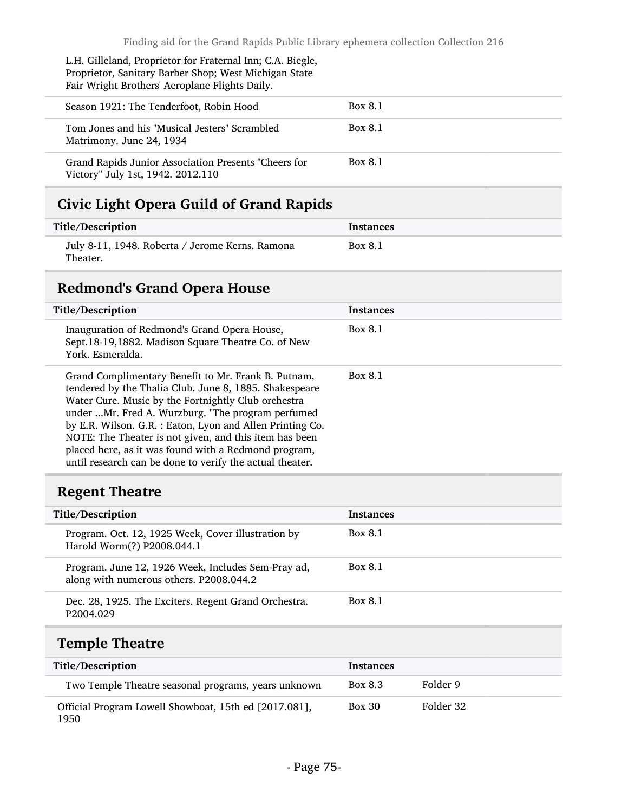L.H. Gilleland, Proprietor for Fraternal Inn; C.A. Biegle, Proprietor, Sanitary Barber Shop; West Michigan State Fair Wright Brothers' Aeroplane Flights Daily.

| Season 1921: The Tenderfoot, Robin Hood                                                   | Box 8.1        |
|-------------------------------------------------------------------------------------------|----------------|
| Tom Jones and his "Musical Jesters" Scrambled<br>Matrimony. June 24, 1934                 | Box 8.1        |
| Grand Rapids Junior Association Presents "Cheers for<br>Victory" July 1st, 1942. 2012.110 | <b>Box 8.1</b> |

## Civic Light Opera Guild of Grand Rapids

| Title/Description                                                      | <b>Instances</b> |
|------------------------------------------------------------------------|------------------|
| July 8-11, 1948. Roberta / Jerome Kerns. Ramona<br>Box 8.1<br>Theater. |                  |

# Redmond's Grand Opera House

| Title/Description                                                                                                                                                                                                                                                                                                                                                                                                                                                    | <b>Instances</b> |
|----------------------------------------------------------------------------------------------------------------------------------------------------------------------------------------------------------------------------------------------------------------------------------------------------------------------------------------------------------------------------------------------------------------------------------------------------------------------|------------------|
| Inauguration of Redmond's Grand Opera House,<br>Sept.18-19,1882. Madison Square Theatre Co. of New<br>York, Esmeralda.                                                                                                                                                                                                                                                                                                                                               | Box 8.1          |
| Grand Complimentary Benefit to Mr. Frank B. Putnam,<br>tendered by the Thalia Club. June 8, 1885. Shakespeare<br>Water Cure. Music by the Fortnightly Club orchestra<br>under Mr. Fred A. Wurzburg. "The program perfumed<br>by E.R. Wilson. G.R. : Eaton, Lyon and Allen Printing Co.<br>NOTE: The Theater is not given, and this item has been<br>placed here, as it was found with a Redmond program,<br>until research can be done to verify the actual theater. | Box 8.1          |

## Regent Theatre

| Title/Description                                                                             | <b>Instances</b> |
|-----------------------------------------------------------------------------------------------|------------------|
| Program. Oct. 12, 1925 Week, Cover illustration by<br>Harold Worm(?) P2008.044.1              | <b>Box 8.1</b>   |
| Program. June 12, 1926 Week, Includes Sem-Pray ad,<br>along with numerous others. P2008.044.2 | <b>Box 8.1</b>   |
| Dec. 28, 1925. The Exciters. Regent Grand Orchestra.<br>P2004.029                             | <b>Box 8.1</b>   |

## Temple Theatre

| Title/Description                                             | <b>Instances</b> |           |
|---------------------------------------------------------------|------------------|-----------|
| Two Temple Theatre seasonal programs, years unknown           | Box 8.3          | Folder 9  |
| Official Program Lowell Showboat, 15th ed [2017.081],<br>1950 | $Box\ 30$        | Folder 32 |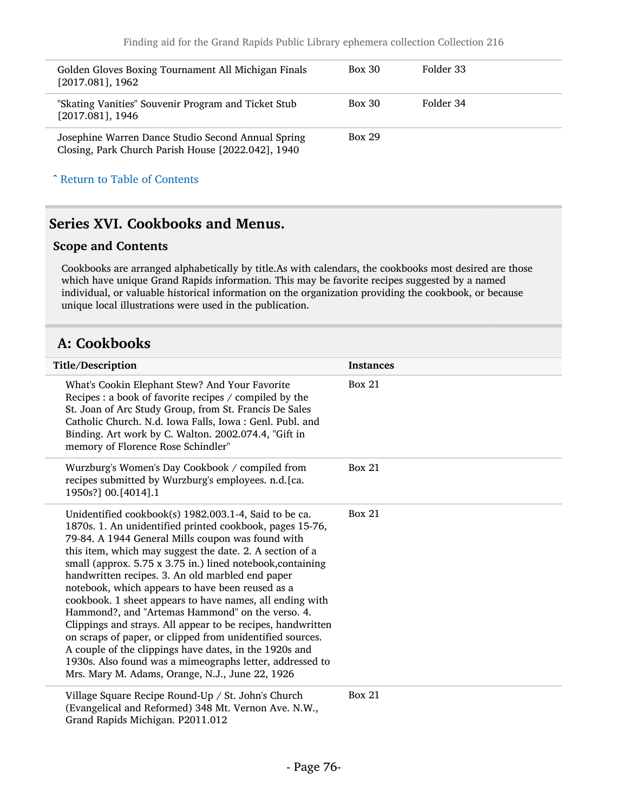| Golden Gloves Boxing Tournament All Michigan Finals<br>$[2017.081]$ , 1962                               | <b>Box 30</b> | Folder 33 |
|----------------------------------------------------------------------------------------------------------|---------------|-----------|
| "Skating Vanities" Souvenir Program and Ticket Stub<br>$[2017.081]$ , 1946                               | <b>Box 30</b> | Folder 34 |
| Josephine Warren Dance Studio Second Annual Spring<br>Closing, Park Church Parish House [2022.042], 1940 | <b>Box 29</b> |           |

## Series XVI. Cookbooks and Menus.

#### Scope and Contents

Cookbooks are arranged alphabetically by title.As with calendars, the cookbooks most desired are those which have unique Grand Rapids information. This may be favorite recipes suggested by a named individual, or valuable historical information on the organization providing the cookbook, or because unique local illustrations were used in the publication.

### A: Cookbooks

| Title/Description                                                                                                                                                                                                                                                                                                                                                                                                                                                                                                                                                                                                                                                                                                                                                                                                             | <b>Instances</b> |
|-------------------------------------------------------------------------------------------------------------------------------------------------------------------------------------------------------------------------------------------------------------------------------------------------------------------------------------------------------------------------------------------------------------------------------------------------------------------------------------------------------------------------------------------------------------------------------------------------------------------------------------------------------------------------------------------------------------------------------------------------------------------------------------------------------------------------------|------------------|
| What's Cookin Elephant Stew? And Your Favorite<br>Recipes : a book of favorite recipes / compiled by the<br>St. Joan of Arc Study Group, from St. Francis De Sales<br>Catholic Church. N.d. Iowa Falls, Iowa: Genl. Publ. and<br>Binding. Art work by C. Walton. 2002.074.4, "Gift in<br>memory of Florence Rose Schindler"                                                                                                                                                                                                                                                                                                                                                                                                                                                                                                   | <b>Box 21</b>    |
| Wurzburg's Women's Day Cookbook / compiled from<br>recipes submitted by Wurzburg's employees. n.d. [ca.<br>1950s?] 00.[4014].1                                                                                                                                                                                                                                                                                                                                                                                                                                                                                                                                                                                                                                                                                                | <b>Box 21</b>    |
| Unidentified cookbook(s) 1982.003.1-4, Said to be ca.<br>1870s. 1. An unidentified printed cookbook, pages 15-76,<br>79-84. A 1944 General Mills coupon was found with<br>this item, which may suggest the date. 2. A section of a<br>small (approx. 5.75 x 3.75 in.) lined notebook, containing<br>handwritten recipes. 3. An old marbled end paper<br>notebook, which appears to have been reused as a<br>cookbook. 1 sheet appears to have names, all ending with<br>Hammond?, and "Artemas Hammond" on the verso. 4.<br>Clippings and strays. All appear to be recipes, handwritten<br>on scraps of paper, or clipped from unidentified sources.<br>A couple of the clippings have dates, in the 1920s and<br>1930s. Also found was a mimeographs letter, addressed to<br>Mrs. Mary M. Adams, Orange, N.J., June 22, 1926 | Box 21           |
| Village Square Recipe Round-Up / St. John's Church<br>(Evangelical and Reformed) 348 Mt. Vernon Ave. N.W.,<br>Grand Rapids Michigan. P2011.012                                                                                                                                                                                                                                                                                                                                                                                                                                                                                                                                                                                                                                                                                | <b>Box 21</b>    |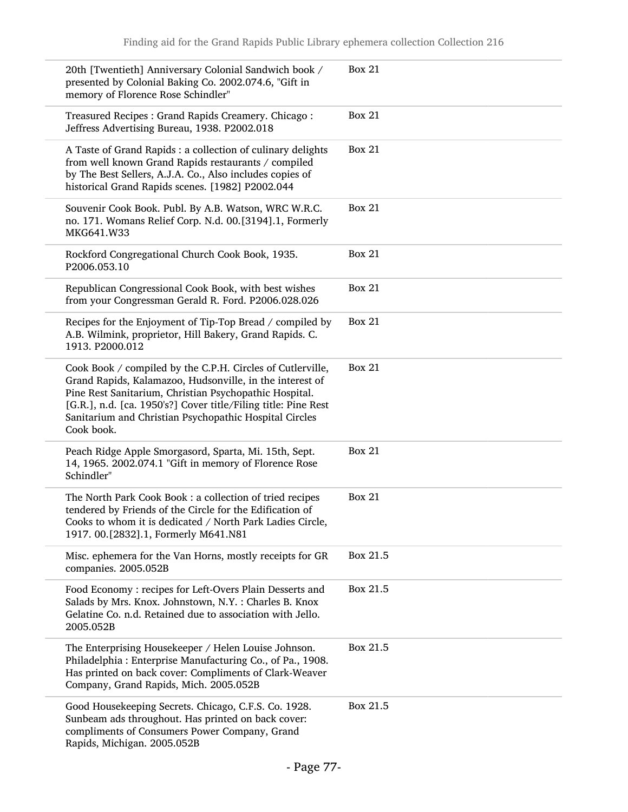| 20th [Twentieth] Anniversary Colonial Sandwich book /<br>presented by Colonial Baking Co. 2002.074.6, "Gift in<br>memory of Florence Rose Schindler"                                                                                                                                                                       | <b>Box 21</b> |
|----------------------------------------------------------------------------------------------------------------------------------------------------------------------------------------------------------------------------------------------------------------------------------------------------------------------------|---------------|
| Treasured Recipes : Grand Rapids Creamery. Chicago :<br>Jeffress Advertising Bureau, 1938. P2002.018                                                                                                                                                                                                                       | <b>Box 21</b> |
| A Taste of Grand Rapids : a collection of culinary delights<br>from well known Grand Rapids restaurants / compiled<br>by The Best Sellers, A.J.A. Co., Also includes copies of<br>historical Grand Rapids scenes. [1982] P2002.044                                                                                         | <b>Box 21</b> |
| Souvenir Cook Book. Publ. By A.B. Watson, WRC W.R.C.<br>no. 171. Womans Relief Corp. N.d. 00.[3194].1, Formerly<br>MKG641.W33                                                                                                                                                                                              | <b>Box 21</b> |
| Rockford Congregational Church Cook Book, 1935.<br>P2006.053.10                                                                                                                                                                                                                                                            | <b>Box 21</b> |
| Republican Congressional Cook Book, with best wishes<br>from your Congressman Gerald R. Ford. P2006.028.026                                                                                                                                                                                                                | <b>Box 21</b> |
| Recipes for the Enjoyment of Tip-Top Bread / compiled by<br>A.B. Wilmink, proprietor, Hill Bakery, Grand Rapids. C.<br>1913. P2000.012                                                                                                                                                                                     | <b>Box 21</b> |
| Cook Book / compiled by the C.P.H. Circles of Cutlerville,<br>Grand Rapids, Kalamazoo, Hudsonville, in the interest of<br>Pine Rest Sanitarium, Christian Psychopathic Hospital.<br>[G.R.], n.d. [ca. 1950's?] Cover title/Filing title: Pine Rest<br>Sanitarium and Christian Psychopathic Hospital Circles<br>Cook book. | <b>Box 21</b> |
| Peach Ridge Apple Smorgasord, Sparta, Mi. 15th, Sept.<br>14, 1965. 2002.074.1 "Gift in memory of Florence Rose<br>Schindler"                                                                                                                                                                                               | <b>Box 21</b> |
| The North Park Cook Book: a collection of tried recipes<br>tendered by Friends of the Circle for the Edification of<br>Cooks to whom it is dedicated / North Park Ladies Circle,<br>1917. 00.[2832].1, Formerly M641.N81                                                                                                   | <b>Box 21</b> |
| Misc. ephemera for the Van Horns, mostly receipts for GR<br>companies. 2005.052B                                                                                                                                                                                                                                           | Box 21.5      |
| Food Economy: recipes for Left-Overs Plain Desserts and<br>Salads by Mrs. Knox. Johnstown, N.Y. : Charles B. Knox<br>Gelatine Co. n.d. Retained due to association with Jello.<br>2005.052B                                                                                                                                | Box 21.5      |
| The Enterprising Housekeeper / Helen Louise Johnson.<br>Philadelphia: Enterprise Manufacturing Co., of Pa., 1908.<br>Has printed on back cover: Compliments of Clark-Weaver<br>Company, Grand Rapids, Mich. 2005.052B                                                                                                      | Box 21.5      |
| Good Housekeeping Secrets. Chicago, C.F.S. Co. 1928.<br>Sunbeam ads throughout. Has printed on back cover:<br>compliments of Consumers Power Company, Grand<br>Rapids, Michigan. 2005.052B                                                                                                                                 | Box 21.5      |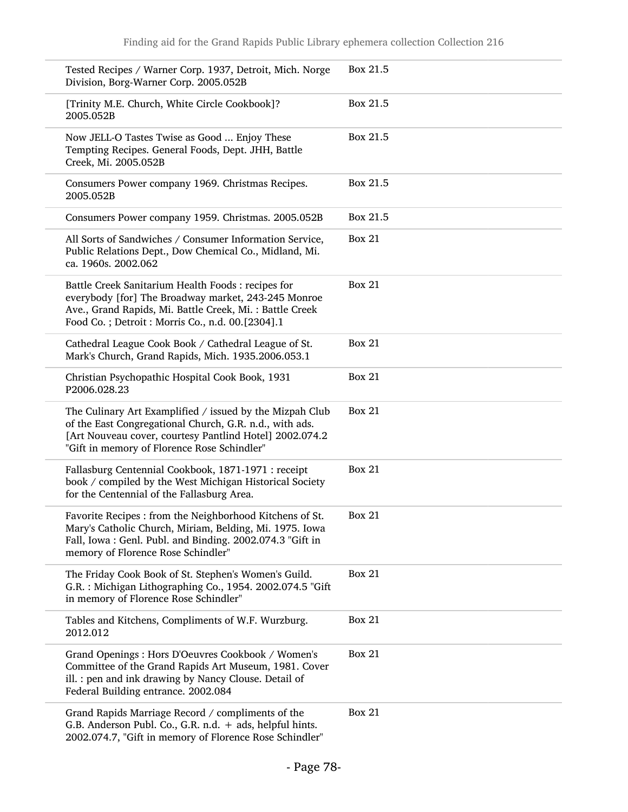| Tested Recipes / Warner Corp. 1937, Detroit, Mich. Norge<br>Division, Borg-Warner Corp. 2005.052B                                                                                                                             | Box 21.5      |
|-------------------------------------------------------------------------------------------------------------------------------------------------------------------------------------------------------------------------------|---------------|
| [Trinity M.E. Church, White Circle Cookbook]?<br>2005.052B                                                                                                                                                                    | Box 21.5      |
| Now JELL-O Tastes Twise as Good  Enjoy These<br>Tempting Recipes. General Foods, Dept. JHH, Battle<br>Creek, Mi. 2005.052B                                                                                                    | Box 21.5      |
| Consumers Power company 1969. Christmas Recipes.<br>2005.052B                                                                                                                                                                 | Box 21.5      |
| Consumers Power company 1959. Christmas. 2005.052B                                                                                                                                                                            | Box 21.5      |
| All Sorts of Sandwiches / Consumer Information Service,<br>Public Relations Dept., Dow Chemical Co., Midland, Mi.<br>ca. 1960s. 2002.062                                                                                      | <b>Box 21</b> |
| Battle Creek Sanitarium Health Foods: recipes for<br>everybody [for] The Broadway market, 243-245 Monroe<br>Ave., Grand Rapids, Mi. Battle Creek, Mi.: Battle Creek<br>Food Co.; Detroit: Morris Co., n.d. 00.[2304].1        | <b>Box 21</b> |
| Cathedral League Cook Book / Cathedral League of St.<br>Mark's Church, Grand Rapids, Mich. 1935.2006.053.1                                                                                                                    | <b>Box 21</b> |
| Christian Psychopathic Hospital Cook Book, 1931<br>P2006.028.23                                                                                                                                                               | <b>Box 21</b> |
| The Culinary Art Examplified / issued by the Mizpah Club<br>of the East Congregational Church, G.R. n.d., with ads.<br>[Art Nouveau cover, courtesy Pantlind Hotel] 2002.074.2<br>"Gift in memory of Florence Rose Schindler" | <b>Box 21</b> |
| Fallasburg Centennial Cookbook, 1871-1971 : receipt<br>book / compiled by the West Michigan Historical Society<br>for the Centennial of the Fallasburg Area.                                                                  | <b>Box 21</b> |
| Favorite Recipes: from the Neighborhood Kitchens of St.<br>Mary's Catholic Church, Miriam, Belding, Mi. 1975. Iowa<br>Fall, Iowa: Genl. Publ. and Binding. 2002.074.3 "Gift in<br>memory of Florence Rose Schindler"          | <b>Box 21</b> |
| The Friday Cook Book of St. Stephen's Women's Guild.<br>G.R.: Michigan Lithographing Co., 1954. 2002.074.5 "Gift<br>in memory of Florence Rose Schindler"                                                                     | <b>Box 21</b> |
| Tables and Kitchens, Compliments of W.F. Wurzburg.<br>2012.012                                                                                                                                                                | <b>Box 21</b> |
| Grand Openings: Hors D'Oeuvres Cookbook / Women's<br>Committee of the Grand Rapids Art Museum, 1981. Cover<br>ill. : pen and ink drawing by Nancy Clouse. Detail of<br>Federal Building entrance. 2002.084                    | Box 21        |
| Grand Rapids Marriage Record / compliments of the<br>G.B. Anderson Publ. Co., G.R. n.d. + ads, helpful hints.<br>2002.074.7, "Gift in memory of Florence Rose Schindler"                                                      | <b>Box 21</b> |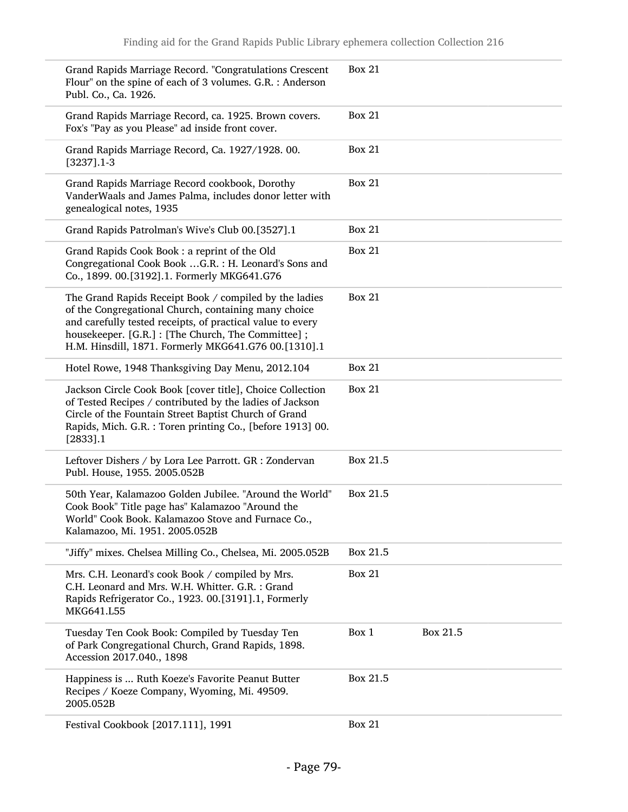| Grand Rapids Marriage Record. "Congratulations Crescent<br>Flour" on the spine of each of 3 volumes. G.R. : Anderson<br>Publ. Co., Ca. 1926.                                                                                                                                                | <b>Box 21</b> |          |
|---------------------------------------------------------------------------------------------------------------------------------------------------------------------------------------------------------------------------------------------------------------------------------------------|---------------|----------|
| Grand Rapids Marriage Record, ca. 1925. Brown covers.<br>Fox's "Pay as you Please" ad inside front cover.                                                                                                                                                                                   | <b>Box 21</b> |          |
| Grand Rapids Marriage Record, Ca. 1927/1928. 00.<br>$[3237]$ .1-3                                                                                                                                                                                                                           | <b>Box 21</b> |          |
| Grand Rapids Marriage Record cookbook, Dorothy<br>VanderWaals and James Palma, includes donor letter with<br>genealogical notes, 1935                                                                                                                                                       | <b>Box 21</b> |          |
| Grand Rapids Patrolman's Wive's Club 00.[3527].1                                                                                                                                                                                                                                            | <b>Box 21</b> |          |
| Grand Rapids Cook Book: a reprint of the Old<br>Congregational Cook Book G.R. : H. Leonard's Sons and<br>Co., 1899. 00.[3192].1. Formerly MKG641.G76                                                                                                                                        | <b>Box 21</b> |          |
| The Grand Rapids Receipt Book / compiled by the ladies<br>of the Congregational Church, containing many choice<br>and carefully tested receipts, of practical value to every<br>housekeeper. [G.R.] : [The Church, The Committee] ;<br>H.M. Hinsdill, 1871. Formerly MKG641.G76 00.[1310].1 | <b>Box 21</b> |          |
| Hotel Rowe, 1948 Thanksgiving Day Menu, 2012.104                                                                                                                                                                                                                                            | <b>Box 21</b> |          |
| Jackson Circle Cook Book [cover title], Choice Collection<br>of Tested Recipes / contributed by the ladies of Jackson<br>Circle of the Fountain Street Baptist Church of Grand<br>Rapids, Mich. G.R. : Toren printing Co., [before 1913] 00.<br>[2833].1                                    | <b>Box 21</b> |          |
| Leftover Dishers / by Lora Lee Parrott. GR : Zondervan<br>Publ. House, 1955. 2005.052B                                                                                                                                                                                                      | Box 21.5      |          |
| 50th Year, Kalamazoo Golden Jubilee. "Around the World"<br>Cook Book" Title page has" Kalamazoo "Around the<br>World" Cook Book. Kalamazoo Stove and Furnace Co.<br>Kalamazoo, Mi. 1951. 2005.052B                                                                                          | Box 21.5      |          |
| "Jiffy" mixes. Chelsea Milling Co., Chelsea, Mi. 2005.052B                                                                                                                                                                                                                                  | Box 21.5      |          |
| Mrs. C.H. Leonard's cook Book / compiled by Mrs.<br>C.H. Leonard and Mrs. W.H. Whitter. G.R. : Grand<br>Rapids Refrigerator Co., 1923. 00.[3191].1, Formerly<br>MKG641.L55                                                                                                                  | <b>Box 21</b> |          |
| Tuesday Ten Cook Book: Compiled by Tuesday Ten<br>of Park Congregational Church, Grand Rapids, 1898.<br>Accession 2017.040., 1898                                                                                                                                                           | Box 1         | Box 21.5 |
| Happiness is  Ruth Koeze's Favorite Peanut Butter<br>Recipes / Koeze Company, Wyoming, Mi. 49509.<br>2005.052B                                                                                                                                                                              | Box 21.5      |          |
| Festival Cookbook [2017.111], 1991                                                                                                                                                                                                                                                          | <b>Box 21</b> |          |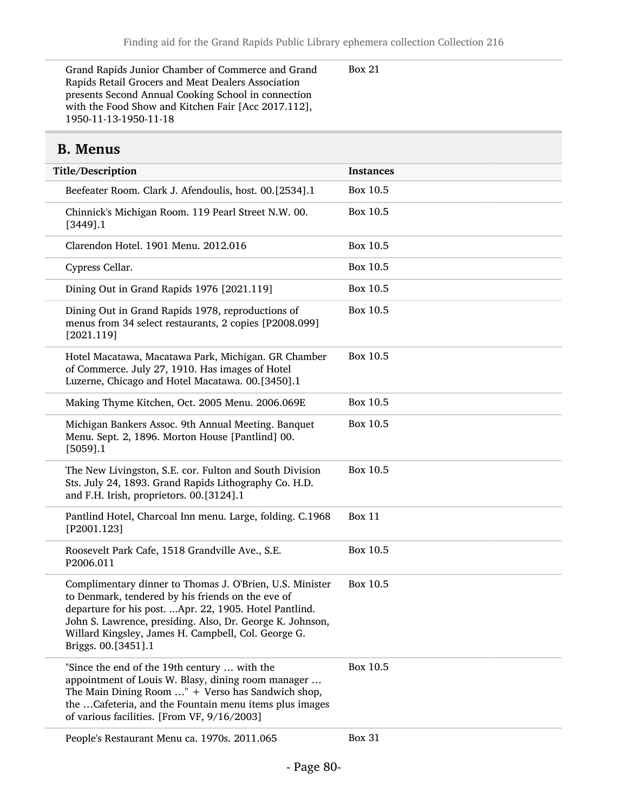Grand Rapids Junior Chamber of Commerce and Grand Rapids Retail Grocers and Meat Dealers Association presents Second Annual Cooking School in connection with the Food Show and Kitchen Fair [Acc 2017.112], 1950-11-13-1950-11-18 Box 21

### B. Menus

| Title/Description                                                                                                                                                                                                                                                                                                   | <b>Instances</b> |
|---------------------------------------------------------------------------------------------------------------------------------------------------------------------------------------------------------------------------------------------------------------------------------------------------------------------|------------------|
| Beefeater Room. Clark J. Afendoulis, host. 00.[2534].1                                                                                                                                                                                                                                                              | Box 10.5         |
| Chinnick's Michigan Room. 119 Pearl Street N.W. 00.<br>$[3449]$ .1                                                                                                                                                                                                                                                  | Box 10.5         |
| Clarendon Hotel. 1901 Menu. 2012.016                                                                                                                                                                                                                                                                                | Box 10.5         |
| Cypress Cellar.                                                                                                                                                                                                                                                                                                     | Box 10.5         |
| Dining Out in Grand Rapids 1976 [2021.119]                                                                                                                                                                                                                                                                          | Box 10.5         |
| Dining Out in Grand Rapids 1978, reproductions of<br>menus from 34 select restaurants, 2 copies [P2008.099]<br>[2021.119]                                                                                                                                                                                           | Box 10.5         |
| Hotel Macatawa, Macatawa Park, Michigan. GR Chamber<br>of Commerce. July 27, 1910. Has images of Hotel<br>Luzerne, Chicago and Hotel Macatawa. 00.[3450].1                                                                                                                                                          | Box 10.5         |
| Making Thyme Kitchen, Oct. 2005 Menu. 2006.069E                                                                                                                                                                                                                                                                     | Box 10.5         |
| Michigan Bankers Assoc. 9th Annual Meeting. Banquet<br>Menu. Sept. 2, 1896. Morton House [Pantlind] 00.<br>[5059].1                                                                                                                                                                                                 | Box 10.5         |
| The New Livingston, S.E. cor. Fulton and South Division<br>Sts. July 24, 1893. Grand Rapids Lithography Co. H.D.<br>and F.H. Irish, proprietors. 00.[3124].1                                                                                                                                                        | Box 10.5         |
| Pantlind Hotel, Charcoal Inn menu. Large, folding. C.1968<br>[P2001.123]                                                                                                                                                                                                                                            | <b>Box 11</b>    |
| Roosevelt Park Cafe, 1518 Grandville Ave., S.E.<br>P2006.011                                                                                                                                                                                                                                                        | Box 10.5         |
| Complimentary dinner to Thomas J. O'Brien, U.S. Minister<br>to Denmark, tendered by his friends on the eve of<br>departure for his post.  Apr. 22, 1905. Hotel Pantlind.<br>John S. Lawrence, presiding. Also, Dr. George K. Johnson,<br>Willard Kingsley, James H. Campbell, Col. George G.<br>Briggs. 00.[3451].1 | Box 10.5         |
| "Since the end of the 19th century  with the<br>appointment of Louis W. Blasy, dining room manager<br>The Main Dining Room " $+$ Verso has Sandwich shop,<br>the Cafeteria, and the Fountain menu items plus images<br>of various facilities. [From VF, 9/16/2003]                                                  | Box 10.5         |
| People's Restaurant Menu ca. 1970s. 2011.065                                                                                                                                                                                                                                                                        | <b>Box 31</b>    |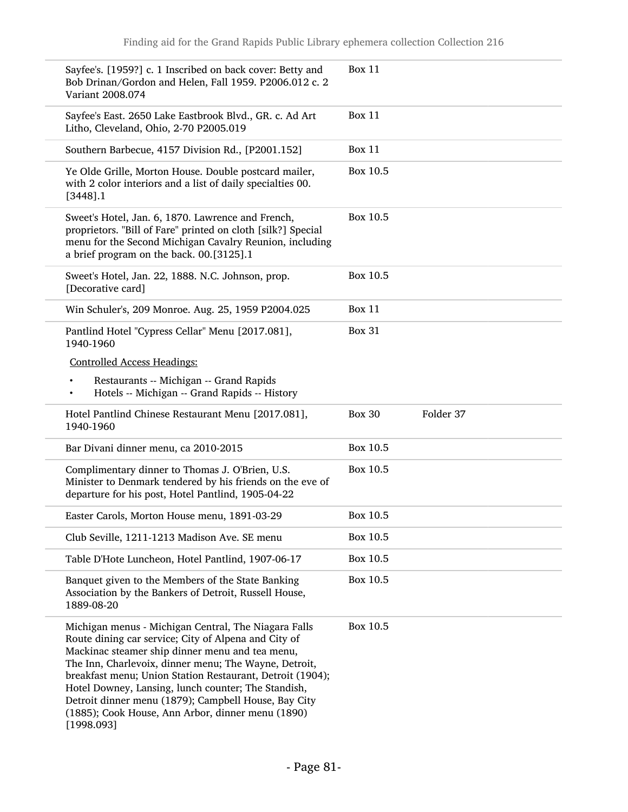| Sayfee's. [1959?] c. 1 Inscribed on back cover: Betty and<br>Bob Drinan/Gordon and Helen, Fall 1959. P2006.012 c. 2<br>Variant 2008.074                                                                                  | <b>Box 11</b> |           |
|--------------------------------------------------------------------------------------------------------------------------------------------------------------------------------------------------------------------------|---------------|-----------|
| Sayfee's East. 2650 Lake Eastbrook Blvd., GR. c. Ad Art<br>Litho, Cleveland, Ohio, 2-70 P2005.019                                                                                                                        | <b>Box 11</b> |           |
| Southern Barbecue, 4157 Division Rd., [P2001.152]                                                                                                                                                                        | <b>Box 11</b> |           |
| Ye Olde Grille, Morton House. Double postcard mailer,<br>with 2 color interiors and a list of daily specialties 00.<br>$[3448]$ .1                                                                                       | Box 10.5      |           |
| Sweet's Hotel, Jan. 6, 1870. Lawrence and French,<br>proprietors. "Bill of Fare" printed on cloth [silk?] Special<br>menu for the Second Michigan Cavalry Reunion, including<br>a brief program on the back. 00.[3125].1 | Box 10.5      |           |
| Sweet's Hotel, Jan. 22, 1888. N.C. Johnson, prop.<br>[Decorative card]                                                                                                                                                   | Box 10.5      |           |
| Win Schuler's, 209 Monroe. Aug. 25, 1959 P2004.025                                                                                                                                                                       | <b>Box 11</b> |           |
| Pantlind Hotel "Cypress Cellar" Menu [2017.081],<br>1940-1960                                                                                                                                                            | <b>Box 31</b> |           |
| <b>Controlled Access Headings:</b>                                                                                                                                                                                       |               |           |
| Restaurants -- Michigan -- Grand Rapids<br>Hotels -- Michigan -- Grand Rapids -- History<br>٠                                                                                                                            |               |           |
|                                                                                                                                                                                                                          |               |           |
| Hotel Pantlind Chinese Restaurant Menu [2017.081],<br>1940-1960                                                                                                                                                          | <b>Box 30</b> | Folder 37 |
| Bar Divani dinner menu, ca 2010-2015                                                                                                                                                                                     | Box 10.5      |           |
| Complimentary dinner to Thomas J. O'Brien, U.S.<br>Minister to Denmark tendered by his friends on the eve of<br>departure for his post, Hotel Pantlind, 1905-04-22                                                       | Box 10.5      |           |
| Easter Carols, Morton House menu, 1891-03-29                                                                                                                                                                             | Box 10.5      |           |
| Club Seville, 1211-1213 Madison Ave. SE menu                                                                                                                                                                             | Box 10.5      |           |
| Table D'Hote Luncheon, Hotel Pantlind, 1907-06-17                                                                                                                                                                        | Box 10.5      |           |
| Banquet given to the Members of the State Banking<br>Association by the Bankers of Detroit, Russell House,<br>1889-08-20                                                                                                 | Box 10.5      |           |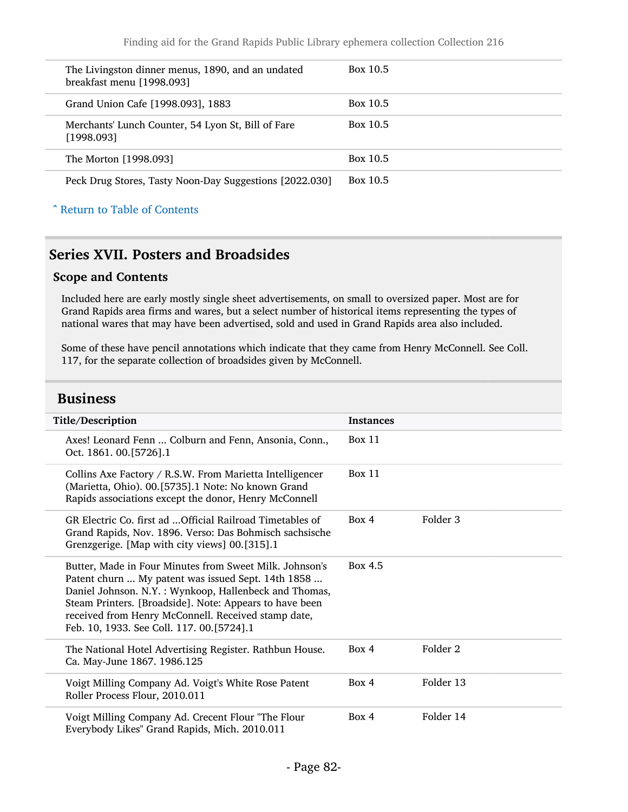| The Livingston dinner menus, 1890, and an undated<br>breakfast menu [1998.093] | Box 10.5 |
|--------------------------------------------------------------------------------|----------|
| Grand Union Cafe [1998.093], 1883                                              | Box 10.5 |
| Merchants' Lunch Counter, 54 Lyon St, Bill of Fare<br>[1998.093]               | Box 10.5 |
| The Morton [1998.093]                                                          | Box 10.5 |
| Peck Drug Stores, Tasty Noon-Day Suggestions [2022.030]                        | Box 10.5 |

## Series XVII. Posters and Broadsides

#### Scope and Contents

Included here are early mostly single sheet advertisements, on small to oversized paper. Most are for Grand Rapids area firms and wares, but a select number of historical items representing the types of national wares that may have been advertised, sold and used in Grand Rapids area also included.

Some of these have pencil annotations which indicate that they came from Henry McConnell. See Coll. 117, for the separate collection of broadsides given by McConnell.

#### Business

| Title/Description                                                                                                                                                                                                                                                                                                                     | <b>Instances</b> |           |
|---------------------------------------------------------------------------------------------------------------------------------------------------------------------------------------------------------------------------------------------------------------------------------------------------------------------------------------|------------------|-----------|
| Axes! Leonard Fenn  Colburn and Fenn, Ansonia, Conn.,<br>Oct. 1861. 00.[5726].1                                                                                                                                                                                                                                                       | <b>Box 11</b>    |           |
| Collins Axe Factory / R.S.W. From Marietta Intelligencer<br>(Marietta, Ohio). 00.[5735].1 Note: No known Grand<br>Rapids associations except the donor, Henry McConnell                                                                                                                                                               | Box 11           |           |
| GR Electric Co. first ad  Official Railroad Timetables of<br>Grand Rapids, Nov. 1896. Verso: Das Bohmisch sachsische<br>Grenzgerige. [Map with city views] 00.[315].1                                                                                                                                                                 | Box 4            | Folder 3  |
| Butter, Made in Four Minutes from Sweet Milk. Johnson's<br>Patent churn  My patent was issued Sept. 14th 1858<br>Daniel Johnson. N.Y.: Wynkoop, Hallenbeck and Thomas,<br>Steam Printers. [Broadside]. Note: Appears to have been<br>received from Henry McConnell. Received stamp date,<br>Feb. 10, 1933. See Coll. 117. 00.[5724].1 | Box 4.5          |           |
| The National Hotel Advertising Register. Rathbun House.<br>Ca. May-June 1867. 1986.125                                                                                                                                                                                                                                                | Box 4            | Folder 2  |
| Voigt Milling Company Ad. Voigt's White Rose Patent<br>Roller Process Flour, 2010.011                                                                                                                                                                                                                                                 | Box 4            | Folder 13 |
| Voigt Milling Company Ad. Crecent Flour "The Flour<br>Everybody Likes" Grand Rapids, Mich. 2010.011                                                                                                                                                                                                                                   | Box 4            | Folder 14 |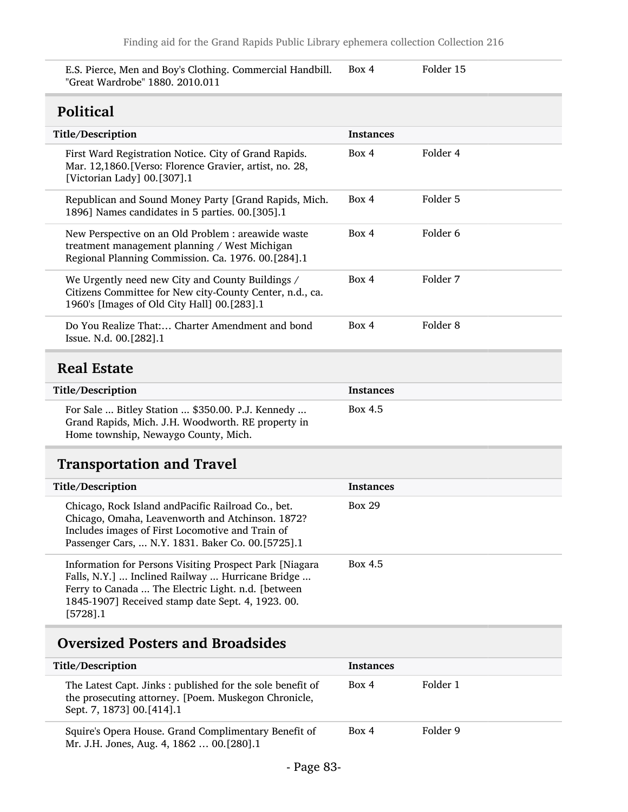E.S. Pierce, Men and Boy's Clothing. Commercial Handbill. "Great Wardrobe" 1880. 2010.011 Box 4 Folder 15

# Political

| r un ucal                                                                                                                                                                                                                              |                  |                     |
|----------------------------------------------------------------------------------------------------------------------------------------------------------------------------------------------------------------------------------------|------------------|---------------------|
| Title/Description                                                                                                                                                                                                                      | <b>Instances</b> |                     |
| First Ward Registration Notice. City of Grand Rapids.<br>Mar. 12,1860. [Verso: Florence Gravier, artist, no. 28,<br>[Victorian Lady] 00.[307].1                                                                                        | Box 4            | Folder 4            |
| Republican and Sound Money Party [Grand Rapids, Mich.<br>1896] Names candidates in 5 parties. 00.[305].1                                                                                                                               | Box 4            | Folder 5            |
| New Perspective on an Old Problem : areawide waste<br>treatment management planning / West Michigan<br>Regional Planning Commission. Ca. 1976. 00.[284].1                                                                              | Box 4            | Folder <sub>6</sub> |
| We Urgently need new City and County Buildings /<br>Citizens Committee for New city-County Center, n.d., ca.<br>1960's [Images of Old City Hall] 00.[283].1                                                                            | Box 4            | Folder 7            |
| Do You Realize That: Charter Amendment and bond<br>Issue. N.d. 00.[282].1                                                                                                                                                              | Box 4            | Folder <sub>8</sub> |
| <b>Real Estate</b>                                                                                                                                                                                                                     |                  |                     |
| Title/Description                                                                                                                                                                                                                      | <b>Instances</b> |                     |
| For Sale  Bitley Station  \$350.00. P.J. Kennedy<br>Grand Rapids, Mich. J.H. Woodworth. RE property in<br>Home township, Newaygo County, Mich.                                                                                         | Box 4.5          |                     |
| <b>Transportation and Travel</b>                                                                                                                                                                                                       |                  |                     |
| Title/Description                                                                                                                                                                                                                      | <b>Instances</b> |                     |
| Chicago, Rock Island andPacific Railroad Co., bet.<br>Chicago, Omaha, Leavenworth and Atchinson. 1872?<br>Includes images of First Locomotive and Train of<br>Passenger Cars,  N.Y. 1831. Baker Co. 00.[5725].1                        | <b>Box 29</b>    |                     |
| Information for Persons Visiting Prospect Park [Niagara]<br>Falls, N.Y.]  Inclined Railway  Hurricane Bridge<br>Ferry to Canada  The Electric Light. n.d. [between<br>1845-1907] Received stamp date Sept. 4, 1923. 00.<br>$[5728]$ .1 | Box 4.5          |                     |

## Oversized Posters and Broadsides

| Title/Description                                                                                                                              | <b>Instances</b> |          |
|------------------------------------------------------------------------------------------------------------------------------------------------|------------------|----------|
| The Latest Capt. Jinks: published for the sole benefit of<br>the prosecuting attorney. [Poem. Muskegon Chronicle,<br>Sept. 7, 1873] 00.[414].1 | Box 4            | Folder 1 |
| Squire's Opera House. Grand Complimentary Benefit of<br>Mr. J.H. Jones, Aug. 4, 1862  00.[280].1                                               | Box 4            | Folder 9 |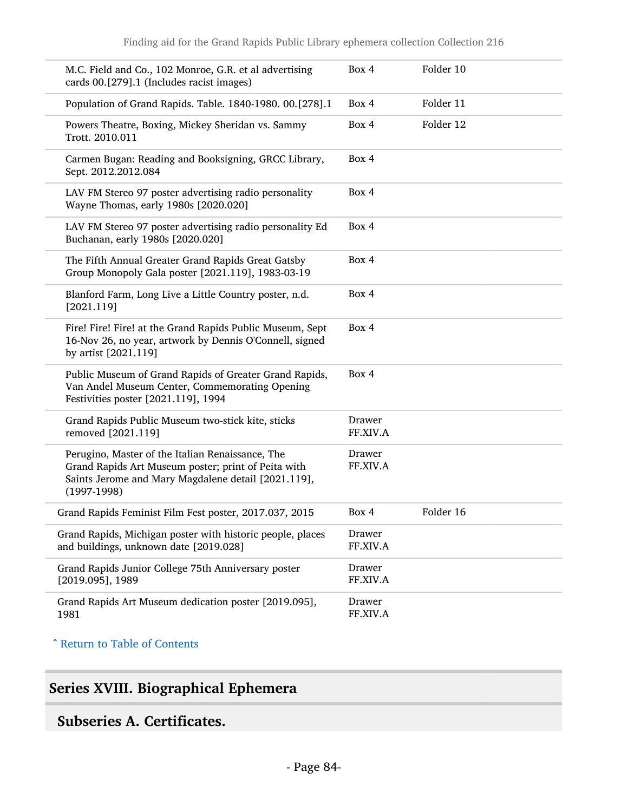| M.C. Field and Co., 102 Monroe, G.R. et al advertising<br>cards 00.[279].1 (Includes racist images)                                                                             | Box 4              | Folder 10 |
|---------------------------------------------------------------------------------------------------------------------------------------------------------------------------------|--------------------|-----------|
| Population of Grand Rapids. Table. 1840-1980. 00.[278].1                                                                                                                        | Box 4              | Folder 11 |
| Powers Theatre, Boxing, Mickey Sheridan vs. Sammy<br>Trott. 2010.011                                                                                                            | Box 4              | Folder 12 |
| Carmen Bugan: Reading and Booksigning, GRCC Library,<br>Sept. 2012.2012.084                                                                                                     | Box 4              |           |
| LAV FM Stereo 97 poster advertising radio personality<br>Wayne Thomas, early 1980s [2020.020]                                                                                   | Box 4              |           |
| LAV FM Stereo 97 poster advertising radio personality Ed<br>Buchanan, early 1980s [2020.020]                                                                                    | Box 4              |           |
| The Fifth Annual Greater Grand Rapids Great Gatsby<br>Group Monopoly Gala poster [2021.119], 1983-03-19                                                                         | Box 4              |           |
| Blanford Farm, Long Live a Little Country poster, n.d.<br>[2021.119]                                                                                                            | Box 4              |           |
| Fire! Fire! Fire! at the Grand Rapids Public Museum, Sept<br>16-Nov 26, no year, artwork by Dennis O'Connell, signed<br>by artist [2021.119]                                    | Box 4              |           |
| Public Museum of Grand Rapids of Greater Grand Rapids,<br>Van Andel Museum Center, Commemorating Opening<br>Festivities poster [2021.119], 1994                                 | Box 4              |           |
| Grand Rapids Public Museum two-stick kite, sticks<br>removed [2021.119]                                                                                                         | Drawer<br>FF.XIV.A |           |
| Perugino, Master of the Italian Renaissance, The<br>Grand Rapids Art Museum poster; print of Peita with<br>Saints Jerome and Mary Magdalene detail [2021.119],<br>$(1997-1998)$ | Drawer<br>FF.XIV.A |           |
| Grand Rapids Feminist Film Fest poster, 2017.037, 2015                                                                                                                          | Box 4              | Folder 16 |
| Grand Rapids, Michigan poster with historic people, places<br>and buildings, unknown date [2019.028]                                                                            | Drawer<br>FF.XIV.A |           |
| Grand Rapids Junior College 75th Anniversary poster<br>[2019.095], 1989                                                                                                         | Drawer<br>FF.XIV.A |           |
| Grand Rapids Art Museum dedication poster [2019.095],<br>1981                                                                                                                   | Drawer<br>FF.XIV.A |           |

# Series XVIII. Biographical Ephemera

Subseries A. Certificates.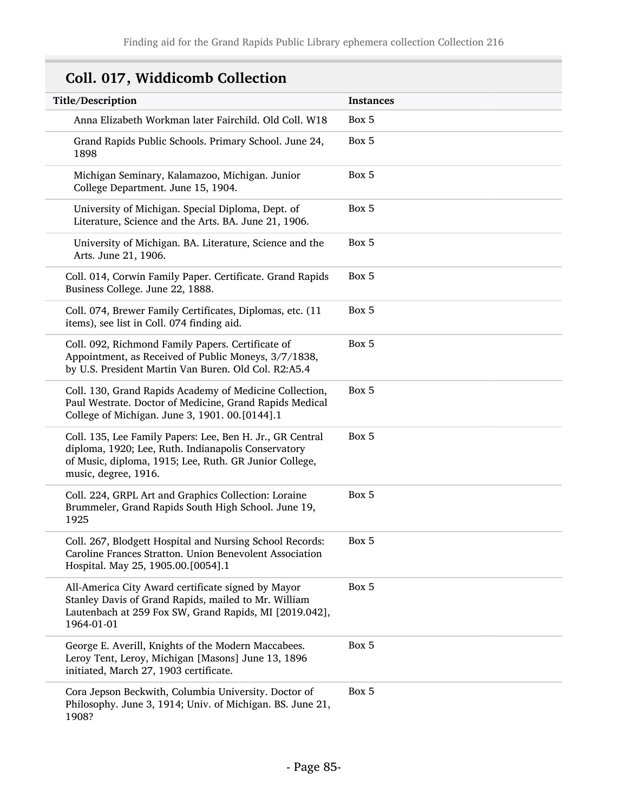# Coll. 017, Widdicomb Collection

| Title/Description                                                                                                                                                                                  | <b>Instances</b> |
|----------------------------------------------------------------------------------------------------------------------------------------------------------------------------------------------------|------------------|
| Anna Elizabeth Workman later Fairchild. Old Coll. W18                                                                                                                                              | Box 5            |
| Grand Rapids Public Schools. Primary School. June 24,<br>1898                                                                                                                                      | Box 5            |
| Michigan Seminary, Kalamazoo, Michigan. Junior<br>College Department. June 15, 1904.                                                                                                               | Box 5            |
| University of Michigan. Special Diploma, Dept. of<br>Literature, Science and the Arts. BA. June 21, 1906.                                                                                          | Box 5            |
| University of Michigan. BA. Literature, Science and the<br>Arts. June 21, 1906.                                                                                                                    | Box 5            |
| Coll. 014, Corwin Family Paper. Certificate. Grand Rapids<br>Business College. June 22, 1888.                                                                                                      | Box 5            |
| Coll. 074, Brewer Family Certificates, Diplomas, etc. (11<br>items), see list in Coll. 074 finding aid.                                                                                            | Box 5            |
| Coll. 092, Richmond Family Papers. Certificate of<br>Appointment, as Received of Public Moneys, 3/7/1838,<br>by U.S. President Martin Van Buren. Old Col. R2:A5.4                                  | Box 5            |
| Coll. 130, Grand Rapids Academy of Medicine Collection,<br>Paul Westrate. Doctor of Medicine, Grand Rapids Medical<br>College of Michigan. June 3, 1901. 00.[0144].1                               | Box 5            |
| Coll. 135, Lee Family Papers: Lee, Ben H. Jr., GR Central<br>diploma, 1920; Lee, Ruth. Indianapolis Conservatory<br>of Music, diploma, 1915; Lee, Ruth. GR Junior College,<br>music, degree, 1916. | Box 5            |
| Coll. 224, GRPL Art and Graphics Collection: Loraine<br>Brummeler, Grand Rapids South High School. June 19,<br>1925                                                                                | Box 5            |
| Coll. 267, Blodgett Hospital and Nursing School Records:<br>Caroline Frances Stratton. Union Benevolent Association<br>Hospital. May 25, 1905.00.[0054].1                                          | Box 5            |
| All-America City Award certificate signed by Mayor<br>Stanley Davis of Grand Rapids, mailed to Mr. William<br>Lautenbach at 259 Fox SW, Grand Rapids, MI [2019.042],<br>1964-01-01                 | Box 5            |
| George E. Averill, Knights of the Modern Maccabees.<br>Leroy Tent, Leroy, Michigan [Masons] June 13, 1896<br>initiated, March 27, 1903 certificate.                                                | Box 5            |
| Cora Jepson Beckwith, Columbia University. Doctor of<br>Philosophy. June 3, 1914; Univ. of Michigan. BS. June 21,<br>1908?                                                                         | Box 5            |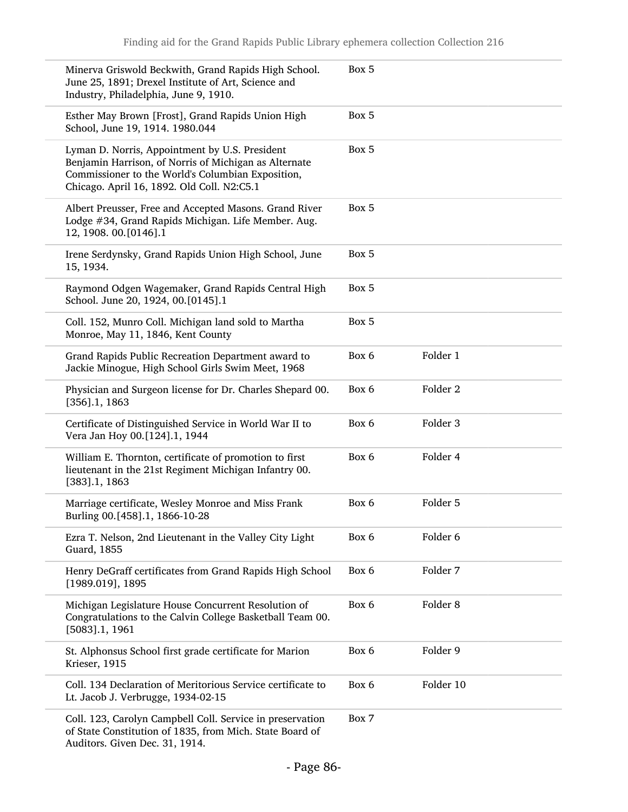| Minerva Griswold Beckwith, Grand Rapids High School.<br>June 25, 1891; Drexel Institute of Art, Science and<br>Industry, Philadelphia, June 9, 1910.                                                       | Box 5 |                     |
|------------------------------------------------------------------------------------------------------------------------------------------------------------------------------------------------------------|-------|---------------------|
| Esther May Brown [Frost], Grand Rapids Union High<br>School, June 19, 1914. 1980.044                                                                                                                       | Box 5 |                     |
| Lyman D. Norris, Appointment by U.S. President<br>Benjamin Harrison, of Norris of Michigan as Alternate<br>Commissioner to the World's Columbian Exposition,<br>Chicago. April 16, 1892. Old Coll. N2:C5.1 | Box 5 |                     |
| Albert Preusser, Free and Accepted Masons. Grand River<br>Lodge #34, Grand Rapids Michigan. Life Member. Aug.<br>12, 1908. 00. [0146]. 1                                                                   | Box 5 |                     |
| Irene Serdynsky, Grand Rapids Union High School, June<br>15, 1934.                                                                                                                                         | Box 5 |                     |
| Raymond Odgen Wagemaker, Grand Rapids Central High<br>School. June 20, 1924, 00.[0145].1                                                                                                                   | Box 5 |                     |
| Coll. 152, Munro Coll. Michigan land sold to Martha<br>Monroe, May 11, 1846, Kent County                                                                                                                   | Box 5 |                     |
| Grand Rapids Public Recreation Department award to<br>Jackie Minogue, High School Girls Swim Meet, 1968                                                                                                    | Box 6 | Folder 1            |
| Physician and Surgeon license for Dr. Charles Shepard 00.<br>$[356]$ .1, 1863                                                                                                                              | Box 6 | Folder 2            |
| Certificate of Distinguished Service in World War II to<br>Vera Jan Hoy 00.[124].1, 1944                                                                                                                   | Box 6 | Folder 3            |
| William E. Thornton, certificate of promotion to first<br>lieutenant in the 21st Regiment Michigan Infantry 00.<br>$[383]$ .1, 1863                                                                        | Box 6 | Folder 4            |
| Marriage certificate, Wesley Monroe and Miss Frank<br>Burling 00.[458].1, 1866-10-28                                                                                                                       | Box 6 | Folder 5            |
| Ezra T. Nelson, 2nd Lieutenant in the Valley City Light<br><b>Guard</b> , 1855                                                                                                                             | Box 6 | Folder 6            |
| Henry DeGraff certificates from Grand Rapids High School<br>$[1989.019]$ , 1895                                                                                                                            | Box 6 | Folder 7            |
| Michigan Legislature House Concurrent Resolution of<br>Congratulations to the Calvin College Basketball Team 00.<br>[5083].1, 1961                                                                         | Box 6 | Folder <sub>8</sub> |
| St. Alphonsus School first grade certificate for Marion<br>Krieser, 1915                                                                                                                                   | Box 6 | Folder 9            |
| Coll. 134 Declaration of Meritorious Service certificate to<br>Lt. Jacob J. Verbrugge, 1934-02-15                                                                                                          | Box 6 | Folder 10           |
| Coll. 123, Carolyn Campbell Coll. Service in preservation<br>of State Constitution of 1835, from Mich. State Board of<br>Auditors. Given Dec. 31, 1914.                                                    | Box 7 |                     |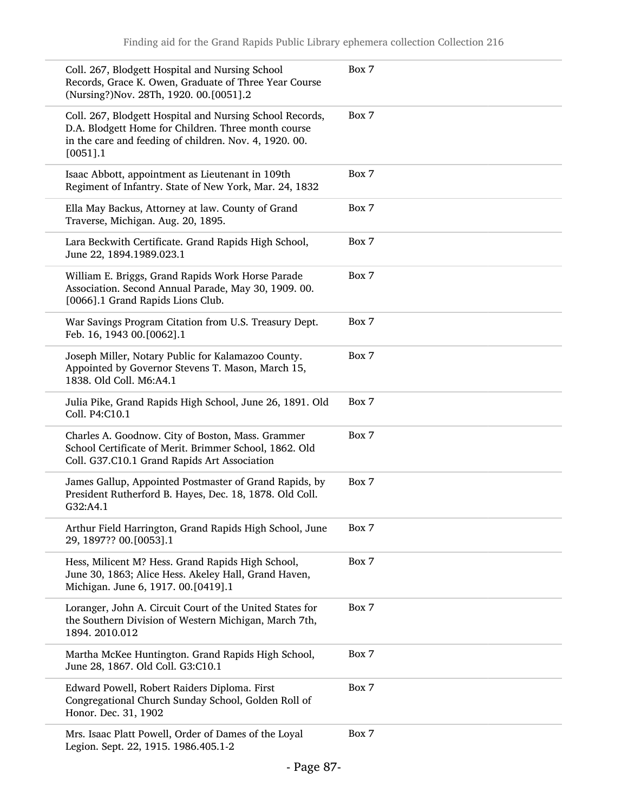| Coll. 267, Blodgett Hospital and Nursing School<br>Records, Grace K. Owen, Graduate of Three Year Course<br>(Nursing?) Nov. 28Th, 1920. 00. [0051].2                                     | Box 7 |
|------------------------------------------------------------------------------------------------------------------------------------------------------------------------------------------|-------|
| Coll. 267, Blodgett Hospital and Nursing School Records,<br>D.A. Blodgett Home for Children. Three month course<br>in the care and feeding of children. Nov. 4, 1920. 00.<br>$[0051]$ .1 | Box 7 |
| Isaac Abbott, appointment as Lieutenant in 109th<br>Regiment of Infantry. State of New York, Mar. 24, 1832                                                                               | Box 7 |
| Ella May Backus, Attorney at law. County of Grand<br>Traverse, Michigan. Aug. 20, 1895.                                                                                                  | Box 7 |
| Lara Beckwith Certificate. Grand Rapids High School,<br>June 22, 1894.1989.023.1                                                                                                         | Box 7 |
| William E. Briggs, Grand Rapids Work Horse Parade<br>Association. Second Annual Parade, May 30, 1909. 00.<br>[0066].1 Grand Rapids Lions Club.                                           | Box 7 |
| War Savings Program Citation from U.S. Treasury Dept.<br>Feb. 16, 1943 00.[0062].1                                                                                                       | Box 7 |
| Joseph Miller, Notary Public for Kalamazoo County.<br>Appointed by Governor Stevens T. Mason, March 15,<br>1838. Old Coll. M6:A4.1                                                       | Box 7 |
| Julia Pike, Grand Rapids High School, June 26, 1891. Old<br>Coll. P4:C10.1                                                                                                               | Box 7 |
| Charles A. Goodnow. City of Boston, Mass. Grammer<br>School Certificate of Merit. Brimmer School, 1862. Old<br>Coll. G37.C10.1 Grand Rapids Art Association                              | Box 7 |
| James Gallup, Appointed Postmaster of Grand Rapids, by<br>President Rutherford B. Hayes, Dec. 18, 1878. Old Coll.<br>G32:A4.1                                                            | Box 7 |
| Arthur Field Harrington, Grand Rapids High School, June<br>29, 1897?? 00. [0053]. 1                                                                                                      | Box 7 |
| Hess, Milicent M? Hess. Grand Rapids High School,<br>June 30, 1863; Alice Hess. Akeley Hall, Grand Haven,<br>Michigan. June 6, 1917. 00.[0419].1                                         | Box 7 |
| Loranger, John A. Circuit Court of the United States for<br>the Southern Division of Western Michigan, March 7th,<br>1894. 2010.012                                                      | Box 7 |
| Martha McKee Huntington. Grand Rapids High School,<br>June 28, 1867. Old Coll. G3:C10.1                                                                                                  | Box 7 |
| Edward Powell, Robert Raiders Diploma. First<br>Congregational Church Sunday School, Golden Roll of<br>Honor. Dec. 31, 1902                                                              | Box 7 |
| Mrs. Isaac Platt Powell, Order of Dames of the Loyal<br>Legion. Sept. 22, 1915. 1986.405.1-2                                                                                             | Box 7 |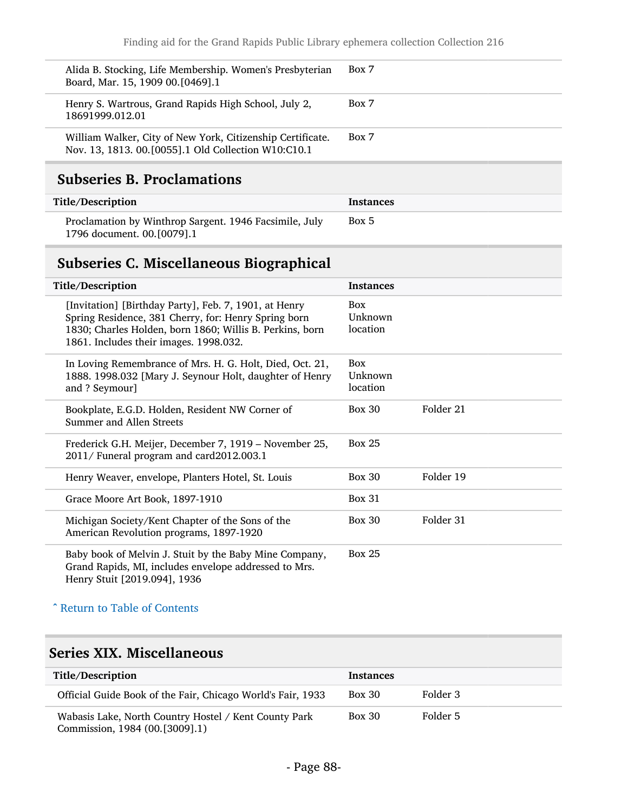| Alida B. Stocking, Life Membership. Women's Presbyterian<br>Board, Mar. 15, 1909 00. [0469].1                       | Box 7 |
|---------------------------------------------------------------------------------------------------------------------|-------|
| Henry S. Wartrous, Grand Rapids High School, July 2,<br>18691999.012.01                                             | Box 7 |
| William Walker, City of New York, Citizenship Certificate.<br>Nov. 13, 1813. 00. [0055]. 1 Old Collection W10:C10.1 | Box 7 |

# Subseries B. Proclamations

| Title/Description                                                                     | <b>Instances</b> |
|---------------------------------------------------------------------------------------|------------------|
| Proclamation by Winthrop Sargent. 1946 Facsimile, July<br>1796 document. 00. [0079].1 | Box 5            |

# Subseries C. Miscellaneous Biographical

| Title/Description                                                                                                                                                                                                   | <b>Instances</b>                  |           |
|---------------------------------------------------------------------------------------------------------------------------------------------------------------------------------------------------------------------|-----------------------------------|-----------|
| [Invitation] [Birthday Party], Feb. 7, 1901, at Henry<br>Spring Residence, 381 Cherry, for: Henry Spring born<br>1830; Charles Holden, born 1860; Willis B. Perkins, born<br>1861. Includes their images. 1998.032. | <b>Box</b><br>Unknown<br>location |           |
| In Loving Remembrance of Mrs. H. G. Holt, Died, Oct. 21,<br>1888. 1998.032 [Mary J. Seynour Holt, daughter of Henry<br>and ? Seymour]                                                                               | <b>Box</b><br>Unknown<br>location |           |
| Bookplate, E.G.D. Holden, Resident NW Corner of<br>Summer and Allen Streets                                                                                                                                         | Box 30                            | Folder 21 |
| Frederick G.H. Meijer, December 7, 1919 – November 25,<br>2011/ Funeral program and card2012.003.1                                                                                                                  | <b>Box 25</b>                     |           |
| Henry Weaver, envelope, Planters Hotel, St. Louis                                                                                                                                                                   | Box 30                            | Folder 19 |
| Grace Moore Art Book, 1897-1910                                                                                                                                                                                     | <b>Box 31</b>                     |           |
| Michigan Society/Kent Chapter of the Sons of the<br>American Revolution programs, 1897-1920                                                                                                                         | Box 30                            | Folder 31 |
| Baby book of Melvin J. Stuit by the Baby Mine Company,<br>Grand Rapids, MI, includes envelope addressed to Mrs.<br>Henry Stuit [2019.094], 1936                                                                     | <b>Box 25</b>                     |           |

#### ^ [Return to Table of Contents](#page-1-0)

## Series XIX. Miscellaneous

| Title/Description                                                                       | <b>Instances</b> |          |
|-----------------------------------------------------------------------------------------|------------------|----------|
| Official Guide Book of the Fair, Chicago World's Fair, 1933                             | <b>Box 30</b>    | Folder 3 |
| Wabasis Lake, North Country Hostel / Kent County Park<br>Commission, 1984 (00.[3009].1) | <b>Box 30</b>    | Folder 5 |